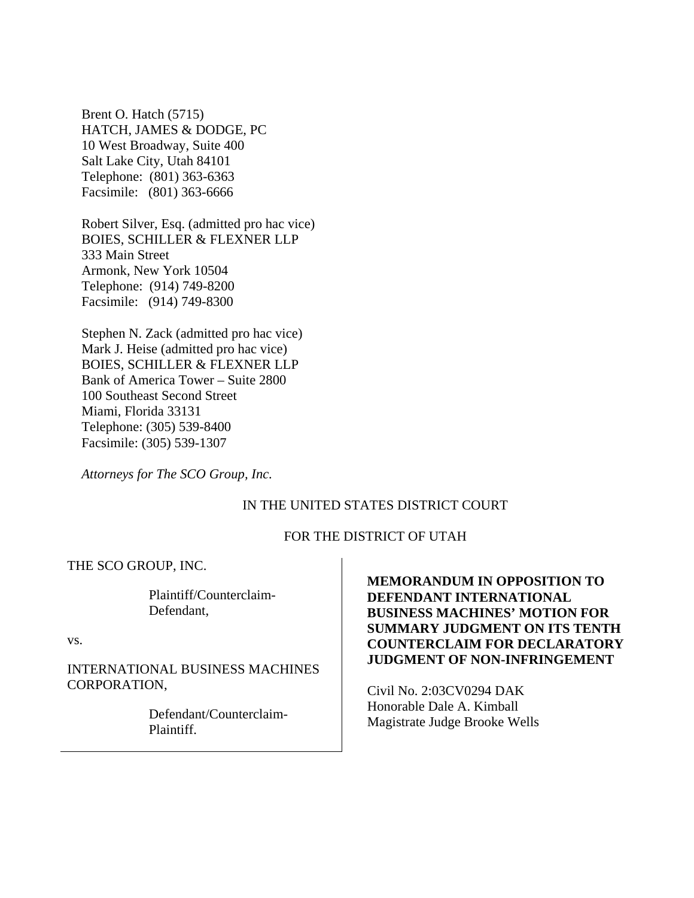Brent O. Hatch (5715) HATCH, JAMES & DODGE, PC 10 West Broadway, Suite 400 Salt Lake City, Utah 84101 Telephone: (801) 363-6363 Facsimile: (801) 363-6666

Robert Silver, Esq. (admitted pro hac vice) BOIES, SCHILLER & FLEXNER LLP 333 Main Street Armonk, New York 10504 Telephone: (914) 749-8200 Facsimile: (914) 749-8300

Stephen N. Zack (admitted pro hac vice) Mark J. Heise (admitted pro hac vice) BOIES, SCHILLER & FLEXNER LLP Bank of America Tower – Suite 2800 100 Southeast Second Street Miami, Florida 33131 Telephone: (305) 539-8400 Facsimile: (305) 539-1307

*Attorneys for The SCO Group, Inc.*

### IN THE UNITED STATES DISTRICT COURT

#### FOR THE DISTRICT OF UTAH

THE SCO GROUP, INC.

Plaintiff/Counterclaim-Defendant,

vs.

INTERNATIONAL BUSINESS MACHINES CORPORATION,

> Defendant/Counterclaim-Plaintiff.

# **MEMORANDUM IN OPPOSITION TO DEFENDANT INTERNATIONAL BUSINESS MACHINES' MOTION FOR SUMMARY JUDGMENT ON ITS TENTH COUNTERCLAIM FOR DECLARATORY JUDGMENT OF NON-INFRINGEMENT**

Civil No. 2:03CV0294 DAK Honorable Dale A. Kimball Magistrate Judge Brooke Wells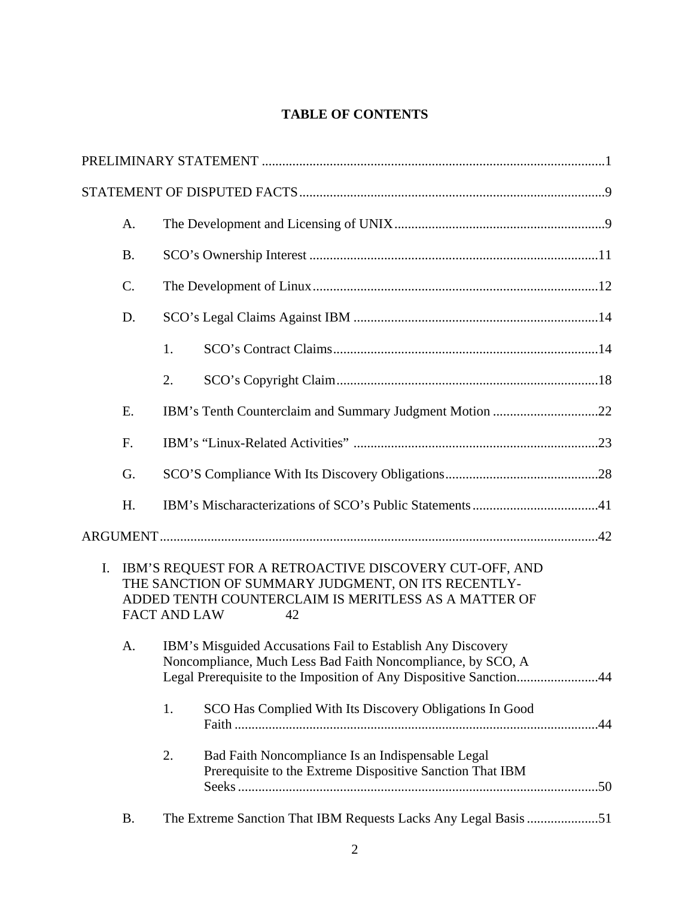# **TABLE OF CONTENTS**

|                | A.                                                                                                                                                                                                |                                                                                                                                                                                                  |                                                                                                                |  |  |
|----------------|---------------------------------------------------------------------------------------------------------------------------------------------------------------------------------------------------|--------------------------------------------------------------------------------------------------------------------------------------------------------------------------------------------------|----------------------------------------------------------------------------------------------------------------|--|--|
|                | <b>B.</b>                                                                                                                                                                                         |                                                                                                                                                                                                  |                                                                                                                |  |  |
|                | C.                                                                                                                                                                                                |                                                                                                                                                                                                  |                                                                                                                |  |  |
|                | D.                                                                                                                                                                                                |                                                                                                                                                                                                  |                                                                                                                |  |  |
|                |                                                                                                                                                                                                   | 1.                                                                                                                                                                                               |                                                                                                                |  |  |
|                |                                                                                                                                                                                                   | 2.                                                                                                                                                                                               |                                                                                                                |  |  |
|                | Ε.                                                                                                                                                                                                | IBM's Tenth Counterclaim and Summary Judgment Motion 22                                                                                                                                          |                                                                                                                |  |  |
|                | F.                                                                                                                                                                                                |                                                                                                                                                                                                  |                                                                                                                |  |  |
|                | G.                                                                                                                                                                                                |                                                                                                                                                                                                  |                                                                                                                |  |  |
|                | H.                                                                                                                                                                                                |                                                                                                                                                                                                  |                                                                                                                |  |  |
|                |                                                                                                                                                                                                   |                                                                                                                                                                                                  |                                                                                                                |  |  |
| $\mathbf{I}$ . | IBM'S REQUEST FOR A RETROACTIVE DISCOVERY CUT-OFF, AND<br>THE SANCTION OF SUMMARY JUDGMENT, ON ITS RECENTLY-<br>ADDED TENTH COUNTERCLAIM IS MERITLESS AS A MATTER OF<br><b>FACT AND LAW</b><br>42 |                                                                                                                                                                                                  |                                                                                                                |  |  |
|                | A.                                                                                                                                                                                                | IBM's Misguided Accusations Fail to Establish Any Discovery<br>Noncompliance, Much Less Bad Faith Noncompliance, by SCO, A<br>Legal Prerequisite to the Imposition of Any Dispositive Sanction44 |                                                                                                                |  |  |
|                |                                                                                                                                                                                                   | 1.                                                                                                                                                                                               | SCO Has Complied With Its Discovery Obligations In Good                                                        |  |  |
|                |                                                                                                                                                                                                   | 2.                                                                                                                                                                                               | Bad Faith Noncompliance Is an Indispensable Legal<br>Prerequisite to the Extreme Dispositive Sanction That IBM |  |  |
|                | <b>B.</b>                                                                                                                                                                                         |                                                                                                                                                                                                  | The Extreme Sanction That IBM Requests Lacks Any Legal Basis 51                                                |  |  |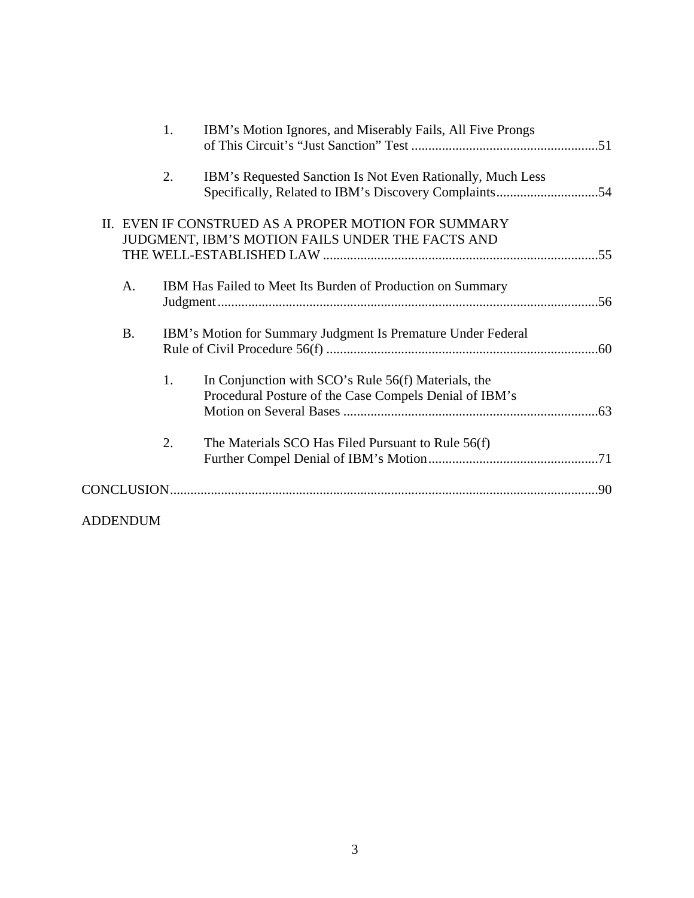|                 | 1. | IBM's Motion Ignores, and Miserably Fails, All Five Prongs                                                    |  |  |
|-----------------|----|---------------------------------------------------------------------------------------------------------------|--|--|
|                 | 2. | IBM's Requested Sanction Is Not Even Rationally, Much Less                                                    |  |  |
|                 |    | II. EVEN IF CONSTRUED AS A PROPER MOTION FOR SUMMARY<br>JUDGMENT, IBM'S MOTION FAILS UNDER THE FACTS AND      |  |  |
| A.              |    | IBM Has Failed to Meet Its Burden of Production on Summary                                                    |  |  |
| <b>B.</b>       |    | IBM's Motion for Summary Judgment Is Premature Under Federal                                                  |  |  |
|                 | 1. | In Conjunction with SCO's Rule 56(f) Materials, the<br>Procedural Posture of the Case Compels Denial of IBM's |  |  |
|                 | 2. | The Materials SCO Has Filed Pursuant to Rule 56(f)                                                            |  |  |
|                 |    |                                                                                                               |  |  |
| <b>ADDENDUM</b> |    |                                                                                                               |  |  |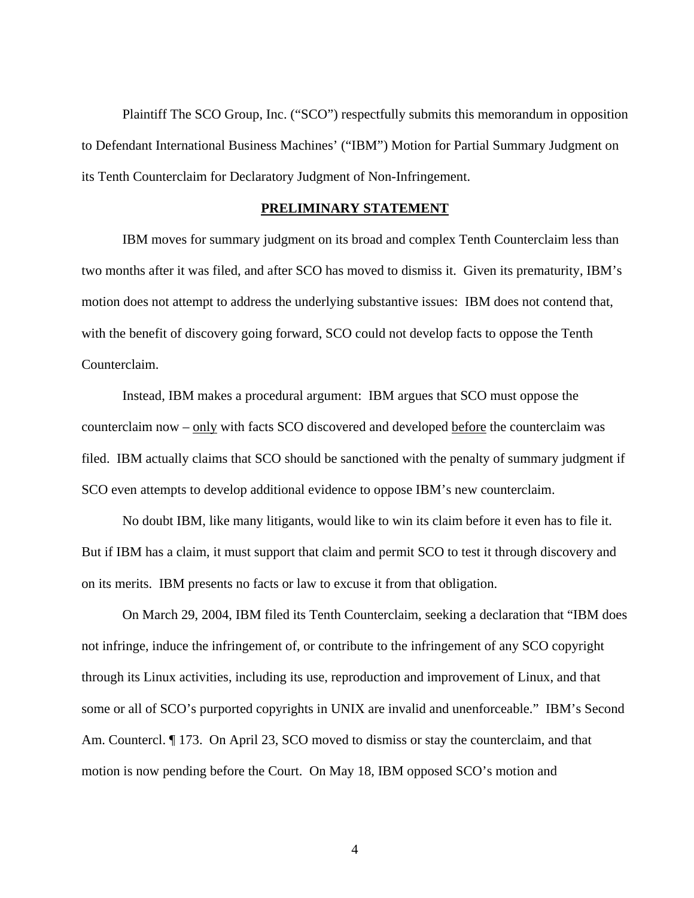Plaintiff The SCO Group, Inc. ("SCO") respectfully submits this memorandum in opposition to Defendant International Business Machines' ("IBM") Motion for Partial Summary Judgment on its Tenth Counterclaim for Declaratory Judgment of Non-Infringement.

#### **PRELIMINARY STATEMENT**

IBM moves for summary judgment on its broad and complex Tenth Counterclaim less than two months after it was filed, and after SCO has moved to dismiss it. Given its prematurity, IBM's motion does not attempt to address the underlying substantive issues: IBM does not contend that, with the benefit of discovery going forward, SCO could not develop facts to oppose the Tenth Counterclaim.

Instead, IBM makes a procedural argument: IBM argues that SCO must oppose the counterclaim now – only with facts SCO discovered and developed before the counterclaim was filed. IBM actually claims that SCO should be sanctioned with the penalty of summary judgment if SCO even attempts to develop additional evidence to oppose IBM's new counterclaim.

No doubt IBM, like many litigants, would like to win its claim before it even has to file it. But if IBM has a claim, it must support that claim and permit SCO to test it through discovery and on its merits. IBM presents no facts or law to excuse it from that obligation.

On March 29, 2004, IBM filed its Tenth Counterclaim, seeking a declaration that "IBM does not infringe, induce the infringement of, or contribute to the infringement of any SCO copyright through its Linux activities, including its use, reproduction and improvement of Linux, and that some or all of SCO's purported copyrights in UNIX are invalid and unenforceable." IBM's Second Am. Countercl. ¶ 173. On April 23, SCO moved to dismiss or stay the counterclaim, and that motion is now pending before the Court. On May 18, IBM opposed SCO's motion and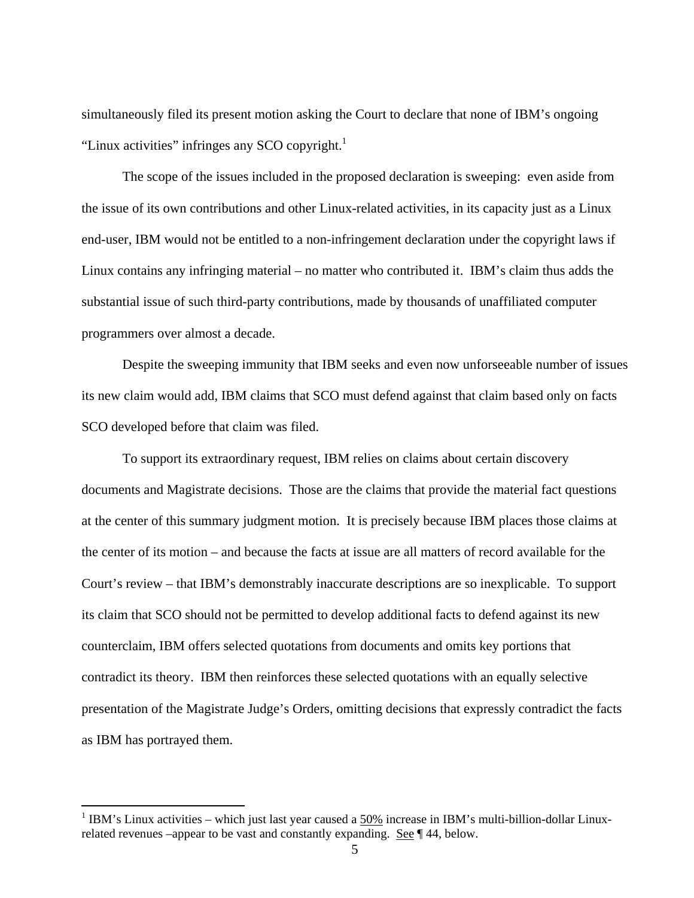simultaneously filed its present motion asking the Court to declare that none of IBM's ongoing "Linux activities" infringes any SCO copyright. $<sup>1</sup>$ </sup>

The scope of the issues included in the proposed declaration is sweeping: even aside from the issue of its own contributions and other Linux-related activities, in its capacity just as a Linux end-user, IBM would not be entitled to a non-infringement declaration under the copyright laws if Linux contains any infringing material – no matter who contributed it. IBM's claim thus adds the substantial issue of such third-party contributions, made by thousands of unaffiliated computer programmers over almost a decade.

Despite the sweeping immunity that IBM seeks and even now unforseeable number of issues its new claim would add, IBM claims that SCO must defend against that claim based only on facts SCO developed before that claim was filed.

To support its extraordinary request, IBM relies on claims about certain discovery documents and Magistrate decisions. Those are the claims that provide the material fact questions at the center of this summary judgment motion. It is precisely because IBM places those claims at the center of its motion – and because the facts at issue are all matters of record available for the Court's review – that IBM's demonstrably inaccurate descriptions are so inexplicable. To support its claim that SCO should not be permitted to develop additional facts to defend against its new counterclaim, IBM offers selected quotations from documents and omits key portions that contradict its theory. IBM then reinforces these selected quotations with an equally selective presentation of the Magistrate Judge's Orders, omitting decisions that expressly contradict the facts as IBM has portrayed them.

<sup>&</sup>lt;sup>1</sup> IBM's Linux activities – which just last year caused a  $50\%$  increase in IBM's multi-billion-dollar Linuxrelated revenues –appear to be vast and constantly expanding. See ¶ 44, below.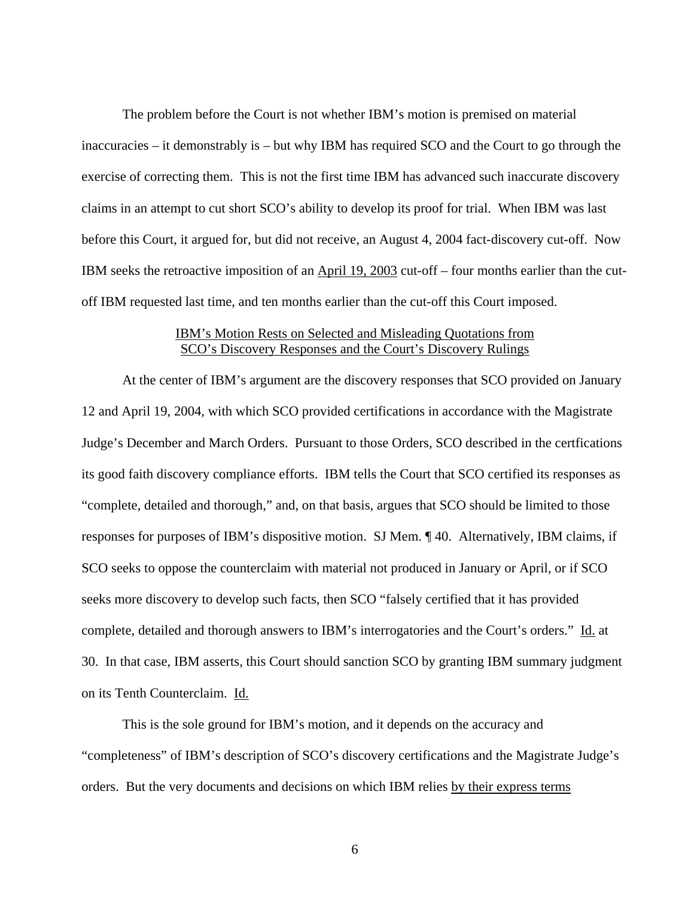The problem before the Court is not whether IBM's motion is premised on material inaccuracies – it demonstrably is – but why IBM has required SCO and the Court to go through the exercise of correcting them. This is not the first time IBM has advanced such inaccurate discovery claims in an attempt to cut short SCO's ability to develop its proof for trial. When IBM was last before this Court, it argued for, but did not receive, an August 4, 2004 fact-discovery cut-off. Now IBM seeks the retroactive imposition of an April 19, 2003 cut-off – four months earlier than the cutoff IBM requested last time, and ten months earlier than the cut-off this Court imposed.

### IBM's Motion Rests on Selected and Misleading Quotations from SCO's Discovery Responses and the Court's Discovery Rulings

At the center of IBM's argument are the discovery responses that SCO provided on January 12 and April 19, 2004, with which SCO provided certifications in accordance with the Magistrate Judge's December and March Orders. Pursuant to those Orders, SCO described in the certfications its good faith discovery compliance efforts. IBM tells the Court that SCO certified its responses as "complete, detailed and thorough," and, on that basis, argues that SCO should be limited to those responses for purposes of IBM's dispositive motion. SJ Mem. ¶ 40. Alternatively, IBM claims, if SCO seeks to oppose the counterclaim with material not produced in January or April, or if SCO seeks more discovery to develop such facts, then SCO "falsely certified that it has provided complete, detailed and thorough answers to IBM's interrogatories and the Court's orders." Id. at 30. In that case, IBM asserts, this Court should sanction SCO by granting IBM summary judgment on its Tenth Counterclaim. Id.

This is the sole ground for IBM's motion, and it depends on the accuracy and "completeness" of IBM's description of SCO's discovery certifications and the Magistrate Judge's orders. But the very documents and decisions on which IBM relies by their express terms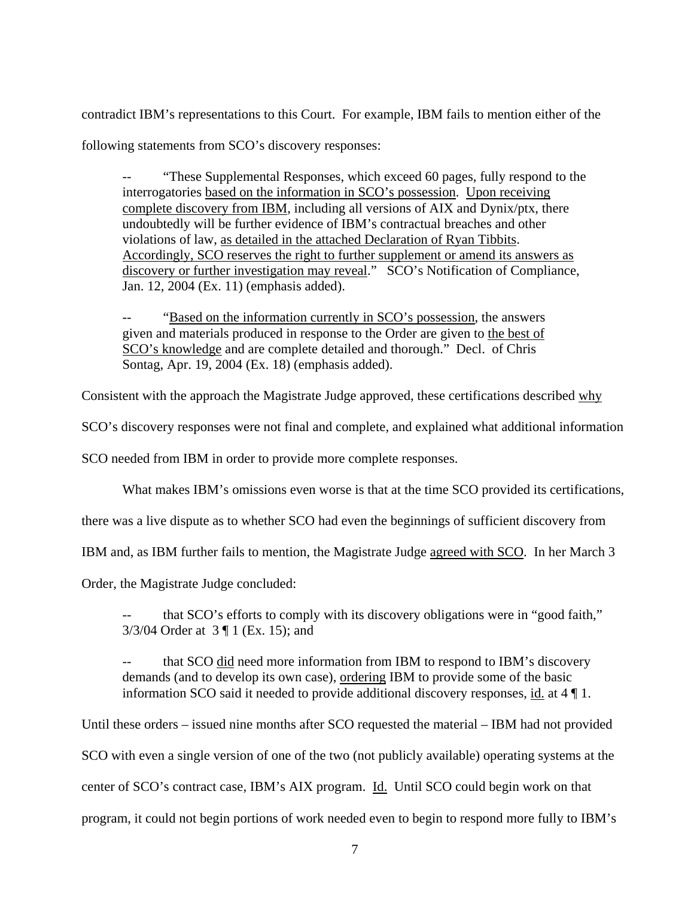contradict IBM's representations to this Court. For example, IBM fails to mention either of the following statements from SCO's discovery responses:

"These Supplemental Responses, which exceed 60 pages, fully respond to the interrogatories based on the information in SCO's possession. Upon receiving complete discovery from IBM, including all versions of AIX and Dynix/ptx, there undoubtedly will be further evidence of IBM's contractual breaches and other violations of law, as detailed in the attached Declaration of Ryan Tibbits. Accordingly, SCO reserves the right to further supplement or amend its answers as discovery or further investigation may reveal." SCO's Notification of Compliance, Jan. 12, 2004 (Ex. 11) (emphasis added).

"Based on the information currently in SCO's possession, the answers given and materials produced in response to the Order are given to the best of SCO's knowledge and are complete detailed and thorough." Decl. of Chris Sontag, Apr. 19, 2004 (Ex. 18) (emphasis added).

Consistent with the approach the Magistrate Judge approved, these certifications described why

SCO's discovery responses were not final and complete, and explained what additional information

SCO needed from IBM in order to provide more complete responses.

What makes IBM's omissions even worse is that at the time SCO provided its certifications,

there was a live dispute as to whether SCO had even the beginnings of sufficient discovery from

IBM and, as IBM further fails to mention, the Magistrate Judge agreed with SCO. In her March 3

Order, the Magistrate Judge concluded:

that SCO's efforts to comply with its discovery obligations were in "good faith," 3/3/04 Order at 3 ¶ 1 (Ex. 15); and

that SCO did need more information from IBM to respond to IBM's discovery demands (and to develop its own case), ordering IBM to provide some of the basic information SCO said it needed to provide additional discovery responses, id. at 4 ¶ 1.

Until these orders – issued nine months after SCO requested the material – IBM had not provided SCO with even a single version of one of the two (not publicly available) operating systems at the center of SCO's contract case, IBM's AIX program. Id. Until SCO could begin work on that program, it could not begin portions of work needed even to begin to respond more fully to IBM's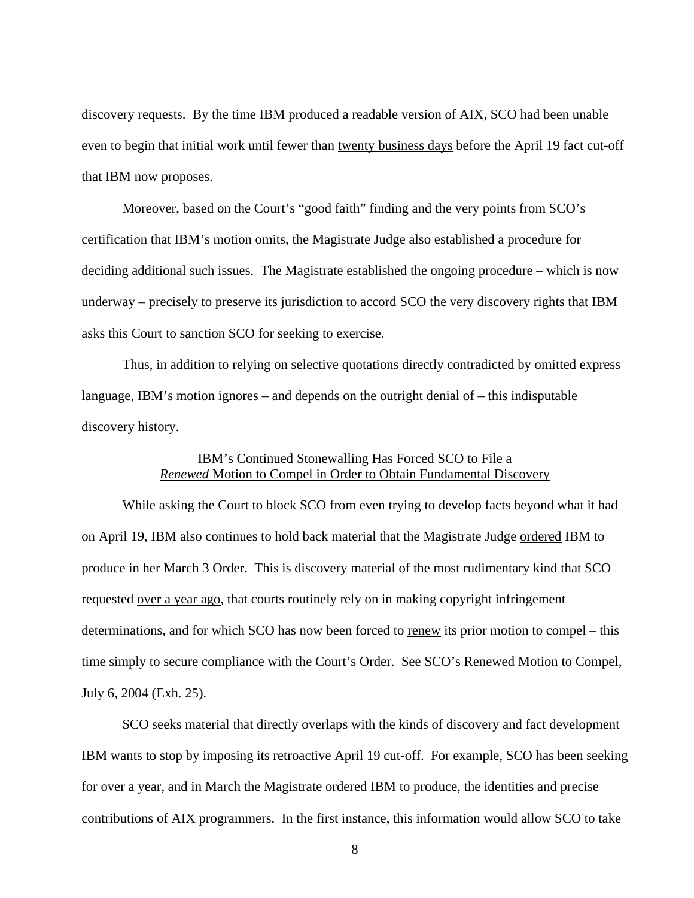discovery requests. By the time IBM produced a readable version of AIX, SCO had been unable even to begin that initial work until fewer than twenty business days before the April 19 fact cut-off that IBM now proposes.

 Moreover, based on the Court's "good faith" finding and the very points from SCO's certification that IBM's motion omits, the Magistrate Judge also established a procedure for deciding additional such issues. The Magistrate established the ongoing procedure – which is now underway – precisely to preserve its jurisdiction to accord SCO the very discovery rights that IBM asks this Court to sanction SCO for seeking to exercise.

Thus, in addition to relying on selective quotations directly contradicted by omitted express language, IBM's motion ignores – and depends on the outright denial of – this indisputable discovery history.

# IBM's Continued Stonewalling Has Forced SCO to File a *Renewed* Motion to Compel in Order to Obtain Fundamental Discovery

 While asking the Court to block SCO from even trying to develop facts beyond what it had on April 19, IBM also continues to hold back material that the Magistrate Judge ordered IBM to produce in her March 3 Order. This is discovery material of the most rudimentary kind that SCO requested over a year ago, that courts routinely rely on in making copyright infringement determinations, and for which SCO has now been forced to renew its prior motion to compel – this time simply to secure compliance with the Court's Order. See SCO's Renewed Motion to Compel, July 6, 2004 (Exh. 25).

SCO seeks material that directly overlaps with the kinds of discovery and fact development IBM wants to stop by imposing its retroactive April 19 cut-off. For example, SCO has been seeking for over a year, and in March the Magistrate ordered IBM to produce, the identities and precise contributions of AIX programmers. In the first instance, this information would allow SCO to take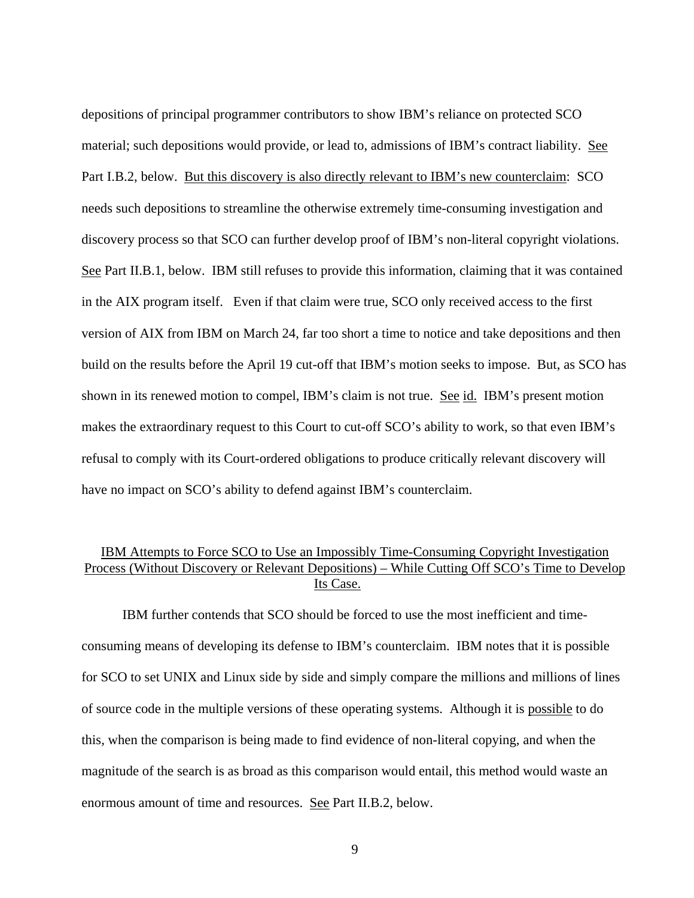depositions of principal programmer contributors to show IBM's reliance on protected SCO material; such depositions would provide, or lead to, admissions of IBM's contract liability. See Part I.B.2, below. But this discovery is also directly relevant to IBM's new counterclaim: SCO needs such depositions to streamline the otherwise extremely time-consuming investigation and discovery process so that SCO can further develop proof of IBM's non-literal copyright violations. See Part II.B.1, below. IBM still refuses to provide this information, claiming that it was contained in the AIX program itself. Even if that claim were true, SCO only received access to the first version of AIX from IBM on March 24, far too short a time to notice and take depositions and then build on the results before the April 19 cut-off that IBM's motion seeks to impose. But, as SCO has shown in its renewed motion to compel, IBM's claim is not true. See id. IBM's present motion makes the extraordinary request to this Court to cut-off SCO's ability to work, so that even IBM's refusal to comply with its Court-ordered obligations to produce critically relevant discovery will have no impact on SCO's ability to defend against IBM's counterclaim.

# IBM Attempts to Force SCO to Use an Impossibly Time-Consuming Copyright Investigation Process (Without Discovery or Relevant Depositions) – While Cutting Off SCO's Time to Develop Its Case.

IBM further contends that SCO should be forced to use the most inefficient and timeconsuming means of developing its defense to IBM's counterclaim. IBM notes that it is possible for SCO to set UNIX and Linux side by side and simply compare the millions and millions of lines of source code in the multiple versions of these operating systems. Although it is possible to do this, when the comparison is being made to find evidence of non-literal copying, and when the magnitude of the search is as broad as this comparison would entail, this method would waste an enormous amount of time and resources. See Part II.B.2, below.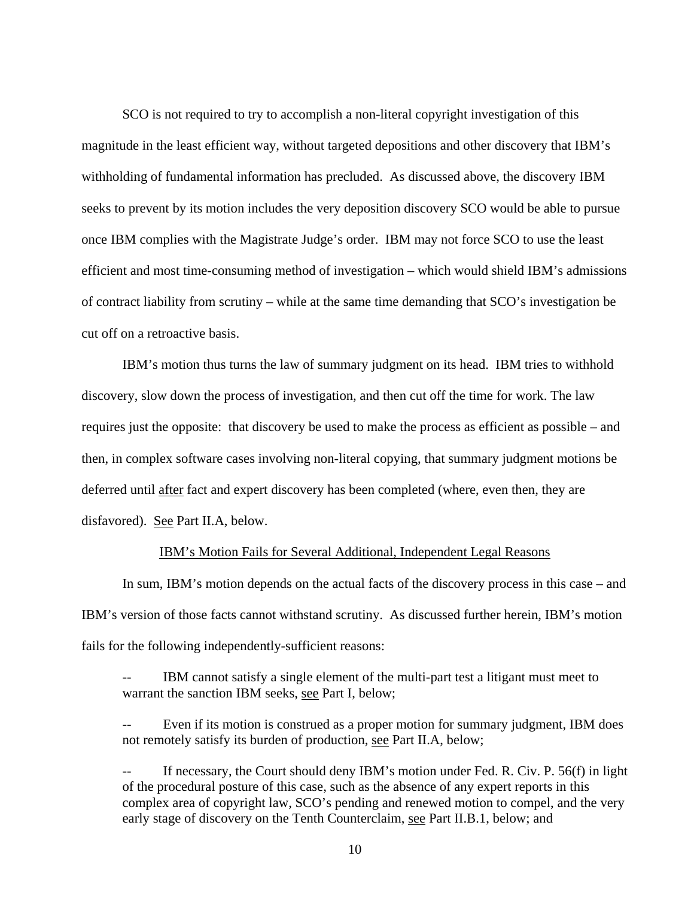SCO is not required to try to accomplish a non-literal copyright investigation of this magnitude in the least efficient way, without targeted depositions and other discovery that IBM's withholding of fundamental information has precluded. As discussed above, the discovery IBM seeks to prevent by its motion includes the very deposition discovery SCO would be able to pursue once IBM complies with the Magistrate Judge's order. IBM may not force SCO to use the least efficient and most time-consuming method of investigation – which would shield IBM's admissions of contract liability from scrutiny – while at the same time demanding that SCO's investigation be cut off on a retroactive basis.

IBM's motion thus turns the law of summary judgment on its head. IBM tries to withhold discovery, slow down the process of investigation, and then cut off the time for work. The law requires just the opposite: that discovery be used to make the process as efficient as possible – and then, in complex software cases involving non-literal copying, that summary judgment motions be deferred until after fact and expert discovery has been completed (where, even then, they are disfavored). See Part II.A, below.

#### IBM's Motion Fails for Several Additional, Independent Legal Reasons

In sum, IBM's motion depends on the actual facts of the discovery process in this case – and IBM's version of those facts cannot withstand scrutiny. As discussed further herein, IBM's motion fails for the following independently-sufficient reasons:

-- IBM cannot satisfy a single element of the multi-part test a litigant must meet to warrant the sanction IBM seeks, see Part I, below;

Even if its motion is construed as a proper motion for summary judgment, IBM does not remotely satisfy its burden of production, see Part II.A, below;

If necessary, the Court should deny IBM's motion under Fed. R. Civ. P.  $56(f)$  in light of the procedural posture of this case, such as the absence of any expert reports in this complex area of copyright law, SCO's pending and renewed motion to compel, and the very early stage of discovery on the Tenth Counterclaim, see Part II.B.1, below; and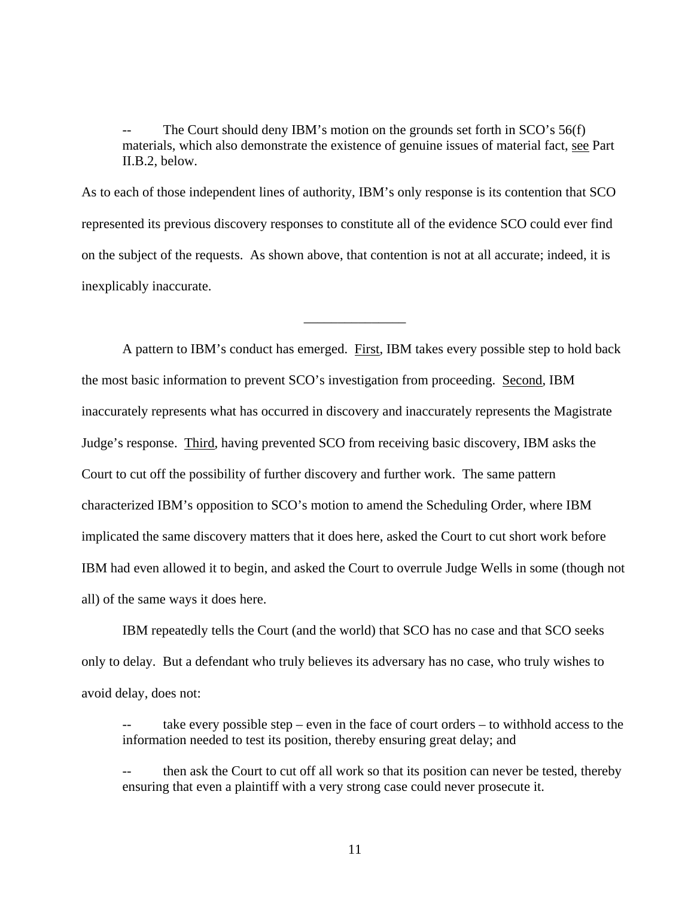The Court should deny IBM's motion on the grounds set forth in  $SCO's 56(f)$ materials, which also demonstrate the existence of genuine issues of material fact, see Part II.B.2, below.

As to each of those independent lines of authority, IBM's only response is its contention that SCO represented its previous discovery responses to constitute all of the evidence SCO could ever find on the subject of the requests. As shown above, that contention is not at all accurate; indeed, it is inexplicably inaccurate.

\_\_\_\_\_\_\_\_\_\_\_\_\_\_\_

A pattern to IBM's conduct has emerged. First, IBM takes every possible step to hold back the most basic information to prevent SCO's investigation from proceeding. Second, IBM inaccurately represents what has occurred in discovery and inaccurately represents the Magistrate Judge's response. Third, having prevented SCO from receiving basic discovery, IBM asks the Court to cut off the possibility of further discovery and further work. The same pattern characterized IBM's opposition to SCO's motion to amend the Scheduling Order, where IBM implicated the same discovery matters that it does here, asked the Court to cut short work before IBM had even allowed it to begin, and asked the Court to overrule Judge Wells in some (though not all) of the same ways it does here.

IBM repeatedly tells the Court (and the world) that SCO has no case and that SCO seeks only to delay. But a defendant who truly believes its adversary has no case, who truly wishes to avoid delay, does not:

take every possible step – even in the face of court orders – to withhold access to the information needed to test its position, thereby ensuring great delay; and

then ask the Court to cut off all work so that its position can never be tested, thereby ensuring that even a plaintiff with a very strong case could never prosecute it.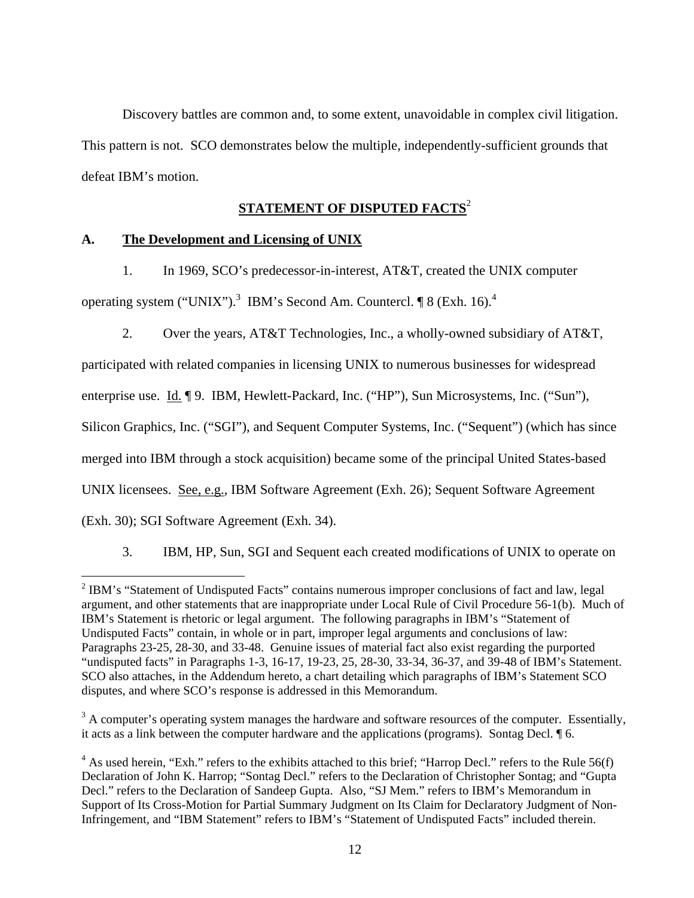Discovery battles are common and, to some extent, unavoidable in complex civil litigation. This pattern is not. SCO demonstrates below the multiple, independently-sufficient grounds that defeat IBM's motion.

# **STATEMENT OF DISPUTED FACTS**<sup>2</sup>

### **A. The Development and Licensing of UNIX**

1. In 1969, SCO's predecessor-in-interest, AT&T, created the UNIX computer

operating system ("UNIX").<sup>3</sup> IBM's Second Am. Countercl.  $\P 8$  (Exh. 16).<sup>4</sup>

2. Over the years, AT&T Technologies, Inc., a wholly-owned subsidiary of AT&T,

participated with related companies in licensing UNIX to numerous businesses for widespread

enterprise use. Id. ¶ 9. IBM, Hewlett-Packard, Inc. ("HP"), Sun Microsystems, Inc. ("Sun"),

Silicon Graphics, Inc. ("SGI"), and Sequent Computer Systems, Inc. ("Sequent") (which has since

merged into IBM through a stock acquisition) became some of the principal United States-based

UNIX licensees. See, e.g., IBM Software Agreement (Exh. 26); Sequent Software Agreement

(Exh. 30); SGI Software Agreement (Exh. 34).

 $\overline{a}$ 

3. IBM, HP, Sun, SGI and Sequent each created modifications of UNIX to operate on

 $3$  A computer's operating system manages the hardware and software resources of the computer. Essentially, it acts as a link between the computer hardware and the applications (programs). Sontag Decl. ¶ 6.

<sup>&</sup>lt;sup>2</sup> IBM's "Statement of Undisputed Facts" contains numerous improper conclusions of fact and law, legal argument, and other statements that are inappropriate under Local Rule of Civil Procedure 56-1(b). Much of IBM's Statement is rhetoric or legal argument. The following paragraphs in IBM's "Statement of Undisputed Facts" contain, in whole or in part, improper legal arguments and conclusions of law: Paragraphs 23-25, 28-30, and 33-48. Genuine issues of material fact also exist regarding the purported "undisputed facts" in Paragraphs 1-3, 16-17, 19-23, 25, 28-30, 33-34, 36-37, and 39-48 of IBM's Statement. SCO also attaches, in the Addendum hereto, a chart detailing which paragraphs of IBM's Statement SCO disputes, and where SCO's response is addressed in this Memorandum.

 $4$  As used herein, "Exh." refers to the exhibits attached to this brief; "Harrop Decl." refers to the Rule 56(f) Declaration of John K. Harrop; "Sontag Decl." refers to the Declaration of Christopher Sontag; and "Gupta Decl." refers to the Declaration of Sandeep Gupta. Also, "SJ Mem." refers to IBM's Memorandum in Support of Its Cross-Motion for Partial Summary Judgment on Its Claim for Declaratory Judgment of Non-Infringement, and "IBM Statement" refers to IBM's "Statement of Undisputed Facts" included therein.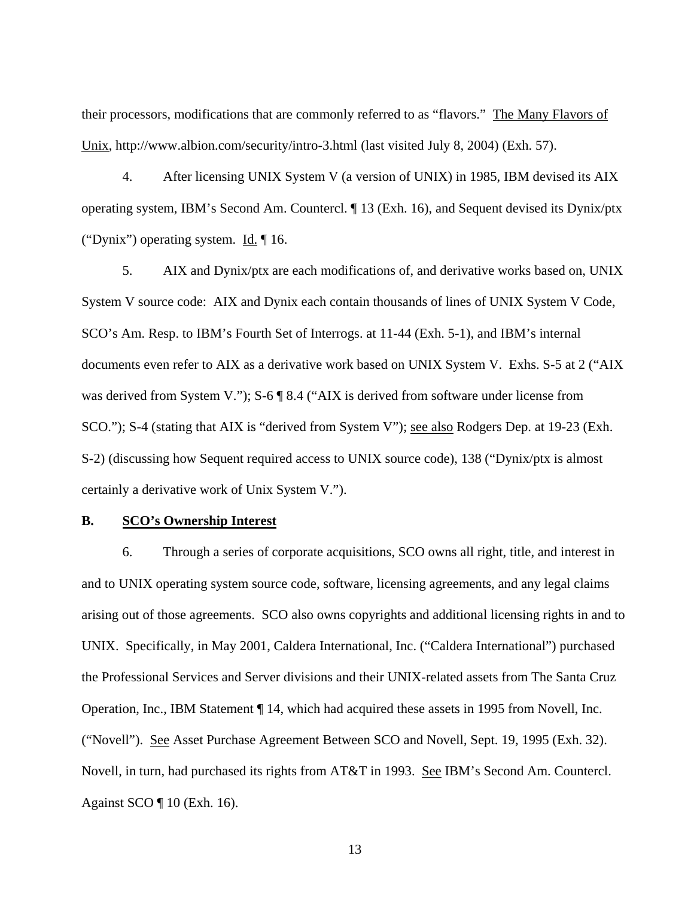their processors, modifications that are commonly referred to as "flavors." The Many Flavors of Unix, http://www.albion.com/security/intro-3.html (last visited July 8, 2004) (Exh. 57).

4. After licensing UNIX System V (a version of UNIX) in 1985, IBM devised its AIX operating system, IBM's Second Am. Countercl. ¶ 13 (Exh. 16), and Sequent devised its Dynix/ptx ("Dynix") operating system. Id. ¶ 16.

5. AIX and Dynix/ptx are each modifications of, and derivative works based on, UNIX System V source code: AIX and Dynix each contain thousands of lines of UNIX System V Code, SCO's Am. Resp. to IBM's Fourth Set of Interrogs. at 11-44 (Exh. 5-1), and IBM's internal documents even refer to AIX as a derivative work based on UNIX System V. Exhs. S-5 at 2 ("AIX was derived from System V."); S-6 ¶ 8.4 ("AIX is derived from software under license from SCO."); S-4 (stating that AIX is "derived from System V"); <u>see also</u> Rodgers Dep. at 19-23 (Exh. S-2) (discussing how Sequent required access to UNIX source code), 138 ("Dynix/ptx is almost certainly a derivative work of Unix System V.").

#### **B. SCO's Ownership Interest**

6. Through a series of corporate acquisitions, SCO owns all right, title, and interest in and to UNIX operating system source code, software, licensing agreements, and any legal claims arising out of those agreements. SCO also owns copyrights and additional licensing rights in and to UNIX. Specifically, in May 2001, Caldera International, Inc. ("Caldera International") purchased the Professional Services and Server divisions and their UNIX-related assets from The Santa Cruz Operation, Inc., IBM Statement ¶ 14, which had acquired these assets in 1995 from Novell, Inc. ("Novell"). See Asset Purchase Agreement Between SCO and Novell, Sept. 19, 1995 (Exh. 32). Novell, in turn, had purchased its rights from AT&T in 1993. See IBM's Second Am. Countercl. Against SCO ¶ 10 (Exh. 16).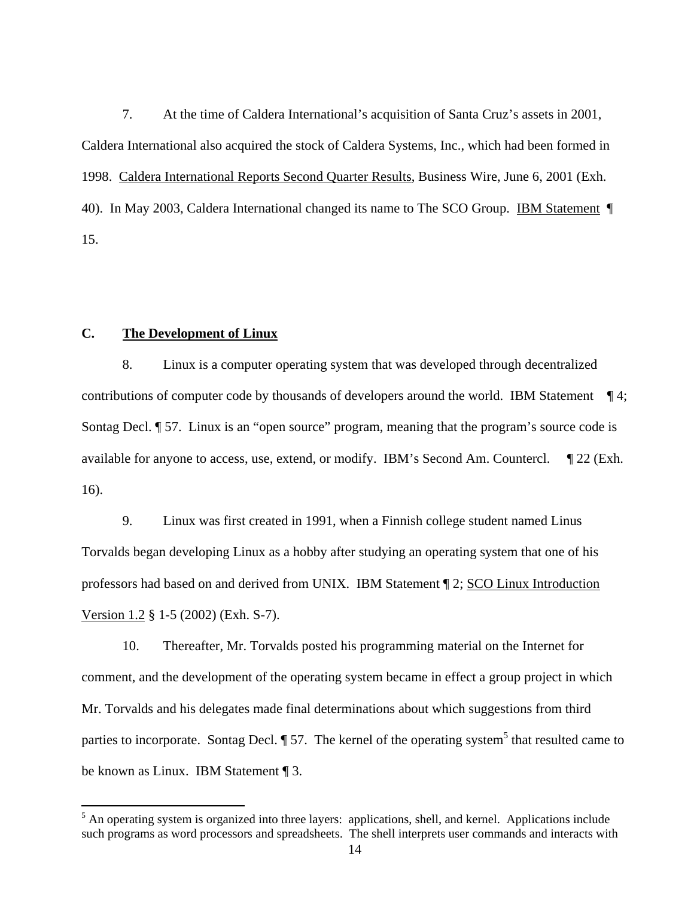7. At the time of Caldera International's acquisition of Santa Cruz's assets in 2001, Caldera International also acquired the stock of Caldera Systems, Inc., which had been formed in 1998. Caldera International Reports Second Quarter Results, Business Wire, June 6, 2001 (Exh. 40). In May 2003, Caldera International changed its name to The SCO Group. IBM Statement ¶ 15.

### **C. The Development of Linux**

 $\overline{a}$ 

8. Linux is a computer operating system that was developed through decentralized contributions of computer code by thousands of developers around the world. IBM Statement ¶ 4; Sontag Decl. ¶ 57. Linux is an "open source" program, meaning that the program's source code is available for anyone to access, use, extend, or modify. IBM's Second Am. Countercl. ¶ 22 (Exh. 16).

9. Linux was first created in 1991, when a Finnish college student named Linus Torvalds began developing Linux as a hobby after studying an operating system that one of his professors had based on and derived from UNIX. IBM Statement ¶ 2; SCO Linux Introduction Version 1.2 § 1-5 (2002) (Exh. S-7).

10. Thereafter, Mr. Torvalds posted his programming material on the Internet for comment, and the development of the operating system became in effect a group project in which Mr. Torvalds and his delegates made final determinations about which suggestions from third parties to incorporate. Sontag Decl. 1 57. The kernel of the operating system<sup>5</sup> that resulted came to be known as Linux. IBM Statement ¶ 3.

<sup>&</sup>lt;sup>5</sup> An operating system is organized into three layers: applications, shell, and kernel. Applications include such programs as word processors and spreadsheets. The shell interprets user commands and interacts with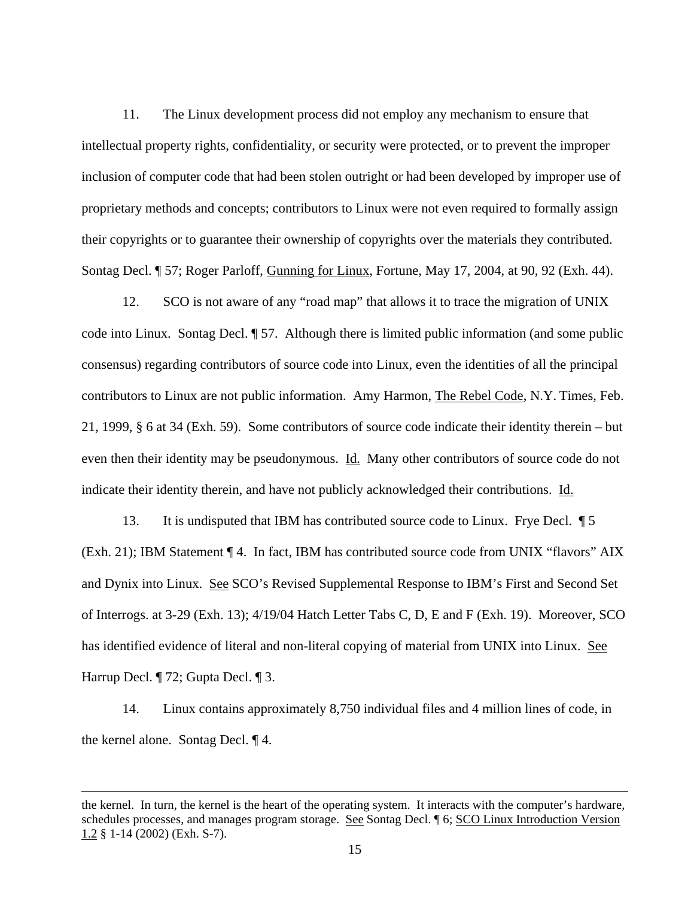11. The Linux development process did not employ any mechanism to ensure that intellectual property rights, confidentiality, or security were protected, or to prevent the improper inclusion of computer code that had been stolen outright or had been developed by improper use of proprietary methods and concepts; contributors to Linux were not even required to formally assign their copyrights or to guarantee their ownership of copyrights over the materials they contributed. Sontag Decl. ¶ 57; Roger Parloff, Gunning for Linux, Fortune, May 17, 2004, at 90, 92 (Exh. 44).

12. SCO is not aware of any "road map" that allows it to trace the migration of UNIX code into Linux. Sontag Decl. ¶ 57. Although there is limited public information (and some public consensus) regarding contributors of source code into Linux, even the identities of all the principal contributors to Linux are not public information. Amy Harmon, The Rebel Code, N.Y. Times, Feb. 21, 1999, § 6 at 34 (Exh. 59). Some contributors of source code indicate their identity therein – but even then their identity may be pseudonymous. Id. Many other contributors of source code do not indicate their identity therein, and have not publicly acknowledged their contributions. Id.

13. It is undisputed that IBM has contributed source code to Linux. Frye Decl. ¶ 5 (Exh. 21); IBM Statement ¶ 4. In fact, IBM has contributed source code from UNIX "flavors" AIX and Dynix into Linux. See SCO's Revised Supplemental Response to IBM's First and Second Set of Interrogs. at 3-29 (Exh. 13); 4/19/04 Hatch Letter Tabs C, D, E and F (Exh. 19). Moreover, SCO has identified evidence of literal and non-literal copying of material from UNIX into Linux. See Harrup Decl. ¶ 72; Gupta Decl. ¶ 3.

14. Linux contains approximately 8,750 individual files and 4 million lines of code, in the kernel alone. Sontag Decl. ¶ 4.

<u>.</u>

the kernel. In turn, the kernel is the heart of the operating system. It interacts with the computer's hardware, schedules processes, and manages program storage. See Sontag Decl. ¶ 6; SCO Linux Introduction Version 1.2 § 1-14 (2002) (Exh. S-7).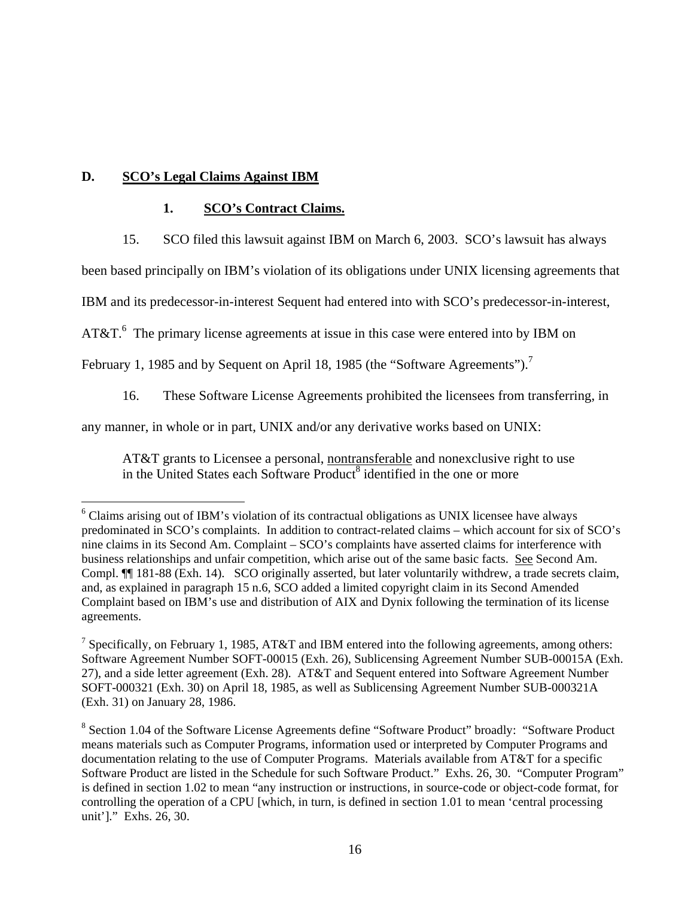# **D. SCO's Legal Claims Against IBM**

 $\overline{a}$ 

### **1. SCO's Contract Claims.**

15. SCO filed this lawsuit against IBM on March 6, 2003. SCO's lawsuit has always

been based principally on IBM's violation of its obligations under UNIX licensing agreements that

IBM and its predecessor-in-interest Sequent had entered into with SCO's predecessor-in-interest,

AT&T. $6$  The primary license agreements at issue in this case were entered into by IBM on

February 1, 1985 and by Sequent on April 18, 1985 (the "Software Agreements").<sup>7</sup>

16. These Software License Agreements prohibited the licensees from transferring, in

any manner, in whole or in part, UNIX and/or any derivative works based on UNIX:

AT&T grants to Licensee a personal, nontransferable and nonexclusive right to use in the United States each Software Product<sup>8</sup> identified in the one or more

<sup>&</sup>lt;sup>6</sup> Claims arising out of IBM's violation of its contractual obligations as UNIX licensee have always predominated in SCO's complaints. In addition to contract-related claims – which account for six of SCO's nine claims in its Second Am. Complaint – SCO's complaints have asserted claims for interference with business relationships and unfair competition, which arise out of the same basic facts. See Second Am. Compl. ¶¶ 181-88 (Exh. 14). SCO originally asserted, but later voluntarily withdrew, a trade secrets claim, and, as explained in paragraph 15 n.6, SCO added a limited copyright claim in its Second Amended Complaint based on IBM's use and distribution of AIX and Dynix following the termination of its license agreements.

<sup>&</sup>lt;sup>7</sup> Specifically, on February 1, 1985, AT&T and IBM entered into the following agreements, among others: Software Agreement Number SOFT-00015 (Exh. 26), Sublicensing Agreement Number SUB-00015A (Exh. 27), and a side letter agreement (Exh. 28). AT&T and Sequent entered into Software Agreement Number SOFT-000321 (Exh. 30) on April 18, 1985, as well as Sublicensing Agreement Number SUB-000321A (Exh. 31) on January 28, 1986.

<sup>&</sup>lt;sup>8</sup> Section 1.04 of the Software License Agreements define "Software Product" broadly: "Software Product means materials such as Computer Programs, information used or interpreted by Computer Programs and documentation relating to the use of Computer Programs. Materials available from AT&T for a specific Software Product are listed in the Schedule for such Software Product." Exhs. 26, 30. "Computer Program" is defined in section 1.02 to mean "any instruction or instructions, in source-code or object-code format, for controlling the operation of a CPU [which, in turn, is defined in section 1.01 to mean 'central processing unit']." Exhs. 26, 30.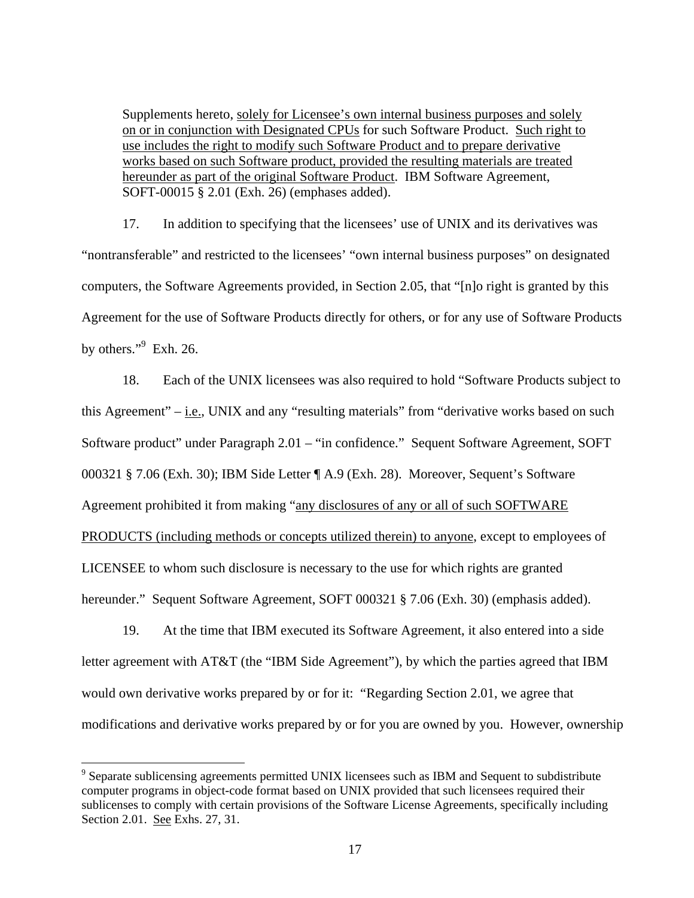Supplements hereto, solely for Licensee's own internal business purposes and solely on or in conjunction with Designated CPUs for such Software Product. Such right to use includes the right to modify such Software Product and to prepare derivative works based on such Software product, provided the resulting materials are treated hereunder as part of the original Software Product. IBM Software Agreement, SOFT-00015 § 2.01 (Exh. 26) (emphases added).

17. In addition to specifying that the licensees' use of UNIX and its derivatives was "nontransferable" and restricted to the licensees' "own internal business purposes" on designated computers, the Software Agreements provided, in Section 2.05, that "[n]o right is granted by this Agreement for the use of Software Products directly for others, or for any use of Software Products by others." $9$  Exh. 26.

18. Each of the UNIX licensees was also required to hold "Software Products subject to this Agreement" – i.e., UNIX and any "resulting materials" from "derivative works based on such Software product" under Paragraph 2.01 – "in confidence." Sequent Software Agreement, SOFT 000321 § 7.06 (Exh. 30); IBM Side Letter ¶ A.9 (Exh. 28). Moreover, Sequent's Software Agreement prohibited it from making "any disclosures of any or all of such SOFTWARE PRODUCTS (including methods or concepts utilized therein) to anyone, except to employees of LICENSEE to whom such disclosure is necessary to the use for which rights are granted hereunder." Sequent Software Agreement, SOFT 000321 § 7.06 (Exh. 30) (emphasis added).

19. At the time that IBM executed its Software Agreement, it also entered into a side letter agreement with AT&T (the "IBM Side Agreement"), by which the parties agreed that IBM would own derivative works prepared by or for it: "Regarding Section 2.01, we agree that modifications and derivative works prepared by or for you are owned by you. However, ownership

<sup>&</sup>lt;sup>9</sup> Separate sublicensing agreements permitted UNIX licensees such as IBM and Sequent to subdistribute computer programs in object-code format based on UNIX provided that such licensees required their sublicenses to comply with certain provisions of the Software License Agreements, specifically including Section 2.01. See Exhs. 27, 31.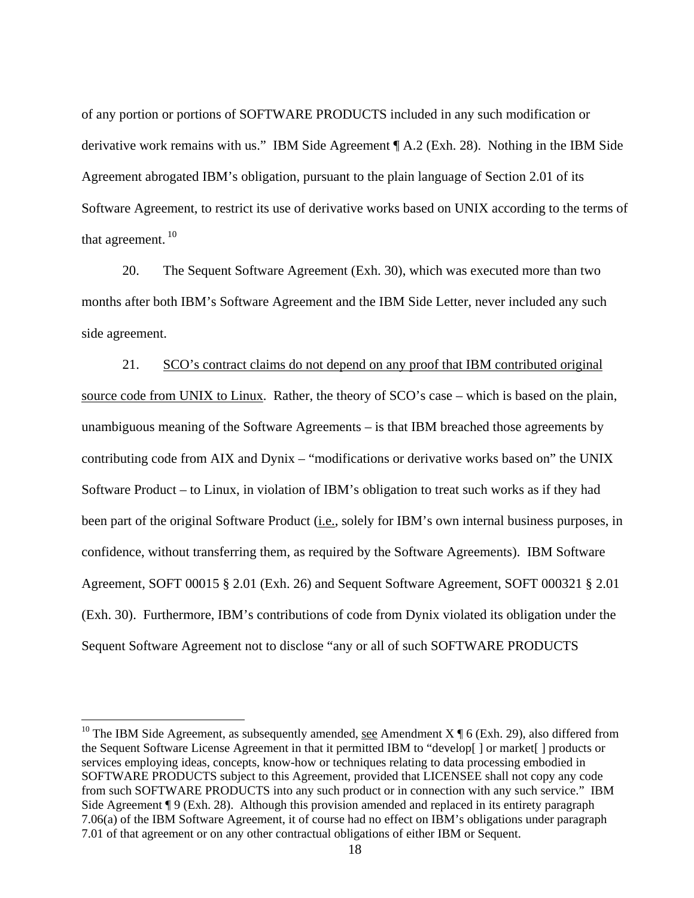of any portion or portions of SOFTWARE PRODUCTS included in any such modification or derivative work remains with us." IBM Side Agreement ¶ A.2 (Exh. 28). Nothing in the IBM Side Agreement abrogated IBM's obligation, pursuant to the plain language of Section 2.01 of its Software Agreement, to restrict its use of derivative works based on UNIX according to the terms of that agreement.  $10$ 

20. The Sequent Software Agreement (Exh. 30), which was executed more than two months after both IBM's Software Agreement and the IBM Side Letter, never included any such side agreement.

21. SCO's contract claims do not depend on any proof that IBM contributed original source code from UNIX to Linux. Rather, the theory of SCO's case – which is based on the plain, unambiguous meaning of the Software Agreements – is that IBM breached those agreements by contributing code from AIX and Dynix – "modifications or derivative works based on" the UNIX Software Product – to Linux, in violation of IBM's obligation to treat such works as if they had been part of the original Software Product (*i.e.*, solely for IBM's own internal business purposes, in confidence, without transferring them, as required by the Software Agreements). IBM Software Agreement, SOFT 00015 § 2.01 (Exh. 26) and Sequent Software Agreement, SOFT 000321 § 2.01 (Exh. 30). Furthermore, IBM's contributions of code from Dynix violated its obligation under the Sequent Software Agreement not to disclose "any or all of such SOFTWARE PRODUCTS

<sup>&</sup>lt;sup>10</sup> The IBM Side Agreement, as subsequently amended, see Amendment X  $\P$  6 (Exh. 29), also differed from the Sequent Software License Agreement in that it permitted IBM to "develop[ ] or market[ ] products or services employing ideas, concepts, know-how or techniques relating to data processing embodied in SOFTWARE PRODUCTS subject to this Agreement, provided that LICENSEE shall not copy any code from such SOFTWARE PRODUCTS into any such product or in connection with any such service." IBM Side Agreement ¶ 9 (Exh. 28). Although this provision amended and replaced in its entirety paragraph 7.06(a) of the IBM Software Agreement, it of course had no effect on IBM's obligations under paragraph 7.01 of that agreement or on any other contractual obligations of either IBM or Sequent.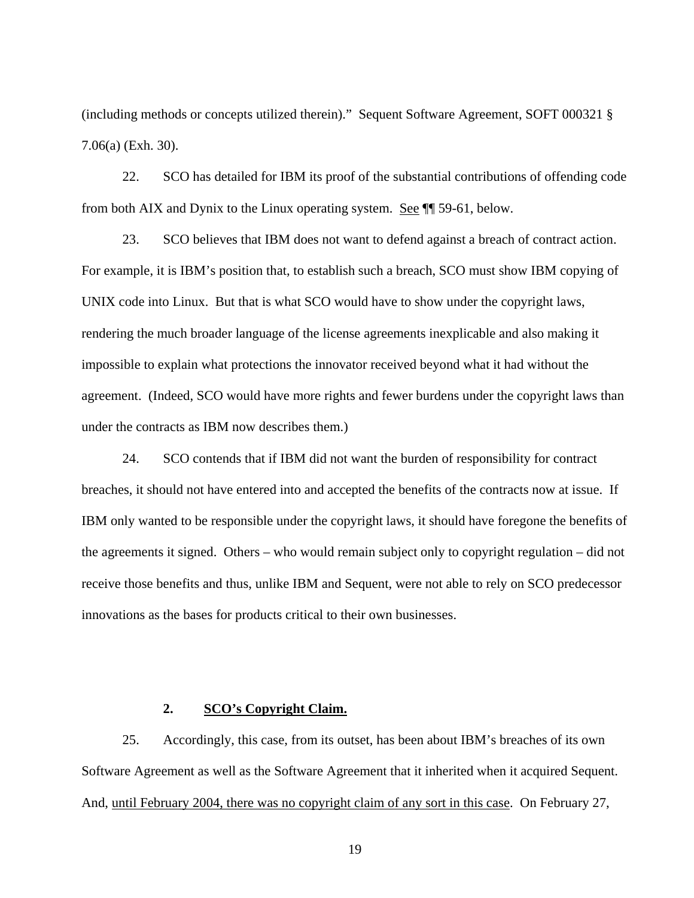(including methods or concepts utilized therein)." Sequent Software Agreement, SOFT 000321 § 7.06(a) (Exh. 30).

22. SCO has detailed for IBM its proof of the substantial contributions of offending code from both AIX and Dynix to the Linux operating system. See ¶¶ 59-61, below.

23. SCO believes that IBM does not want to defend against a breach of contract action. For example, it is IBM's position that, to establish such a breach, SCO must show IBM copying of UNIX code into Linux. But that is what SCO would have to show under the copyright laws, rendering the much broader language of the license agreements inexplicable and also making it impossible to explain what protections the innovator received beyond what it had without the agreement. (Indeed, SCO would have more rights and fewer burdens under the copyright laws than under the contracts as IBM now describes them.)

24. SCO contends that if IBM did not want the burden of responsibility for contract breaches, it should not have entered into and accepted the benefits of the contracts now at issue. If IBM only wanted to be responsible under the copyright laws, it should have foregone the benefits of the agreements it signed. Others – who would remain subject only to copyright regulation – did not receive those benefits and thus, unlike IBM and Sequent, were not able to rely on SCO predecessor innovations as the bases for products critical to their own businesses.

#### **2. SCO's Copyright Claim.**

25. Accordingly, this case, from its outset, has been about IBM's breaches of its own Software Agreement as well as the Software Agreement that it inherited when it acquired Sequent. And, until February 2004, there was no copyright claim of any sort in this case. On February 27,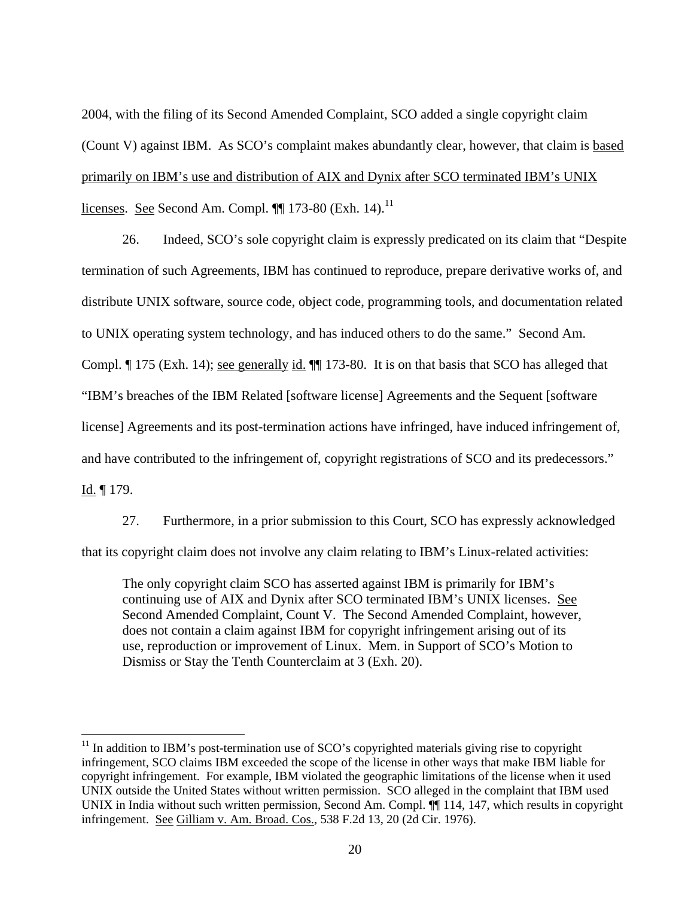2004, with the filing of its Second Amended Complaint, SCO added a single copyright claim (Count V) against IBM. As SCO's complaint makes abundantly clear, however, that claim is based primarily on IBM's use and distribution of AIX and Dynix after SCO terminated IBM's UNIX licenses. See Second Am. Compl.  $\P$  173-80 (Exh. 14).<sup>11</sup>

26. Indeed, SCO's sole copyright claim is expressly predicated on its claim that "Despite termination of such Agreements, IBM has continued to reproduce, prepare derivative works of, and distribute UNIX software, source code, object code, programming tools, and documentation related to UNIX operating system technology, and has induced others to do the same." Second Am. Compl. ¶ 175 (Exh. 14); <u>see generally id.</u> ¶ 173-80. It is on that basis that SCO has alleged that "IBM's breaches of the IBM Related [software license] Agreements and the Sequent [software license] Agreements and its post-termination actions have infringed, have induced infringement of, and have contributed to the infringement of, copyright registrations of SCO and its predecessors." Id. ¶ 179.

27. Furthermore, in a prior submission to this Court, SCO has expressly acknowledged that its copyright claim does not involve any claim relating to IBM's Linux-related activities:

The only copyright claim SCO has asserted against IBM is primarily for IBM's continuing use of AIX and Dynix after SCO terminated IBM's UNIX licenses. See Second Amended Complaint, Count V. The Second Amended Complaint, however, does not contain a claim against IBM for copyright infringement arising out of its use, reproduction or improvement of Linux. Mem. in Support of SCO's Motion to Dismiss or Stay the Tenth Counterclaim at 3 (Exh. 20).

 $11$  In addition to IBM's post-termination use of SCO's copyrighted materials giving rise to copyright infringement, SCO claims IBM exceeded the scope of the license in other ways that make IBM liable for copyright infringement. For example, IBM violated the geographic limitations of the license when it used UNIX outside the United States without written permission. SCO alleged in the complaint that IBM used UNIX in India without such written permission, Second Am. Compl.  $\P\P$  114, 147, which results in copyright infringement. See Gilliam v. Am. Broad. Cos., 538 F.2d 13, 20 (2d Cir. 1976).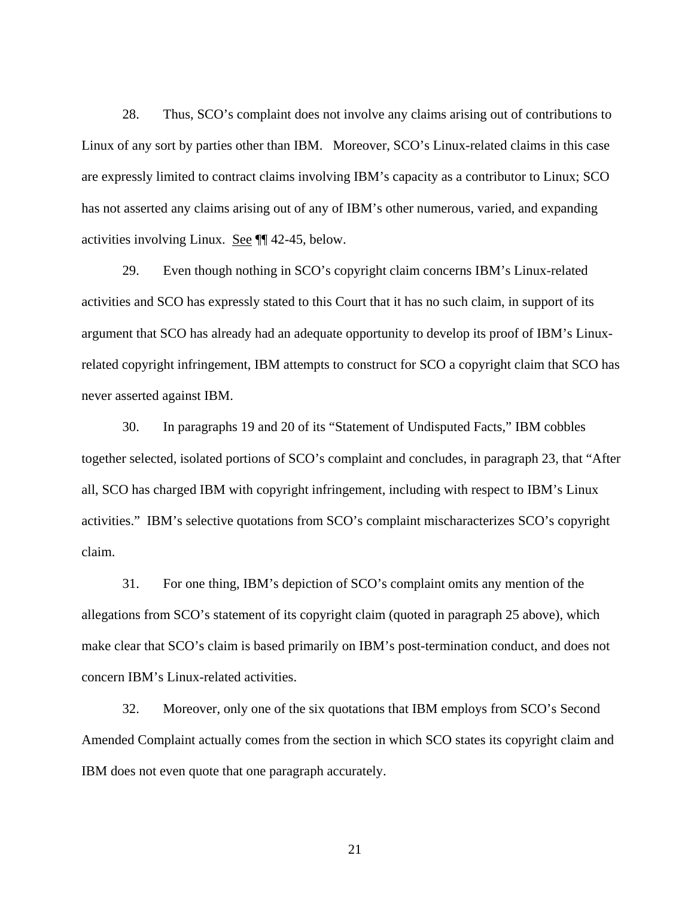28. Thus, SCO's complaint does not involve any claims arising out of contributions to Linux of any sort by parties other than IBM. Moreover, SCO's Linux-related claims in this case are expressly limited to contract claims involving IBM's capacity as a contributor to Linux; SCO has not asserted any claims arising out of any of IBM's other numerous, varied, and expanding activities involving Linux. See ¶¶ 42-45, below.

29. Even though nothing in SCO's copyright claim concerns IBM's Linux-related activities and SCO has expressly stated to this Court that it has no such claim, in support of its argument that SCO has already had an adequate opportunity to develop its proof of IBM's Linuxrelated copyright infringement, IBM attempts to construct for SCO a copyright claim that SCO has never asserted against IBM.

30. In paragraphs 19 and 20 of its "Statement of Undisputed Facts," IBM cobbles together selected, isolated portions of SCO's complaint and concludes, in paragraph 23, that "After all, SCO has charged IBM with copyright infringement, including with respect to IBM's Linux activities." IBM's selective quotations from SCO's complaint mischaracterizes SCO's copyright claim.

31. For one thing, IBM's depiction of SCO's complaint omits any mention of the allegations from SCO's statement of its copyright claim (quoted in paragraph 25 above), which make clear that SCO's claim is based primarily on IBM's post-termination conduct, and does not concern IBM's Linux-related activities.

32. Moreover, only one of the six quotations that IBM employs from SCO's Second Amended Complaint actually comes from the section in which SCO states its copyright claim and IBM does not even quote that one paragraph accurately.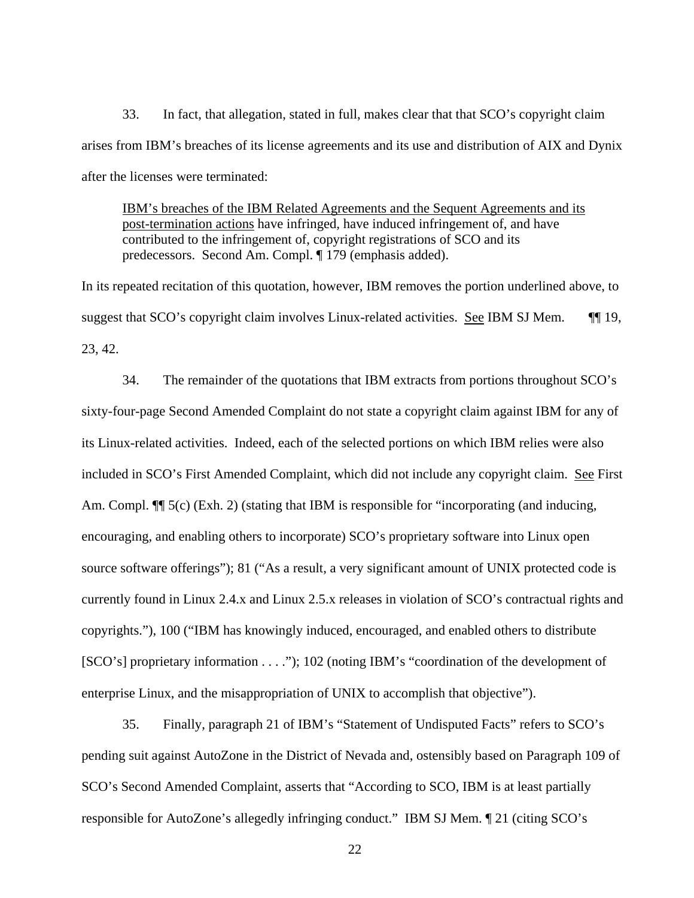33. In fact, that allegation, stated in full, makes clear that that SCO's copyright claim arises from IBM's breaches of its license agreements and its use and distribution of AIX and Dynix after the licenses were terminated:

 IBM's breaches of the IBM Related Agreements and the Sequent Agreements and its post-termination actions have infringed*,* have induced infringement of, and have contributed to the infringement of, copyright registrations of SCO and its predecessors. Second Am. Compl. ¶ 179 (emphasis added).

In its repeated recitation of this quotation, however, IBM removes the portion underlined above, to suggest that SCO's copyright claim involves Linux-related activities. See IBM SJ Mem. **II** 19, 23, 42.

34. The remainder of the quotations that IBM extracts from portions throughout SCO's sixty-four-page Second Amended Complaint do not state a copyright claim against IBM for any of its Linux-related activities. Indeed, each of the selected portions on which IBM relies were also included in SCO's First Amended Complaint, which did not include any copyright claim. See First Am. Compl.  $\P$ [ 5(c) (Exh. 2) (stating that IBM is responsible for "incorporating (and inducing, encouraging, and enabling others to incorporate) SCO's proprietary software into Linux open source software offerings"); 81 ("As a result, a very significant amount of UNIX protected code is currently found in Linux 2.4.x and Linux 2.5.x releases in violation of SCO's contractual rights and copyrights."), 100 ("IBM has knowingly induced, encouraged, and enabled others to distribute [SCO's] proprietary information . . . ."); 102 (noting IBM's "coordination of the development of enterprise Linux, and the misappropriation of UNIX to accomplish that objective").

35. Finally, paragraph 21 of IBM's "Statement of Undisputed Facts" refers to SCO's pending suit against AutoZone in the District of Nevada and, ostensibly based on Paragraph 109 of SCO's Second Amended Complaint, asserts that "According to SCO, IBM is at least partially responsible for AutoZone's allegedly infringing conduct." IBM SJ Mem. ¶ 21 (citing SCO's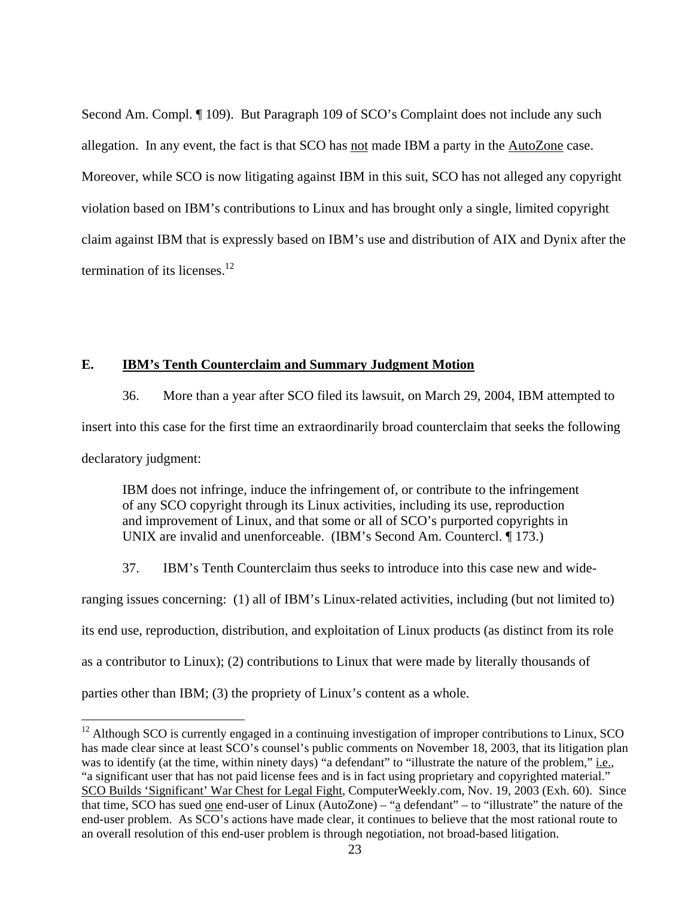Second Am. Compl. ¶ 109). But Paragraph 109 of SCO's Complaint does not include any such allegation. In any event, the fact is that SCO has not made IBM a party in the AutoZone case. Moreover, while SCO is now litigating against IBM in this suit, SCO has not alleged any copyright violation based on IBM's contributions to Linux and has brought only a single, limited copyright claim against IBM that is expressly based on IBM's use and distribution of AIX and Dynix after the termination of its licenses. $12$ 

### **E. IBM's Tenth Counterclaim and Summary Judgment Motion**

 $\overline{a}$ 

36. More than a year after SCO filed its lawsuit, on March 29, 2004, IBM attempted to insert into this case for the first time an extraordinarily broad counterclaim that seeks the following declaratory judgment:

IBM does not infringe, induce the infringement of, or contribute to the infringement of any SCO copyright through its Linux activities, including its use, reproduction and improvement of Linux, and that some or all of SCO's purported copyrights in UNIX are invalid and unenforceable. (IBM's Second Am. Countercl. ¶ 173.)

37. IBM's Tenth Counterclaim thus seeks to introduce into this case new and wide-

ranging issues concerning: (1) all of IBM's Linux-related activities, including (but not limited to) its end use, reproduction, distribution, and exploitation of Linux products (as distinct from its role as a contributor to Linux); (2) contributions to Linux that were made by literally thousands of parties other than IBM; (3) the propriety of Linux's content as a whole.

 $12$  Although SCO is currently engaged in a continuing investigation of improper contributions to Linux, SCO has made clear since at least SCO's counsel's public comments on November 18, 2003, that its litigation plan was to identify (at the time, within ninety days) "a defendant" to "illustrate the nature of the problem," i.e., "a significant user that has not paid license fees and is in fact using proprietary and copyrighted material." SCO Builds 'Significant' War Chest for Legal Fight, ComputerWeekly.com, Nov. 19, 2003 (Exh. 60). Since that time, SCO has sued one end-user of Linux (AutoZone) – "a defendant" – to "illustrate" the nature of the end-user problem. As SCO's actions have made clear, it continues to believe that the most rational route to an overall resolution of this end-user problem is through negotiation, not broad-based litigation.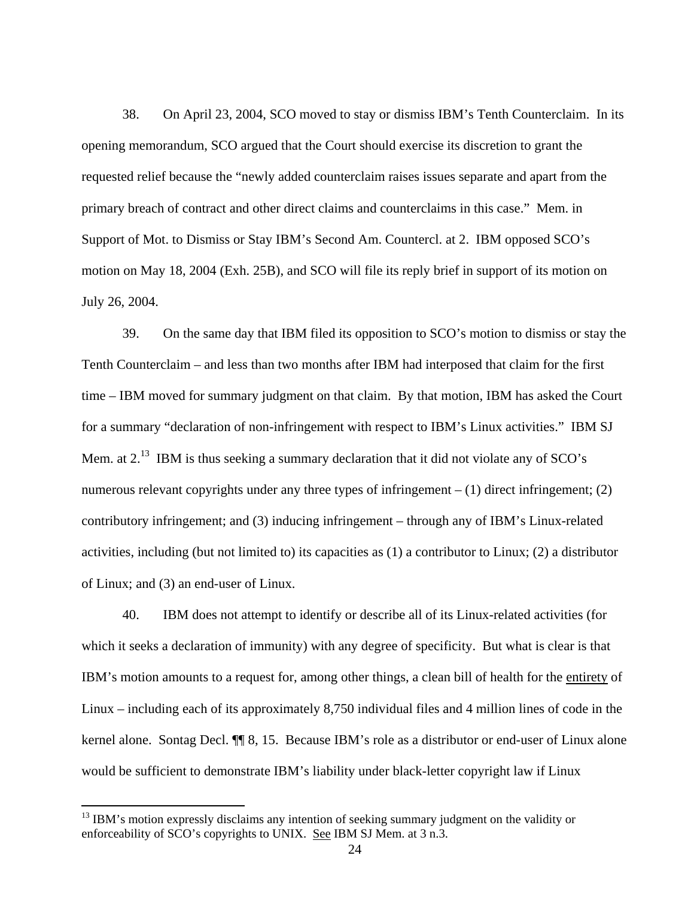38. On April 23, 2004, SCO moved to stay or dismiss IBM's Tenth Counterclaim. In its opening memorandum, SCO argued that the Court should exercise its discretion to grant the requested relief because the "newly added counterclaim raises issues separate and apart from the primary breach of contract and other direct claims and counterclaims in this case." Mem. in Support of Mot. to Dismiss or Stay IBM's Second Am. Countercl. at 2. IBM opposed SCO's motion on May 18, 2004 (Exh. 25B), and SCO will file its reply brief in support of its motion on July 26, 2004.

39. On the same day that IBM filed its opposition to SCO's motion to dismiss or stay the Tenth Counterclaim – and less than two months after IBM had interposed that claim for the first time – IBM moved for summary judgment on that claim. By that motion, IBM has asked the Court for a summary "declaration of non-infringement with respect to IBM's Linux activities." IBM SJ Mem. at  $2<sup>13</sup>$  IBM is thus seeking a summary declaration that it did not violate any of SCO's numerous relevant copyrights under any three types of infringement  $- (1)$  direct infringement; (2) contributory infringement; and (3) inducing infringement – through any of IBM's Linux-related activities, including (but not limited to) its capacities as (1) a contributor to Linux; (2) a distributor of Linux; and (3) an end-user of Linux.

40. IBM does not attempt to identify or describe all of its Linux-related activities (for which it seeks a declaration of immunity) with any degree of specificity. But what is clear is that IBM's motion amounts to a request for, among other things, a clean bill of health for the entirety of Linux – including each of its approximately 8,750 individual files and 4 million lines of code in the kernel alone. Sontag Decl. ¶¶ 8, 15. Because IBM's role as a distributor or end-user of Linux alone would be sufficient to demonstrate IBM's liability under black-letter copyright law if Linux

 $13$  IBM's motion expressly disclaims any intention of seeking summary judgment on the validity or enforceability of SCO's copyrights to UNIX. See IBM SJ Mem. at 3 n.3.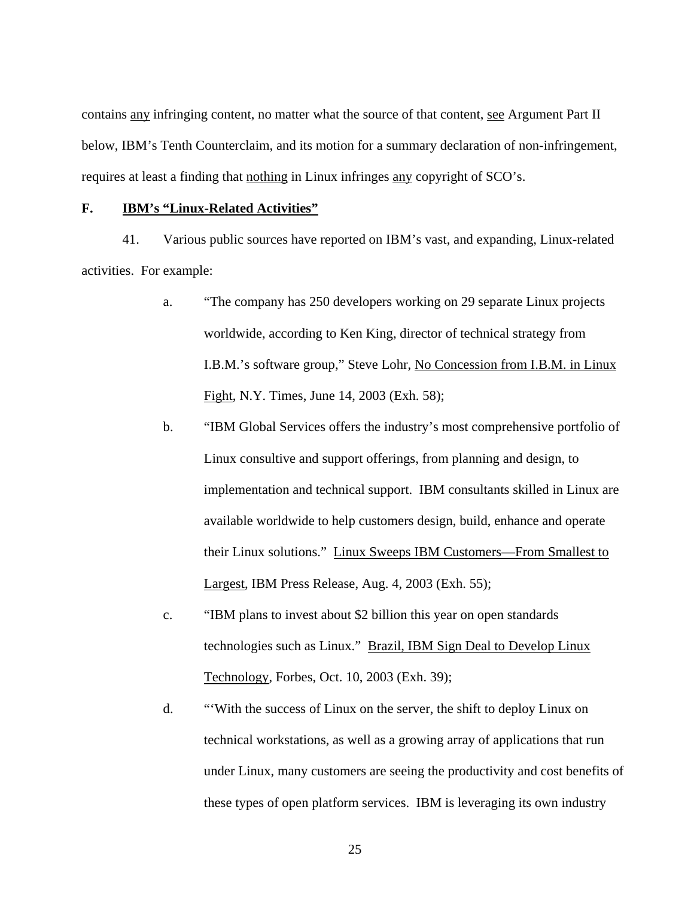contains any infringing content, no matter what the source of that content, see Argument Part II below, IBM's Tenth Counterclaim, and its motion for a summary declaration of non-infringement, requires at least a finding that nothing in Linux infringes any copyright of SCO's.

#### **F. IBM's "Linux-Related Activities"**

41. Various public sources have reported on IBM's vast, and expanding, Linux-related activities. For example:

- a. "The company has 250 developers working on 29 separate Linux projects worldwide, according to Ken King, director of technical strategy from I.B.M.'s software group," Steve Lohr, No Concession from I.B.M. in Linux Fight, N.Y. Times, June 14, 2003 (Exh. 58);
- b. "IBM Global Services offers the industry's most comprehensive portfolio of Linux consultive and support offerings, from planning and design, to implementation and technical support. IBM consultants skilled in Linux are available worldwide to help customers design, build, enhance and operate their Linux solutions." Linux Sweeps IBM Customers—From Smallest to Largest, IBM Press Release, Aug. 4, 2003 (Exh. 55);
- c. "IBM plans to invest about \$2 billion this year on open standards technologies such as Linux." Brazil, IBM Sign Deal to Develop Linux Technology, Forbes, Oct. 10, 2003 (Exh. 39);
- d. "'With the success of Linux on the server, the shift to deploy Linux on technical workstations, as well as a growing array of applications that run under Linux, many customers are seeing the productivity and cost benefits of these types of open platform services. IBM is leveraging its own industry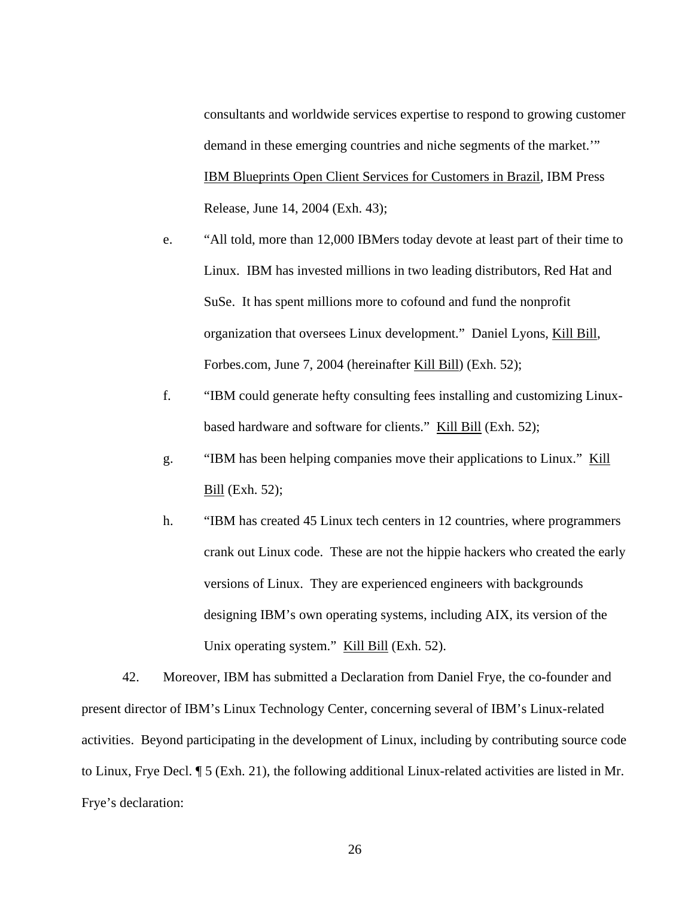consultants and worldwide services expertise to respond to growing customer demand in these emerging countries and niche segments of the market.'" IBM Blueprints Open Client Services for Customers in Brazil, IBM Press Release, June 14, 2004 (Exh. 43);

- e. "All told, more than 12,000 IBMers today devote at least part of their time to Linux. IBM has invested millions in two leading distributors, Red Hat and SuSe. It has spent millions more to cofound and fund the nonprofit organization that oversees Linux development." Daniel Lyons, Kill Bill, Forbes.com, June 7, 2004 (hereinafter Kill Bill) (Exh. 52);
- f. "IBM could generate hefty consulting fees installing and customizing Linuxbased hardware and software for clients." Kill Bill (Exh. 52);
- g. "IBM has been helping companies move their applications to Linux." Kill Bill (Exh. 52);
- h. "IBM has created 45 Linux tech centers in 12 countries, where programmers crank out Linux code. These are not the hippie hackers who created the early versions of Linux. They are experienced engineers with backgrounds designing IBM's own operating systems, including AIX, its version of the Unix operating system." Kill Bill (Exh. 52).

42. Moreover, IBM has submitted a Declaration from Daniel Frye, the co-founder and present director of IBM's Linux Technology Center, concerning several of IBM's Linux-related activities. Beyond participating in the development of Linux, including by contributing source code to Linux, Frye Decl. ¶ 5 (Exh. 21), the following additional Linux-related activities are listed in Mr. Frye's declaration: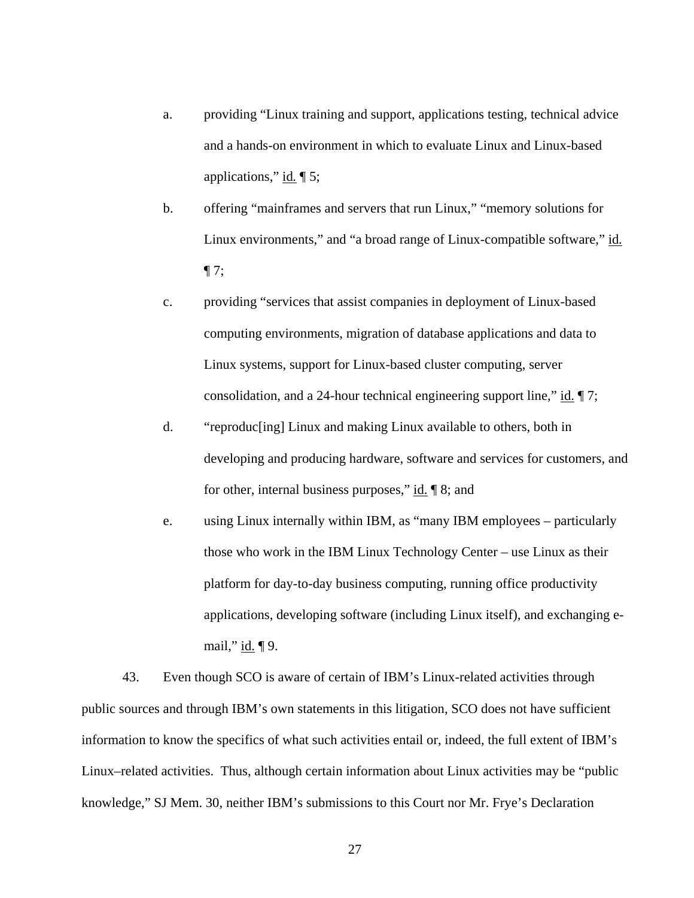- a. providing "Linux training and support, applications testing, technical advice and a hands-on environment in which to evaluate Linux and Linux-based applications," id*.* ¶ 5;
- b. offering "mainframes and servers that run Linux," "memory solutions for Linux environments," and "a broad range of Linux-compatible software," id*.*  $\P$  7;
- c. providing "services that assist companies in deployment of Linux-based computing environments, migration of database applications and data to Linux systems, support for Linux-based cluster computing, server consolidation, and a 24-hour technical engineering support line," id.  $\P$  7;
- d. "reproduc[ing] Linux and making Linux available to others, both in developing and producing hardware, software and services for customers, and for other, internal business purposes," id. ¶ 8; and
- e. using Linux internally within IBM, as "many IBM employees particularly those who work in the IBM Linux Technology Center – use Linux as their platform for day-to-day business computing, running office productivity applications, developing software (including Linux itself), and exchanging email," id. ¶ 9.

43. Even though SCO is aware of certain of IBM's Linux-related activities through public sources and through IBM's own statements in this litigation, SCO does not have sufficient information to know the specifics of what such activities entail or, indeed, the full extent of IBM's Linux–related activities. Thus, although certain information about Linux activities may be "public knowledge," SJ Mem. 30, neither IBM's submissions to this Court nor Mr. Frye's Declaration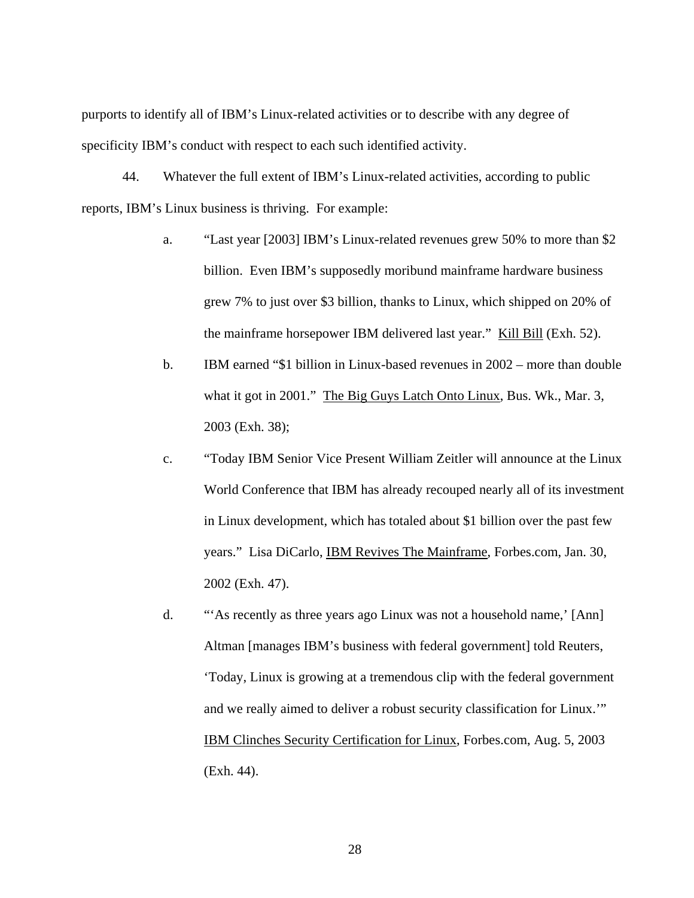purports to identify all of IBM's Linux-related activities or to describe with any degree of specificity IBM's conduct with respect to each such identified activity.

44. Whatever the full extent of IBM's Linux-related activities, according to public reports, IBM's Linux business is thriving. For example:

- a. "Last year [2003] IBM's Linux-related revenues grew 50% to more than \$2 billion. Even IBM's supposedly moribund mainframe hardware business grew 7% to just over \$3 billion, thanks to Linux, which shipped on 20% of the mainframe horsepower IBM delivered last year." Kill Bill (Exh. 52).
- b. IBM earned "\$1 billion in Linux-based revenues in 2002 more than double what it got in 2001." The Big Guys Latch Onto Linux, Bus. Wk., Mar. 3, 2003 (Exh. 38);
- c. "Today IBM Senior Vice Present William Zeitler will announce at the Linux World Conference that IBM has already recouped nearly all of its investment in Linux development, which has totaled about \$1 billion over the past few years." Lisa DiCarlo, IBM Revives The Mainframe, Forbes.com, Jan. 30, 2002 (Exh. 47).
- d. "'As recently as three years ago Linux was not a household name,' [Ann] Altman [manages IBM's business with federal government] told Reuters, 'Today, Linux is growing at a tremendous clip with the federal government and we really aimed to deliver a robust security classification for Linux.'" IBM Clinches Security Certification for Linux, Forbes.com, Aug. 5, 2003 (Exh. 44).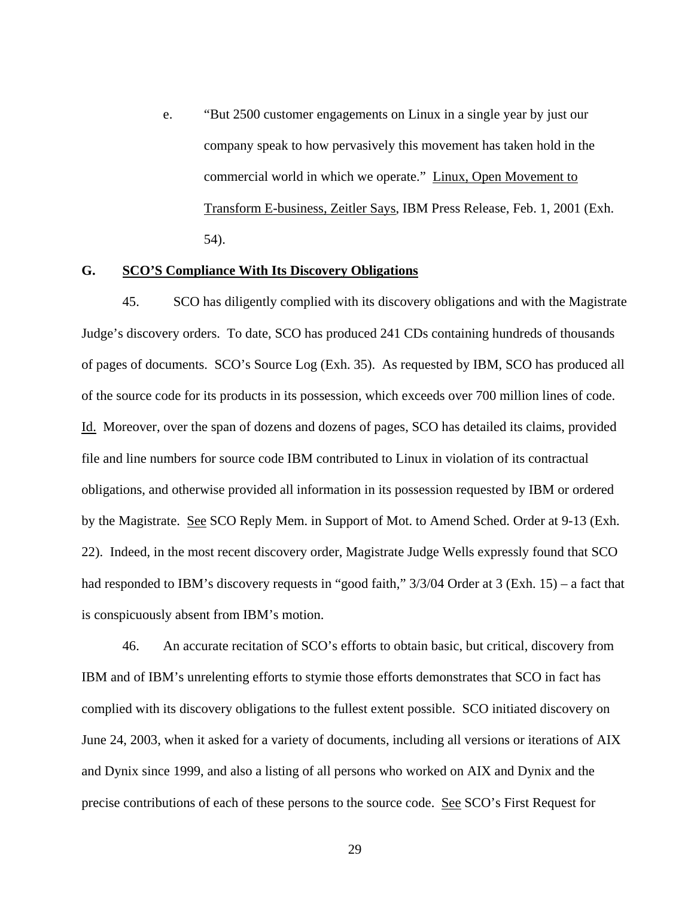e. "But 2500 customer engagements on Linux in a single year by just our company speak to how pervasively this movement has taken hold in the commercial world in which we operate." Linux, Open Movement to Transform E-business, Zeitler Says, IBM Press Release, Feb. 1, 2001 (Exh. 54).

#### **G. SCO'S Compliance With Its Discovery Obligations**

45. SCO has diligently complied with its discovery obligations and with the Magistrate Judge's discovery orders. To date, SCO has produced 241 CDs containing hundreds of thousands of pages of documents. SCO's Source Log (Exh. 35). As requested by IBM, SCO has produced all of the source code for its products in its possession, which exceeds over 700 million lines of code. Id. Moreover, over the span of dozens and dozens of pages, SCO has detailed its claims, provided file and line numbers for source code IBM contributed to Linux in violation of its contractual obligations, and otherwise provided all information in its possession requested by IBM or ordered by the Magistrate. See SCO Reply Mem. in Support of Mot. to Amend Sched. Order at 9-13 (Exh. 22). Indeed, in the most recent discovery order, Magistrate Judge Wells expressly found that SCO had responded to IBM's discovery requests in "good faith,"  $3/3/04$  Order at 3 (Exh. 15) – a fact that is conspicuously absent from IBM's motion.

46. An accurate recitation of SCO's efforts to obtain basic, but critical, discovery from IBM and of IBM's unrelenting efforts to stymie those efforts demonstrates that SCO in fact has complied with its discovery obligations to the fullest extent possible. SCO initiated discovery on June 24, 2003, when it asked for a variety of documents, including all versions or iterations of AIX and Dynix since 1999, and also a listing of all persons who worked on AIX and Dynix and the precise contributions of each of these persons to the source code. See SCO's First Request for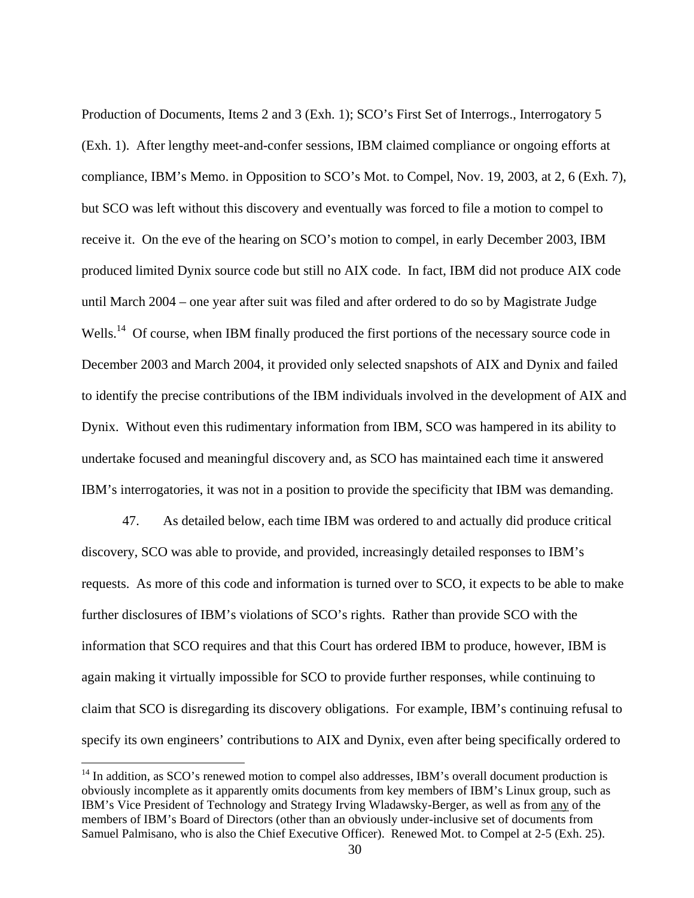Production of Documents, Items 2 and 3 (Exh. 1); SCO's First Set of Interrogs., Interrogatory 5 (Exh. 1). After lengthy meet-and-confer sessions, IBM claimed compliance or ongoing efforts at compliance, IBM's Memo. in Opposition to SCO's Mot. to Compel, Nov. 19, 2003, at 2, 6 (Exh. 7), but SCO was left without this discovery and eventually was forced to file a motion to compel to receive it. On the eve of the hearing on SCO's motion to compel, in early December 2003, IBM produced limited Dynix source code but still no AIX code. In fact, IBM did not produce AIX code until March 2004 – one year after suit was filed and after ordered to do so by Magistrate Judge Wells.<sup>14</sup> Of course, when IBM finally produced the first portions of the necessary source code in December 2003 and March 2004, it provided only selected snapshots of AIX and Dynix and failed to identify the precise contributions of the IBM individuals involved in the development of AIX and Dynix. Without even this rudimentary information from IBM, SCO was hampered in its ability to undertake focused and meaningful discovery and, as SCO has maintained each time it answered IBM's interrogatories, it was not in a position to provide the specificity that IBM was demanding.

47. As detailed below, each time IBM was ordered to and actually did produce critical discovery, SCO was able to provide, and provided, increasingly detailed responses to IBM's requests. As more of this code and information is turned over to SCO, it expects to be able to make further disclosures of IBM's violations of SCO's rights. Rather than provide SCO with the information that SCO requires and that this Court has ordered IBM to produce, however, IBM is again making it virtually impossible for SCO to provide further responses, while continuing to claim that SCO is disregarding its discovery obligations. For example, IBM's continuing refusal to specify its own engineers' contributions to AIX and Dynix, even after being specifically ordered to

<sup>&</sup>lt;sup>14</sup> In addition, as SCO's renewed motion to compel also addresses, IBM's overall document production is obviously incomplete as it apparently omits documents from key members of IBM's Linux group, such as IBM's Vice President of Technology and Strategy Irving Wladawsky-Berger, as well as from any of the members of IBM's Board of Directors (other than an obviously under-inclusive set of documents from Samuel Palmisano, who is also the Chief Executive Officer). Renewed Mot. to Compel at 2-5 (Exh. 25).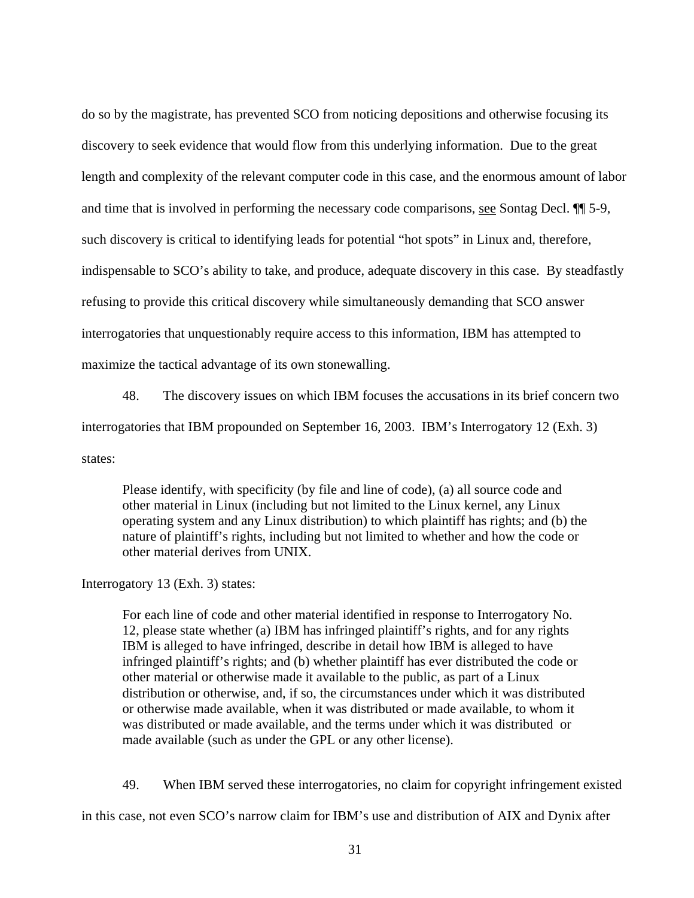do so by the magistrate, has prevented SCO from noticing depositions and otherwise focusing its discovery to seek evidence that would flow from this underlying information. Due to the great length and complexity of the relevant computer code in this case, and the enormous amount of labor and time that is involved in performing the necessary code comparisons, see Sontag Decl. ¶¶ 5-9, such discovery is critical to identifying leads for potential "hot spots" in Linux and, therefore, indispensable to SCO's ability to take, and produce, adequate discovery in this case. By steadfastly refusing to provide this critical discovery while simultaneously demanding that SCO answer interrogatories that unquestionably require access to this information, IBM has attempted to maximize the tactical advantage of its own stonewalling.

48. The discovery issues on which IBM focuses the accusations in its brief concern two

interrogatories that IBM propounded on September 16, 2003. IBM's Interrogatory 12 (Exh. 3)

states:

 Please identify, with specificity (by file and line of code), (a) all source code and other material in Linux (including but not limited to the Linux kernel, any Linux operating system and any Linux distribution) to which plaintiff has rights; and (b) the nature of plaintiff's rights, including but not limited to whether and how the code or other material derives from UNIX.

Interrogatory 13 (Exh. 3) states:

For each line of code and other material identified in response to Interrogatory No. 12, please state whether (a) IBM has infringed plaintiff's rights, and for any rights IBM is alleged to have infringed, describe in detail how IBM is alleged to have infringed plaintiff's rights; and (b) whether plaintiff has ever distributed the code or other material or otherwise made it available to the public, as part of a Linux distribution or otherwise, and, if so, the circumstances under which it was distributed or otherwise made available, when it was distributed or made available, to whom it was distributed or made available, and the terms under which it was distributed or made available (such as under the GPL or any other license).

49. When IBM served these interrogatories, no claim for copyright infringement existed

in this case, not even SCO's narrow claim for IBM's use and distribution of AIX and Dynix after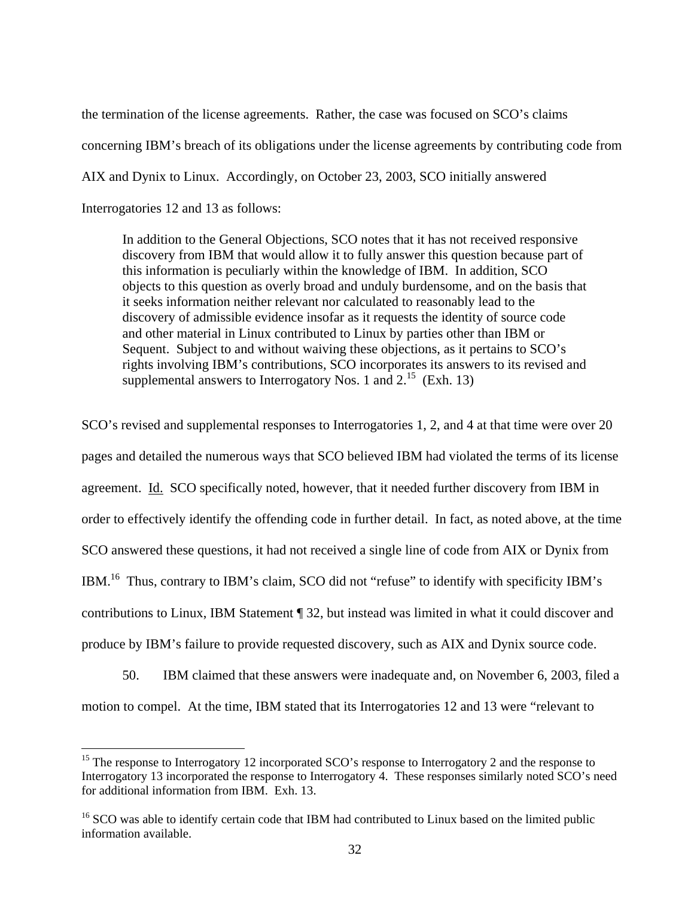the termination of the license agreements. Rather, the case was focused on SCO's claims concerning IBM's breach of its obligations under the license agreements by contributing code from AIX and Dynix to Linux. Accordingly, on October 23, 2003, SCO initially answered Interrogatories 12 and 13 as follows:

In addition to the General Objections, SCO notes that it has not received responsive discovery from IBM that would allow it to fully answer this question because part of this information is peculiarly within the knowledge of IBM. In addition, SCO objects to this question as overly broad and unduly burdensome, and on the basis that it seeks information neither relevant nor calculated to reasonably lead to the discovery of admissible evidence insofar as it requests the identity of source code and other material in Linux contributed to Linux by parties other than IBM or Sequent. Subject to and without waiving these objections, as it pertains to SCO's rights involving IBM's contributions, SCO incorporates its answers to its revised and supplemental answers to Interrogatory Nos. 1 and  $2^{15}$  (Exh. 13)

SCO's revised and supplemental responses to Interrogatories 1, 2, and 4 at that time were over 20 pages and detailed the numerous ways that SCO believed IBM had violated the terms of its license agreement. Id. SCO specifically noted, however, that it needed further discovery from IBM in order to effectively identify the offending code in further detail. In fact, as noted above, at the time SCO answered these questions, it had not received a single line of code from AIX or Dynix from IBM.<sup>16</sup> Thus, contrary to IBM's claim, SCO did not "refuse" to identify with specificity IBM's contributions to Linux, IBM Statement ¶ 32, but instead was limited in what it could discover and produce by IBM's failure to provide requested discovery, such as AIX and Dynix source code.

50. IBM claimed that these answers were inadequate and, on November 6, 2003, filed a motion to compel. At the time, IBM stated that its Interrogatories 12 and 13 were "relevant to

 $15$  The response to Interrogatory 12 incorporated SCO's response to Interrogatory 2 and the response to Interrogatory 13 incorporated the response to Interrogatory 4. These responses similarly noted SCO's need for additional information from IBM. Exh. 13.

<sup>&</sup>lt;sup>16</sup> SCO was able to identify certain code that IBM had contributed to Linux based on the limited public information available.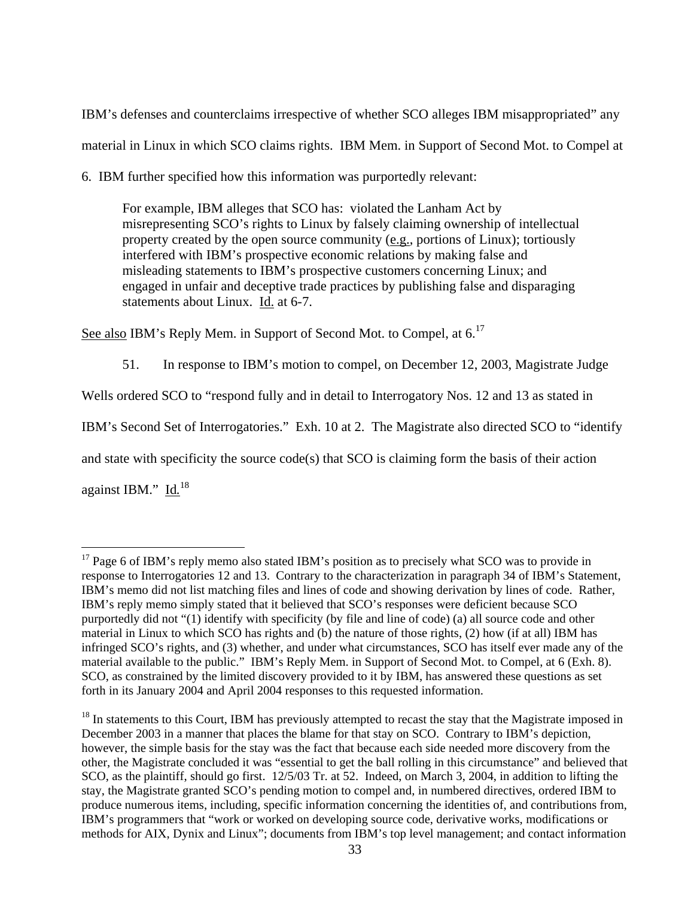IBM's defenses and counterclaims irrespective of whether SCO alleges IBM misappropriated" any material in Linux in which SCO claims rights. IBM Mem. in Support of Second Mot. to Compel at

6. IBM further specified how this information was purportedly relevant:

For example, IBM alleges that SCO has: violated the Lanham Act by misrepresenting SCO's rights to Linux by falsely claiming ownership of intellectual property created by the open source community (e.g., portions of Linux); tortiously interfered with IBM's prospective economic relations by making false and misleading statements to IBM's prospective customers concerning Linux; and engaged in unfair and deceptive trade practices by publishing false and disparaging statements about Linux. Id. at 6-7.

See also IBM's Reply Mem. in Support of Second Mot. to Compel, at 6.<sup>17</sup>

51. In response to IBM's motion to compel, on December 12, 2003, Magistrate Judge

Wells ordered SCO to "respond fully and in detail to Interrogatory Nos. 12 and 13 as stated in

IBM's Second Set of Interrogatories." Exh. 10 at 2. The Magistrate also directed SCO to "identify

and state with specificity the source code(s) that SCO is claiming form the basis of their action

against IBM." Id.<sup>18</sup>

<sup>&</sup>lt;sup>17</sup> Page 6 of IBM's reply memo also stated IBM's position as to precisely what SCO was to provide in response to Interrogatories 12 and 13. Contrary to the characterization in paragraph 34 of IBM's Statement, IBM's memo did not list matching files and lines of code and showing derivation by lines of code. Rather, IBM's reply memo simply stated that it believed that SCO's responses were deficient because SCO purportedly did not "(1) identify with specificity (by file and line of code) (a) all source code and other material in Linux to which SCO has rights and (b) the nature of those rights, (2) how (if at all) IBM has infringed SCO's rights, and (3) whether, and under what circumstances, SCO has itself ever made any of the material available to the public." IBM's Reply Mem. in Support of Second Mot. to Compel, at 6 (Exh. 8). SCO, as constrained by the limited discovery provided to it by IBM, has answered these questions as set forth in its January 2004 and April 2004 responses to this requested information.

<sup>&</sup>lt;sup>18</sup> In statements to this Court, IBM has previously attempted to recast the stay that the Magistrate imposed in December 2003 in a manner that places the blame for that stay on SCO. Contrary to IBM's depiction, however, the simple basis for the stay was the fact that because each side needed more discovery from the other, the Magistrate concluded it was "essential to get the ball rolling in this circumstance" and believed that SCO, as the plaintiff, should go first. 12/5/03 Tr. at 52. Indeed, on March 3, 2004, in addition to lifting the stay, the Magistrate granted SCO's pending motion to compel and, in numbered directives, ordered IBM to produce numerous items, including, specific information concerning the identities of, and contributions from, IBM's programmers that "work or worked on developing source code, derivative works, modifications or methods for AIX, Dynix and Linux"; documents from IBM's top level management; and contact information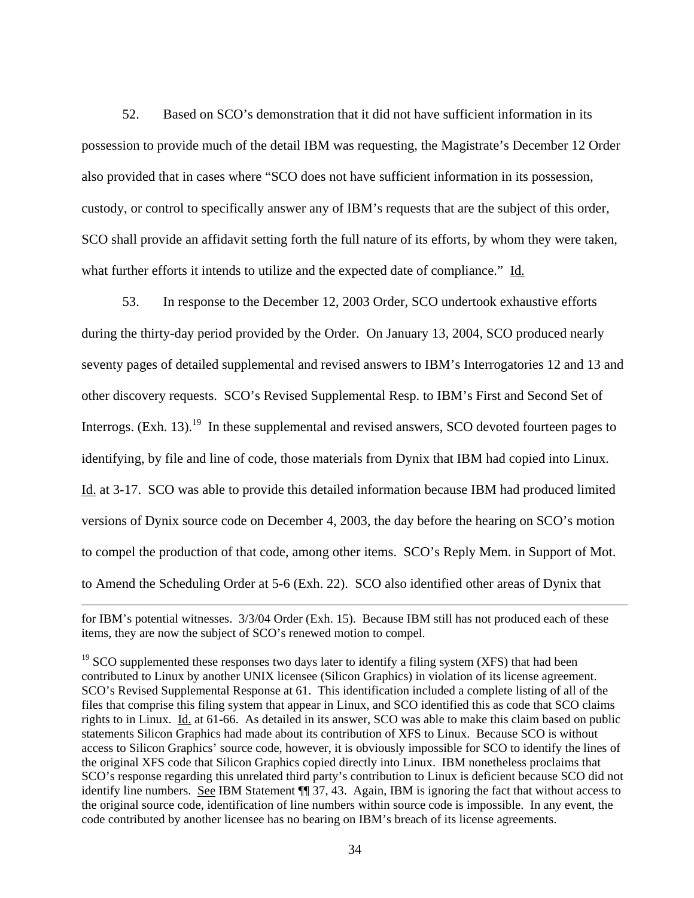52. Based on SCO's demonstration that it did not have sufficient information in its possession to provide much of the detail IBM was requesting, the Magistrate's December 12 Order also provided that in cases where "SCO does not have sufficient information in its possession, custody, or control to specifically answer any of IBM's requests that are the subject of this order, SCO shall provide an affidavit setting forth the full nature of its efforts, by whom they were taken, what further efforts it intends to utilize and the expected date of compliance." Id*.*

53. In response to the December 12, 2003 Order, SCO undertook exhaustive efforts during the thirty-day period provided by the Order. On January 13, 2004, SCO produced nearly seventy pages of detailed supplemental and revised answers to IBM's Interrogatories 12 and 13 and other discovery requests. SCO's Revised Supplemental Resp. to IBM's First and Second Set of Interrogs.  $(Exh. 13).$ <sup>19</sup> In these supplemental and revised answers, SCO devoted fourteen pages to identifying, by file and line of code, those materials from Dynix that IBM had copied into Linux. Id. at 3-17. SCO was able to provide this detailed information because IBM had produced limited versions of Dynix source code on December 4, 2003, the day before the hearing on SCO's motion to compel the production of that code, among other items. SCO's Reply Mem. in Support of Mot. to Amend the Scheduling Order at 5-6 (Exh. 22). SCO also identified other areas of Dynix that

<u>.</u>

for IBM's potential witnesses. 3/3/04 Order (Exh. 15). Because IBM still has not produced each of these items, they are now the subject of SCO's renewed motion to compel.

<sup>&</sup>lt;sup>19</sup> SCO supplemented these responses two days later to identify a filing system (XFS) that had been contributed to Linux by another UNIX licensee (Silicon Graphics) in violation of its license agreement. SCO's Revised Supplemental Response at 61.This identification included a complete listing of all of the files that comprise this filing system that appear in Linux, and SCO identified this as code that SCO claims rights to in Linux. Id. at 61-66. As detailed in its answer, SCO was able to make this claim based on public statements Silicon Graphics had made about its contribution of XFS to Linux. Because SCO is without access to Silicon Graphics' source code, however, it is obviously impossible for SCO to identify the lines of the original XFS code that Silicon Graphics copied directly into Linux. IBM nonetheless proclaims that SCO's response regarding this unrelated third party's contribution to Linux is deficient because SCO did not identify line numbers. See IBM Statement  $\P$  37, 43. Again, IBM is ignoring the fact that without access to the original source code, identification of line numbers within source code is impossible. In any event, the code contributed by another licensee has no bearing on IBM's breach of its license agreements.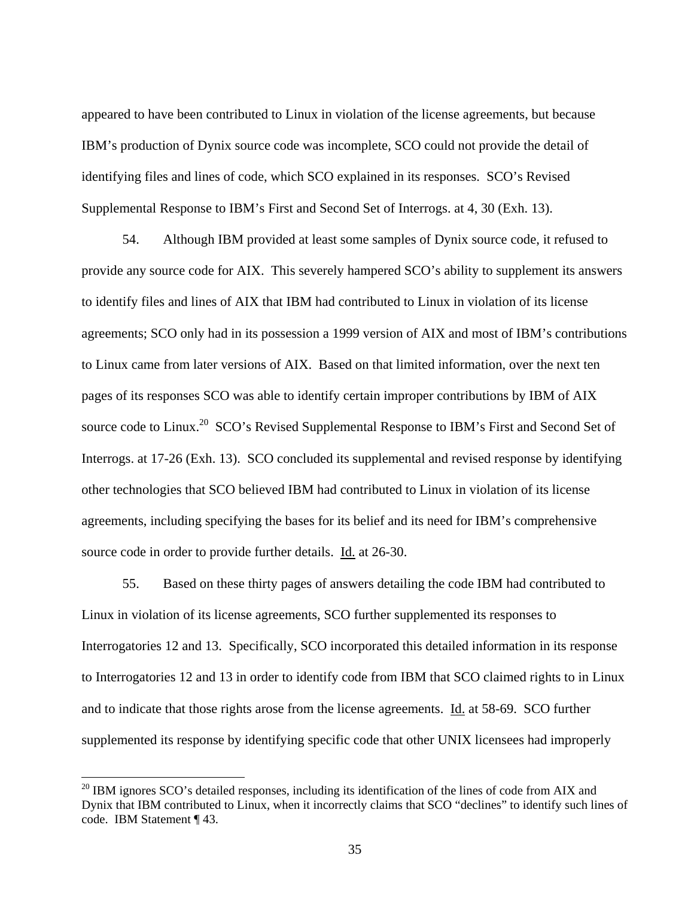appeared to have been contributed to Linux in violation of the license agreements, but because IBM's production of Dynix source code was incomplete, SCO could not provide the detail of identifying files and lines of code, which SCO explained in its responses.SCO's Revised Supplemental Response to IBM's First and Second Set of Interrogs. at 4, 30 (Exh. 13).

54. Although IBM provided at least some samples of Dynix source code, it refused to provide any source code for AIX. This severely hampered SCO's ability to supplement its answers to identify files and lines of AIX that IBM had contributed to Linux in violation of its license agreements; SCO only had in its possession a 1999 version of AIX and most of IBM's contributions to Linux came from later versions of AIX. Based on that limited information, over the next ten pages of its responses SCO was able to identify certain improper contributions by IBM of AIX source code to Linux.<sup>20</sup> SCO's Revised Supplemental Response to IBM's First and Second Set of Interrogs. at 17-26 (Exh. 13). SCO concluded its supplemental and revised response by identifying other technologies that SCO believed IBM had contributed to Linux in violation of its license agreements, including specifying the bases for its belief and its need for IBM's comprehensive source code in order to provide further details. Id. at 26-30.

55. Based on these thirty pages of answers detailing the code IBM had contributed to Linux in violation of its license agreements, SCO further supplemented its responses to Interrogatories 12 and 13. Specifically, SCO incorporated this detailed information in its response to Interrogatories 12 and 13 in order to identify code from IBM that SCO claimed rights to in Linux and to indicate that those rights arose from the license agreements. Id. at 58-69. SCO further supplemented its response by identifying specific code that other UNIX licensees had improperly

 $20$  IBM ignores SCO's detailed responses, including its identification of the lines of code from AIX and Dynix that IBM contributed to Linux, when it incorrectly claims that SCO "declines" to identify such lines of code. IBM Statement ¶ 43.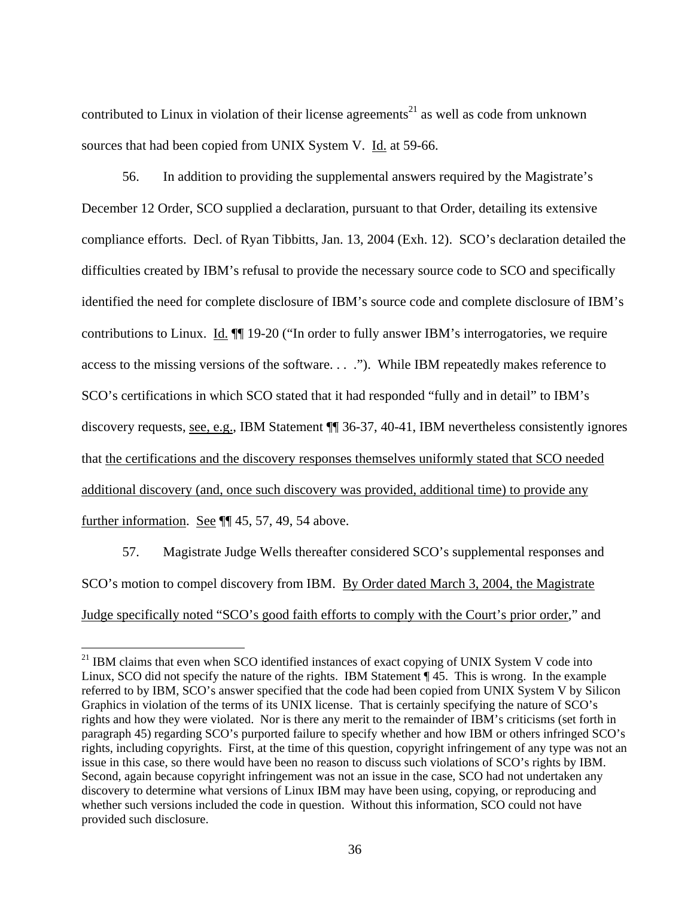contributed to Linux in violation of their license agreements<sup>21</sup> as well as code from unknown sources that had been copied from UNIX System V. Id. at 59-66.

56. In addition to providing the supplemental answers required by the Magistrate's December 12 Order, SCO supplied a declaration, pursuant to that Order, detailing its extensive compliance efforts. Decl. of Ryan Tibbitts, Jan. 13, 2004 (Exh. 12). SCO's declaration detailed the difficulties created by IBM's refusal to provide the necessary source code to SCO and specifically identified the need for complete disclosure of IBM's source code and complete disclosure of IBM's contributions to Linux. Id. ¶¶ 19-20 ("In order to fully answer IBM's interrogatories, we require access to the missing versions of the software. . . ."). While IBM repeatedly makes reference to SCO's certifications in which SCO stated that it had responded "fully and in detail" to IBM's discovery requests, see, e.g., IBM Statement ¶¶ 36-37, 40-41, IBM nevertheless consistently ignores that the certifications and the discovery responses themselves uniformly stated that SCO needed additional discovery (and, once such discovery was provided, additional time) to provide any further information. See ¶¶ 45, 57, 49, 54 above.

57. Magistrate Judge Wells thereafter considered SCO's supplemental responses and SCO's motion to compel discovery from IBM. By Order dated March 3, 2004, the Magistrate Judge specifically noted "SCO's good faith efforts to comply with the Court's prior order," and

<sup>&</sup>lt;sup>21</sup> IBM claims that even when SCO identified instances of exact copying of UNIX System V code into Linux, SCO did not specify the nature of the rights. IBM Statement ¶ 45. This is wrong. In the example referred to by IBM, SCO's answer specified that the code had been copied from UNIX System V by Silicon Graphics in violation of the terms of its UNIX license. That is certainly specifying the nature of SCO's rights and how they were violated. Nor is there any merit to the remainder of IBM's criticisms (set forth in paragraph 45) regarding SCO's purported failure to specify whether and how IBM or others infringed SCO's rights, including copyrights. First, at the time of this question, copyright infringement of any type was not an issue in this case, so there would have been no reason to discuss such violations of SCO's rights by IBM. Second, again because copyright infringement was not an issue in the case, SCO had not undertaken any discovery to determine what versions of Linux IBM may have been using, copying, or reproducing and whether such versions included the code in question. Without this information, SCO could not have provided such disclosure.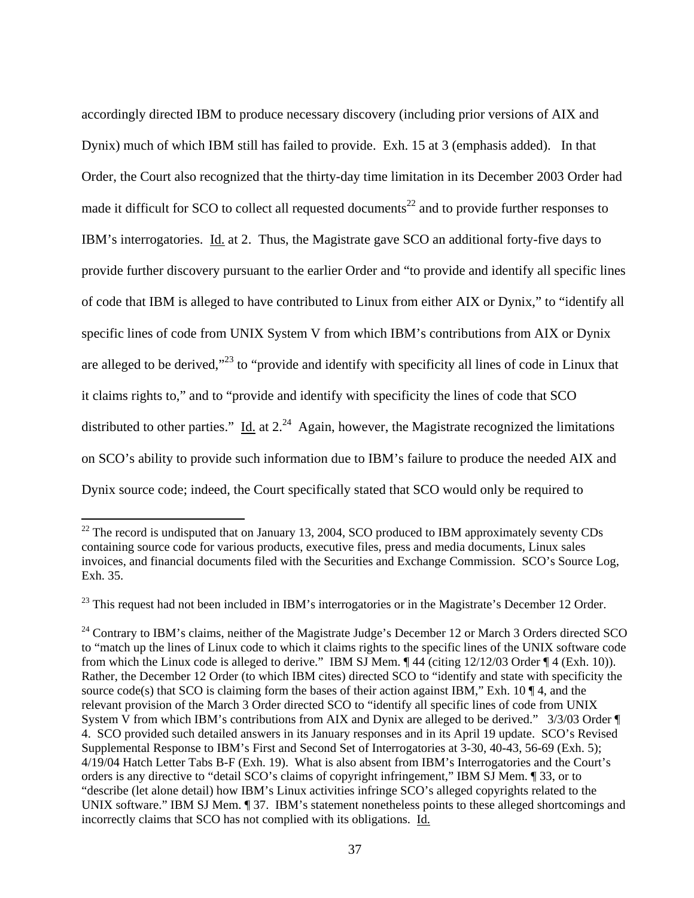accordingly directed IBM to produce necessary discovery (including prior versions of AIX and Dynix) much of which IBM still has failed to provide. Exh. 15 at 3 (emphasis added). In that Order, the Court also recognized that the thirty-day time limitation in its December 2003 Order had made it difficult for SCO to collect all requested documents<sup>22</sup> and to provide further responses to IBM's interrogatories. Id. at 2. Thus, the Magistrate gave SCO an additional forty-five days to provide further discovery pursuant to the earlier Order and "to provide and identify all specific lines of code that IBM is alleged to have contributed to Linux from either AIX or Dynix," to "identify all specific lines of code from UNIX System V from which IBM's contributions from AIX or Dynix are alleged to be derived,"<sup>23</sup> to "provide and identify with specificity all lines of code in Linux that it claims rights to," and to "provide and identify with specificity the lines of code that SCO distributed to other parties." Id. at  $2^{24}$  Again, however, the Magistrate recognized the limitations on SCO's ability to provide such information due to IBM's failure to produce the needed AIX and Dynix source code; indeed, the Court specifically stated that SCO would only be required to

 $22$  The record is undisputed that on January 13, 2004, SCO produced to IBM approximately seventy CDs containing source code for various products, executive files, press and media documents, Linux sales invoices, and financial documents filed with the Securities and Exchange Commission. SCO's Source Log, Exh. 35.

<sup>&</sup>lt;sup>23</sup> This request had not been included in IBM's interrogatories or in the Magistrate's December 12 Order.

<sup>&</sup>lt;sup>24</sup> Contrary to IBM's claims, neither of the Magistrate Judge's December 12 or March 3 Orders directed SCO to "match up the lines of Linux code to which it claims rights to the specific lines of the UNIX software code from which the Linux code is alleged to derive." IBM SJ Mem. ¶ 44 (citing 12/12/03 Order ¶ 4 (Exh. 10)). Rather, the December 12 Order (to which IBM cites) directed SCO to "identify and state with specificity the source code(s) that SCO is claiming form the bases of their action against IBM," Exh. 10  $\P$ 4, and the relevant provision of the March 3 Order directed SCO to "identify all specific lines of code from UNIX System V from which IBM's contributions from AIX and Dynix are alleged to be derived." 3/3/03 Order ¶ 4. SCO provided such detailed answers in its January responses and in its April 19 update. SCO's Revised Supplemental Response to IBM's First and Second Set of Interrogatories at 3-30, 40-43, 56-69 (Exh. 5); 4/19/04 Hatch Letter Tabs B-F (Exh. 19). What is also absent from IBM's Interrogatories and the Court's orders is any directive to "detail SCO's claims of copyright infringement," IBM SJ Mem. ¶ 33, or to "describe (let alone detail) how IBM's Linux activities infringe SCO's alleged copyrights related to the UNIX software." IBM SJ Mem.  $\sqrt{ }$  37. IBM's statement nonetheless points to these alleged shortcomings and incorrectly claims that SCO has not complied with its obligations. Id.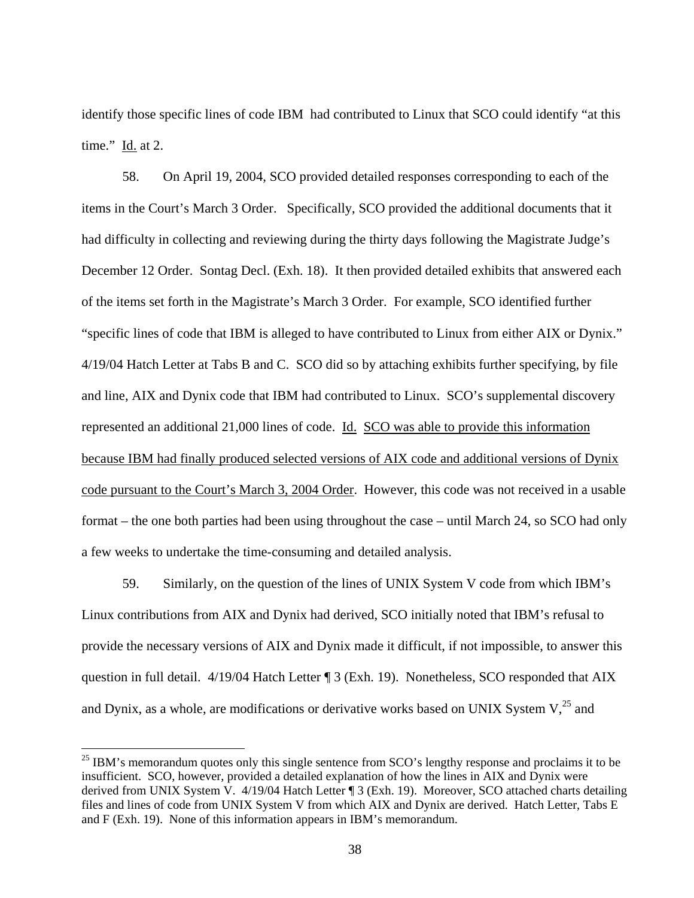identify those specific lines of code IBM had contributed to Linux that SCO could identify "at this time." Id. at 2.

58. On April 19, 2004, SCO provided detailed responses corresponding to each of the items in the Court's March 3 Order. Specifically, SCO provided the additional documents that it had difficulty in collecting and reviewing during the thirty days following the Magistrate Judge's December 12 Order. Sontag Decl. (Exh. 18). It then provided detailed exhibits that answered each of the items set forth in the Magistrate's March 3 Order. For example, SCO identified further "specific lines of code that IBM is alleged to have contributed to Linux from either AIX or Dynix." 4/19/04 Hatch Letter at Tabs B and C. SCO did so by attaching exhibits further specifying, by file and line, AIX and Dynix code that IBM had contributed to Linux. SCO's supplemental discovery represented an additional 21,000 lines of code. Id. SCO was able to provide this information because IBM had finally produced selected versions of AIX code and additional versions of Dynix code pursuant to the Court's March 3, 2004 Order. However, this code was not received in a usable format – the one both parties had been using throughout the case – until March 24, so SCO had only a few weeks to undertake the time-consuming and detailed analysis.

59. Similarly, on the question of the lines of UNIX System V code from which IBM's Linux contributions from AIX and Dynix had derived, SCO initially noted that IBM's refusal to provide the necessary versions of AIX and Dynix made it difficult, if not impossible, to answer this question in full detail. 4/19/04 Hatch Letter ¶ 3 (Exh. 19). Nonetheless, SCO responded that AIX and Dynix, as a whole, are modifications or derivative works based on UNIX System  $V<sub>1</sub><sup>25</sup>$  and

 $^{25}$  IBM's memorandum quotes only this single sentence from SCO's lengthy response and proclaims it to be insufficient. SCO, however, provided a detailed explanation of how the lines in AIX and Dynix were derived from UNIX System V. 4/19/04 Hatch Letter ¶ 3 (Exh. 19). Moreover, SCO attached charts detailing files and lines of code from UNIX System V from which AIX and Dynix are derived. Hatch Letter, Tabs E and F (Exh. 19). None of this information appears in IBM's memorandum.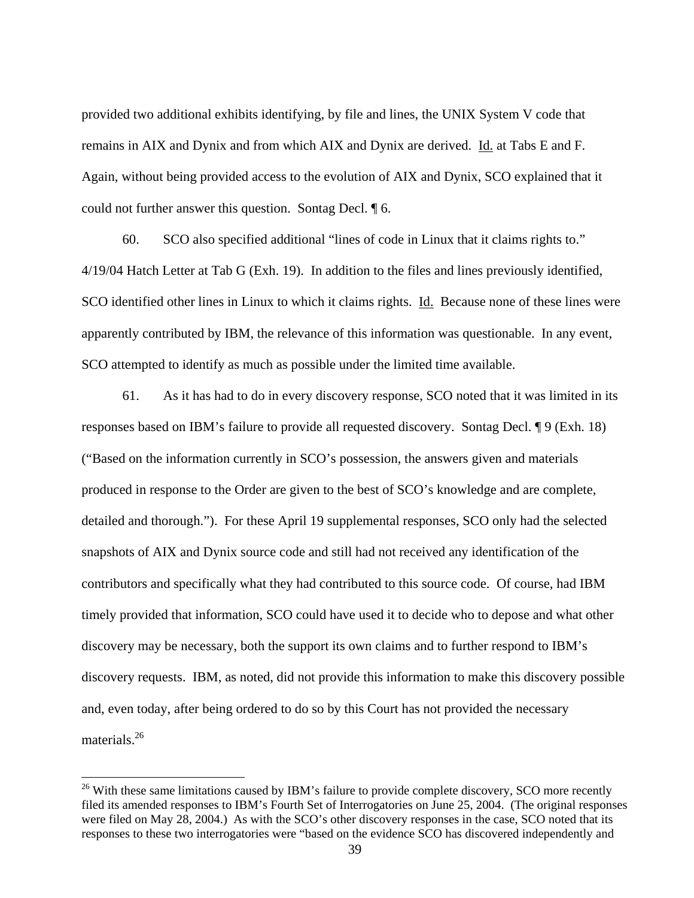provided two additional exhibits identifying, by file and lines, the UNIX System V code that remains in AIX and Dynix and from which AIX and Dynix are derived. Id. at Tabs E and F. Again, without being provided access to the evolution of AIX and Dynix, SCO explained that it could not further answer this question. Sontag Decl. ¶ 6.

60. SCO also specified additional "lines of code in Linux that it claims rights to." 4/19/04 Hatch Letter at Tab G (Exh. 19). In addition to the files and lines previously identified, SCO identified other lines in Linux to which it claims rights. Id. Because none of these lines were apparently contributed by IBM, the relevance of this information was questionable. In any event, SCO attempted to identify as much as possible under the limited time available.

61. As it has had to do in every discovery response, SCO noted that it was limited in its responses based on IBM's failure to provide all requested discovery. Sontag Decl. ¶ 9 (Exh. 18) ("Based on the information currently in SCO's possession, the answers given and materials produced in response to the Order are given to the best of SCO's knowledge and are complete, detailed and thorough."). For these April 19 supplemental responses, SCO only had the selected snapshots of AIX and Dynix source code and still had not received any identification of the contributors and specifically what they had contributed to this source code. Of course, had IBM timely provided that information, SCO could have used it to decide who to depose and what other discovery may be necessary, both the support its own claims and to further respond to IBM's discovery requests. IBM, as noted, did not provide this information to make this discovery possible and, even today, after being ordered to do so by this Court has not provided the necessary materials.<sup>26</sup>

<sup>&</sup>lt;sup>26</sup> With these same limitations caused by IBM's failure to provide complete discovery, SCO more recently filed its amended responses to IBM's Fourth Set of Interrogatories on June 25, 2004. (The original responses were filed on May 28, 2004.) As with the SCO's other discovery responses in the case, SCO noted that its responses to these two interrogatories were "based on the evidence SCO has discovered independently and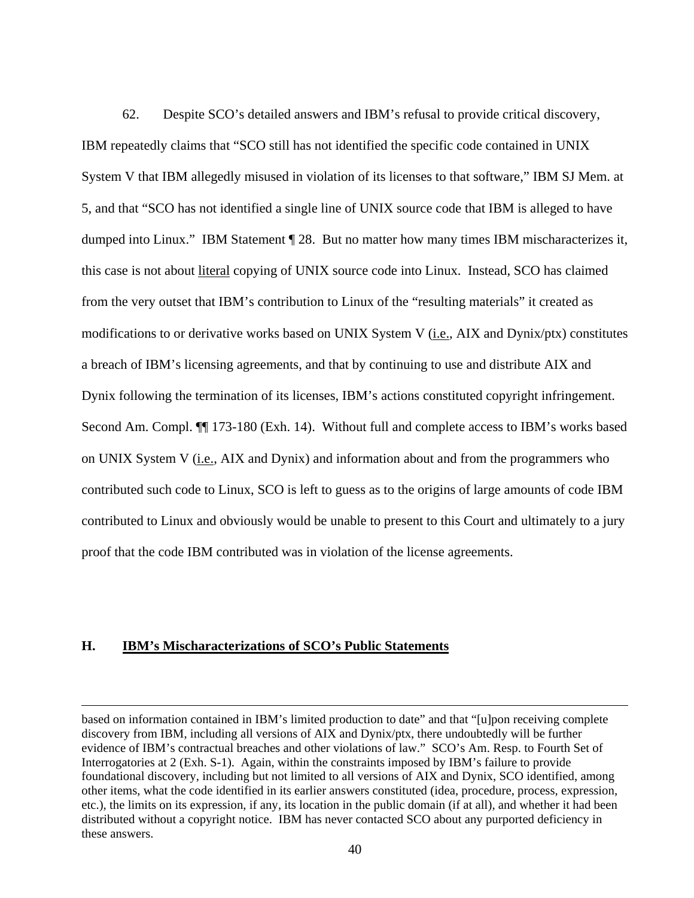62. Despite SCO's detailed answers and IBM's refusal to provide critical discovery, IBM repeatedly claims that "SCO still has not identified the specific code contained in UNIX System V that IBM allegedly misused in violation of its licenses to that software," IBM SJ Mem. at 5, and that "SCO has not identified a single line of UNIX source code that IBM is alleged to have dumped into Linux." IBM Statement ¶ 28. But no matter how many times IBM mischaracterizes it, this case is not about literal copying of UNIX source code into Linux. Instead, SCO has claimed from the very outset that IBM's contribution to Linux of the "resulting materials" it created as modifications to or derivative works based on UNIX System V (i.e., AIX and Dynix/ptx) constitutes a breach of IBM's licensing agreements, and that by continuing to use and distribute AIX and Dynix following the termination of its licenses, IBM's actions constituted copyright infringement. Second Am. Compl. ¶¶ 173-180 (Exh. 14). Without full and complete access to IBM's works based on UNIX System V (i.e., AIX and Dynix) and information about and from the programmers who contributed such code to Linux, SCO is left to guess as to the origins of large amounts of code IBM contributed to Linux and obviously would be unable to present to this Court and ultimately to a jury proof that the code IBM contributed was in violation of the license agreements.

#### **H. IBM's Mischaracterizations of SCO's Public Statements**

based on information contained in IBM's limited production to date" and that "[u]pon receiving complete discovery from IBM, including all versions of AIX and Dynix/ptx, there undoubtedly will be further evidence of IBM's contractual breaches and other violations of law." SCO's Am. Resp. to Fourth Set of Interrogatories at 2 (Exh. S-1). Again, within the constraints imposed by IBM's failure to provide foundational discovery, including but not limited to all versions of AIX and Dynix, SCO identified, among other items, what the code identified in its earlier answers constituted (idea, procedure, process, expression, etc.), the limits on its expression, if any, its location in the public domain (if at all), and whether it had been distributed without a copyright notice. IBM has never contacted SCO about any purported deficiency in these answers.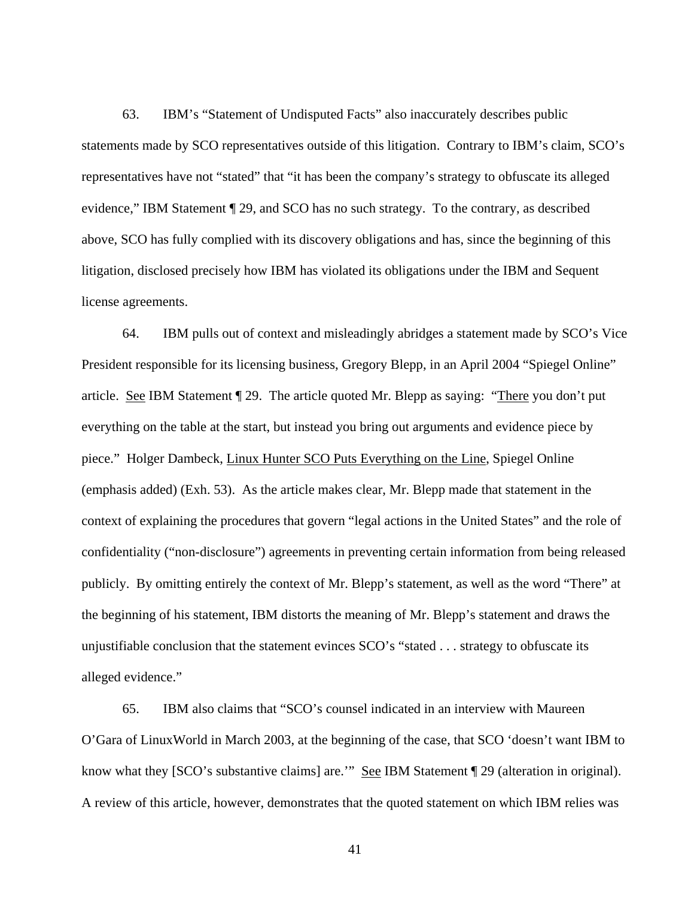63. IBM's "Statement of Undisputed Facts" also inaccurately describes public statements made by SCO representatives outside of this litigation. Contrary to IBM's claim, SCO's representatives have not "stated" that "it has been the company's strategy to obfuscate its alleged evidence," IBM Statement ¶ 29, and SCO has no such strategy. To the contrary, as described above, SCO has fully complied with its discovery obligations and has, since the beginning of this litigation, disclosed precisely how IBM has violated its obligations under the IBM and Sequent license agreements.

64. IBM pulls out of context and misleadingly abridges a statement made by SCO's Vice President responsible for its licensing business, Gregory Blepp, in an April 2004 "Spiegel Online" article. See IBM Statement ¶ 29. The article quoted Mr. Blepp as saying: "There you don't put everything on the table at the start, but instead you bring out arguments and evidence piece by piece." Holger Dambeck, Linux Hunter SCO Puts Everything on the Line, Spiegel Online (emphasis added) (Exh. 53). As the article makes clear, Mr. Blepp made that statement in the context of explaining the procedures that govern "legal actions in the United States" and the role of confidentiality ("non-disclosure") agreements in preventing certain information from being released publicly. By omitting entirely the context of Mr. Blepp's statement, as well as the word "There" at the beginning of his statement, IBM distorts the meaning of Mr. Blepp's statement and draws the unjustifiable conclusion that the statement evinces SCO's "stated . . . strategy to obfuscate its alleged evidence."

65. IBM also claims that "SCO's counsel indicated in an interview with Maureen O'Gara of LinuxWorld in March 2003, at the beginning of the case, that SCO 'doesn't want IBM to know what they [SCO's substantive claims] are."" See IBM Statement 129 (alteration in original). A review of this article, however, demonstrates that the quoted statement on which IBM relies was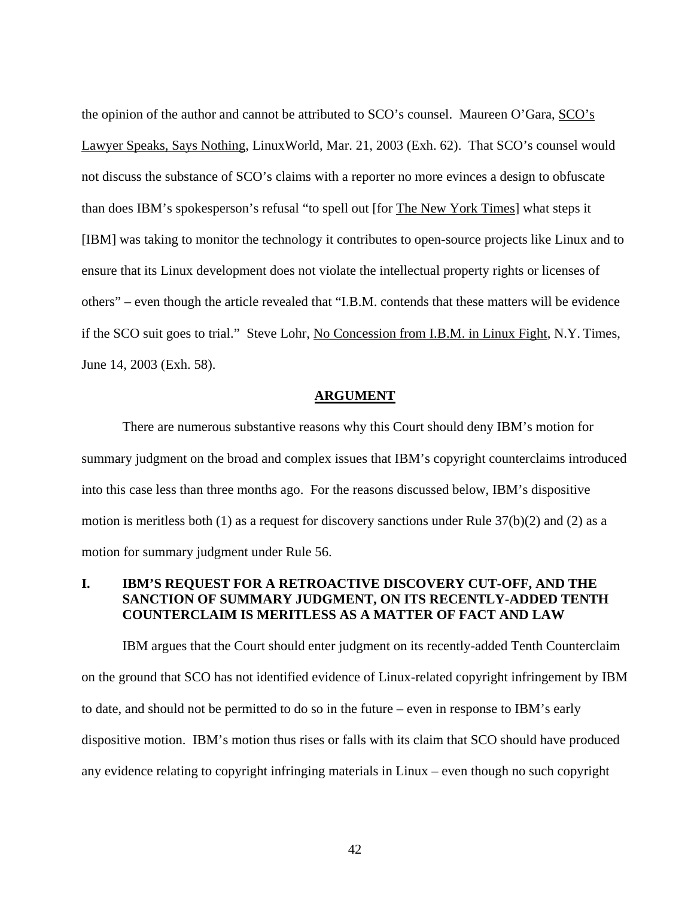the opinion of the author and cannot be attributed to SCO's counsel. Maureen O'Gara, SCO's Lawyer Speaks, Says Nothing, LinuxWorld, Mar. 21, 2003 (Exh. 62). That SCO's counsel would not discuss the substance of SCO's claims with a reporter no more evinces a design to obfuscate than does IBM's spokesperson's refusal "to spell out [for The New York Times] what steps it [IBM] was taking to monitor the technology it contributes to open-source projects like Linux and to ensure that its Linux development does not violate the intellectual property rights or licenses of others" – even though the article revealed that "I.B.M. contends that these matters will be evidence if the SCO suit goes to trial." Steve Lohr, No Concession from I.B.M. in Linux Fight, N.Y. Times, June 14, 2003 (Exh. 58).

#### **ARGUMENT**

There are numerous substantive reasons why this Court should deny IBM's motion for summary judgment on the broad and complex issues that IBM's copyright counterclaims introduced into this case less than three months ago. For the reasons discussed below, IBM's dispositive motion is meritless both (1) as a request for discovery sanctions under Rule 37(b)(2) and (2) as a motion for summary judgment under Rule 56.

## **I. IBM'S REQUEST FOR A RETROACTIVE DISCOVERY CUT-OFF, AND THE SANCTION OF SUMMARY JUDGMENT, ON ITS RECENTLY-ADDED TENTH COUNTERCLAIM IS MERITLESS AS A MATTER OF FACT AND LAW**

IBM argues that the Court should enter judgment on its recently-added Tenth Counterclaim on the ground that SCO has not identified evidence of Linux-related copyright infringement by IBM to date, and should not be permitted to do so in the future – even in response to IBM's early dispositive motion. IBM's motion thus rises or falls with its claim that SCO should have produced any evidence relating to copyright infringing materials in Linux – even though no such copyright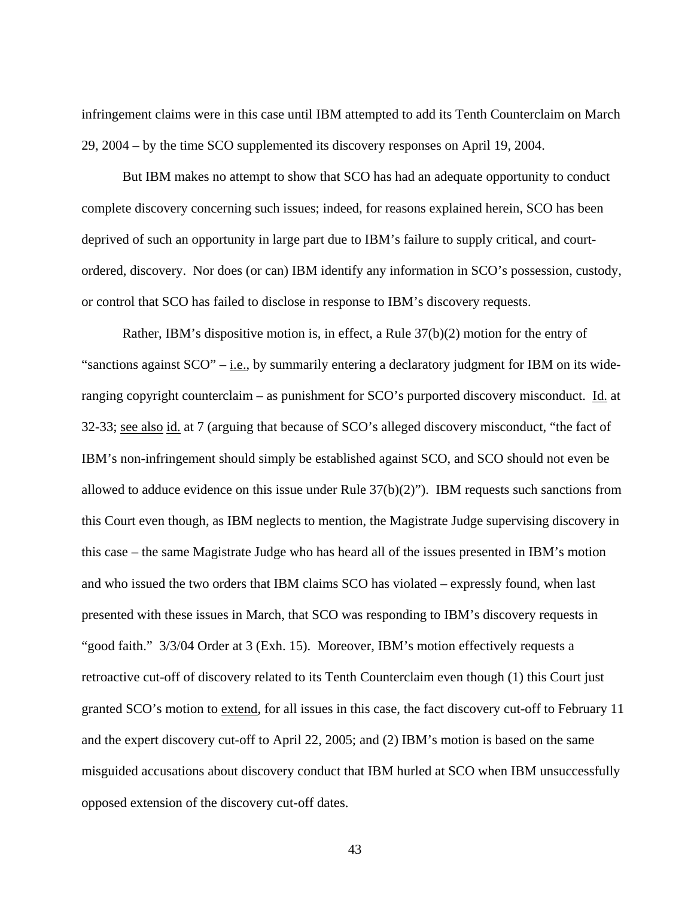infringement claims were in this case until IBM attempted to add its Tenth Counterclaim on March 29, 2004 – by the time SCO supplemented its discovery responses on April 19, 2004.

But IBM makes no attempt to show that SCO has had an adequate opportunity to conduct complete discovery concerning such issues; indeed, for reasons explained herein, SCO has been deprived of such an opportunity in large part due to IBM's failure to supply critical, and courtordered, discovery. Nor does (or can) IBM identify any information in SCO's possession, custody, or control that SCO has failed to disclose in response to IBM's discovery requests.

Rather, IBM's dispositive motion is, in effect, a Rule 37(b)(2) motion for the entry of "sanctions against  $SCO" - i.e.,$  by summarily entering a declaratory judgment for IBM on its wideranging copyright counterclaim – as punishment for SCO's purported discovery misconduct. Id. at 32-33; see also id. at 7 (arguing that because of SCO's alleged discovery misconduct, "the fact of IBM's non-infringement should simply be established against SCO, and SCO should not even be allowed to adduce evidence on this issue under Rule  $37(b)(2)$ "). IBM requests such sanctions from this Court even though, as IBM neglects to mention, the Magistrate Judge supervising discovery in this case – the same Magistrate Judge who has heard all of the issues presented in IBM's motion and who issued the two orders that IBM claims SCO has violated – expressly found, when last presented with these issues in March, that SCO was responding to IBM's discovery requests in "good faith." 3/3/04 Order at 3 (Exh. 15). Moreover, IBM's motion effectively requests a retroactive cut-off of discovery related to its Tenth Counterclaim even though (1) this Court just granted SCO's motion to extend, for all issues in this case, the fact discovery cut-off to February 11 and the expert discovery cut-off to April 22, 2005; and (2) IBM's motion is based on the same misguided accusations about discovery conduct that IBM hurled at SCO when IBM unsuccessfully opposed extension of the discovery cut-off dates.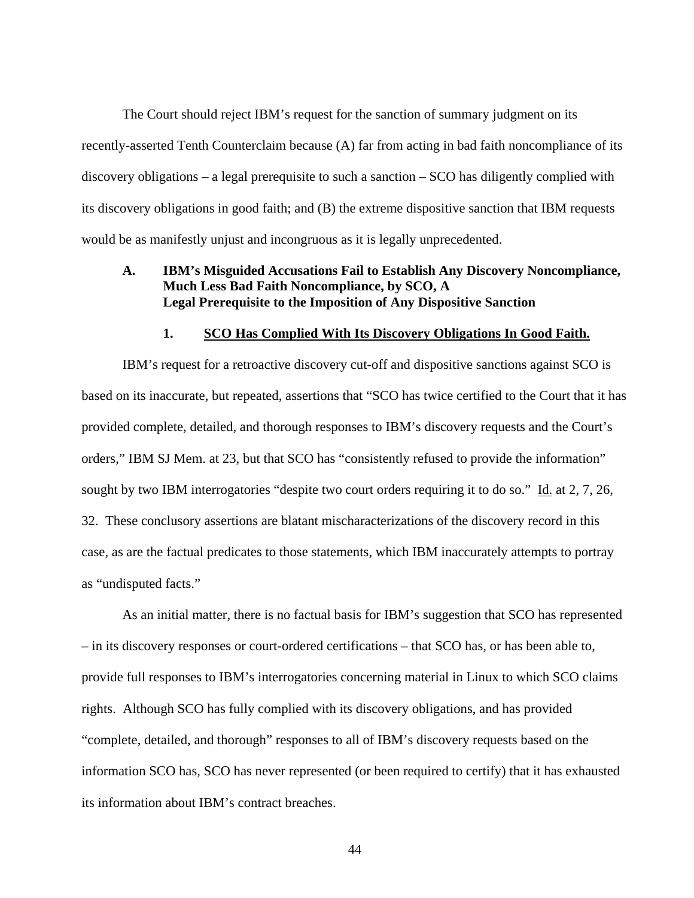The Court should reject IBM's request for the sanction of summary judgment on its recently-asserted Tenth Counterclaim because (A) far from acting in bad faith noncompliance of its discovery obligations – a legal prerequisite to such a sanction – SCO has diligently complied with its discovery obligations in good faith; and (B) the extreme dispositive sanction that IBM requests would be as manifestly unjust and incongruous as it is legally unprecedented.

### **A. IBM's Misguided Accusations Fail to Establish Any Discovery Noncompliance, Much Less Bad Faith Noncompliance, by SCO, A Legal Prerequisite to the Imposition of Any Dispositive Sanction**

# **1. SCO Has Complied With Its Discovery Obligations In Good Faith.**

IBM's request for a retroactive discovery cut-off and dispositive sanctions against SCO is based on its inaccurate, but repeated, assertions that "SCO has twice certified to the Court that it has provided complete, detailed, and thorough responses to IBM's discovery requests and the Court's orders," IBM SJ Mem. at 23, but that SCO has "consistently refused to provide the information" sought by two IBM interrogatories "despite two court orders requiring it to do so." Id. at 2, 7, 26, 32. These conclusory assertions are blatant mischaracterizations of the discovery record in this case, as are the factual predicates to those statements, which IBM inaccurately attempts to portray as "undisputed facts."

As an initial matter, there is no factual basis for IBM's suggestion that SCO has represented – in its discovery responses or court-ordered certifications – that SCO has, or has been able to, provide full responses to IBM's interrogatories concerning material in Linux to which SCO claims rights. Although SCO has fully complied with its discovery obligations, and has provided "complete, detailed, and thorough" responses to all of IBM's discovery requests based on the information SCO has, SCO has never represented (or been required to certify) that it has exhausted its information about IBM's contract breaches.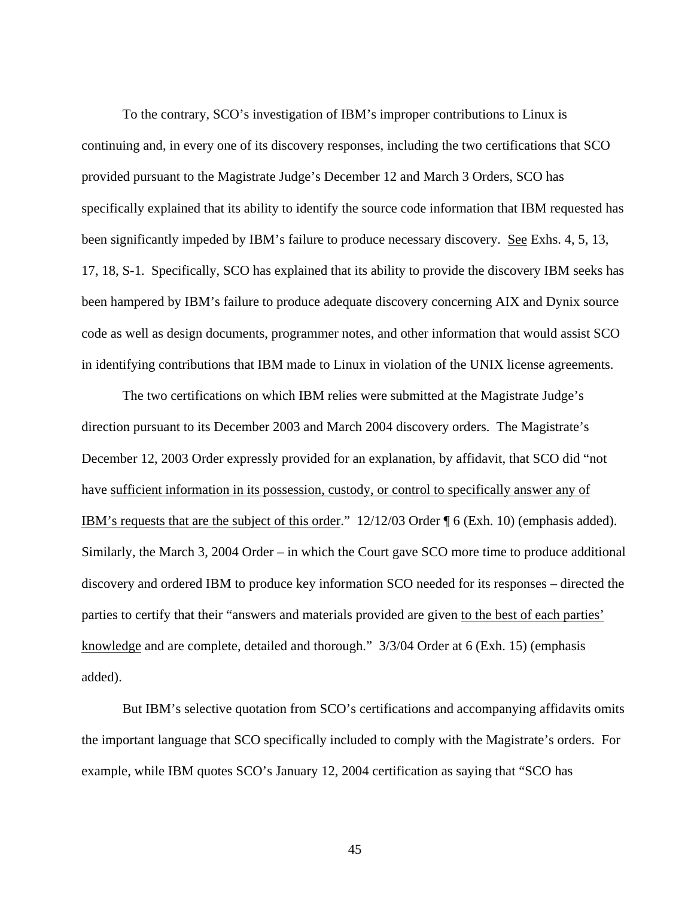To the contrary, SCO's investigation of IBM's improper contributions to Linux is continuing and, in every one of its discovery responses, including the two certifications that SCO provided pursuant to the Magistrate Judge's December 12 and March 3 Orders, SCO has specifically explained that its ability to identify the source code information that IBM requested has been significantly impeded by IBM's failure to produce necessary discovery. See Exhs. 4, 5, 13, 17, 18, S-1. Specifically, SCO has explained that its ability to provide the discovery IBM seeks has been hampered by IBM's failure to produce adequate discovery concerning AIX and Dynix source code as well as design documents, programmer notes, and other information that would assist SCO in identifying contributions that IBM made to Linux in violation of the UNIX license agreements.

The two certifications on which IBM relies were submitted at the Magistrate Judge's direction pursuant to its December 2003 and March 2004 discovery orders. The Magistrate's December 12, 2003 Order expressly provided for an explanation, by affidavit, that SCO did "not have sufficient information in its possession, custody, or control to specifically answer any of IBM's requests that are the subject of this order." 12/12/03 Order ¶ 6 (Exh. 10) (emphasis added). Similarly, the March 3, 2004 Order – in which the Court gave SCO more time to produce additional discovery and ordered IBM to produce key information SCO needed for its responses – directed the parties to certify that their "answers and materials provided are given to the best of each parties' knowledge and are complete, detailed and thorough." 3/3/04 Order at 6 (Exh. 15) (emphasis added).

But IBM's selective quotation from SCO's certifications and accompanying affidavits omits the important language that SCO specifically included to comply with the Magistrate's orders. For example, while IBM quotes SCO's January 12, 2004 certification as saying that "SCO has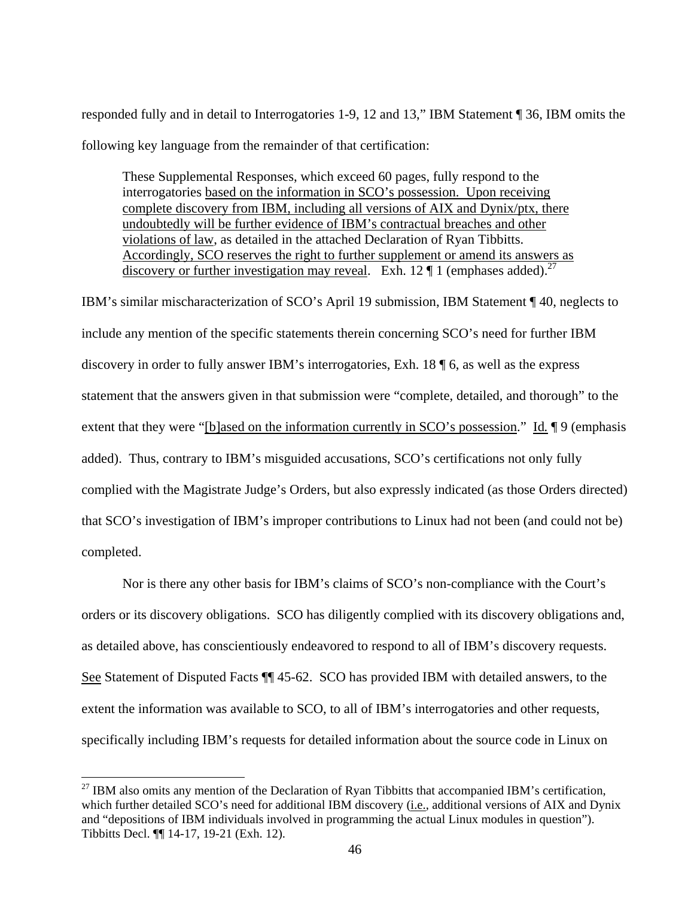responded fully and in detail to Interrogatories 1-9, 12 and 13," IBM Statement ¶ 36, IBM omits the following key language from the remainder of that certification:

These Supplemental Responses, which exceed 60 pages, fully respond to the interrogatories based on the information in SCO's possession. Upon receiving complete discovery from IBM, including all versions of AIX and Dynix/ptx, there undoubtedly will be further evidence of IBM's contractual breaches and other violations of law, as detailed in the attached Declaration of Ryan Tibbitts. Accordingly, SCO reserves the right to further supplement or amend its answers as discovery or further investigation may reveal. Exh. 12  $\P$  1 (emphases added).<sup>27</sup>

IBM's similar mischaracterization of SCO's April 19 submission, IBM Statement ¶ 40, neglects to include any mention of the specific statements therein concerning SCO's need for further IBM discovery in order to fully answer IBM's interrogatories, Exh. 18 ¶ 6, as well as the express statement that the answers given in that submission were "complete, detailed, and thorough" to the extent that they were "[b]ased on the information currently in SCO's possession." Id. 19 (emphasis added). Thus, contrary to IBM's misguided accusations, SCO's certifications not only fully complied with the Magistrate Judge's Orders, but also expressly indicated (as those Orders directed) that SCO's investigation of IBM's improper contributions to Linux had not been (and could not be) completed.

Nor is there any other basis for IBM's claims of SCO's non-compliance with the Court's orders or its discovery obligations. SCO has diligently complied with its discovery obligations and, as detailed above, has conscientiously endeavored to respond to all of IBM's discovery requests. See Statement of Disputed Facts ¶¶ 45-62. SCO has provided IBM with detailed answers, to the extent the information was available to SCO, to all of IBM's interrogatories and other requests, specifically including IBM's requests for detailed information about the source code in Linux on

 $^{27}$  IBM also omits any mention of the Declaration of Ryan Tibbitts that accompanied IBM's certification, which further detailed SCO's need for additional IBM discovery (i.e., additional versions of AIX and Dynix and "depositions of IBM individuals involved in programming the actual Linux modules in question"). Tibbitts Decl. ¶¶ 14-17, 19-21 (Exh. 12).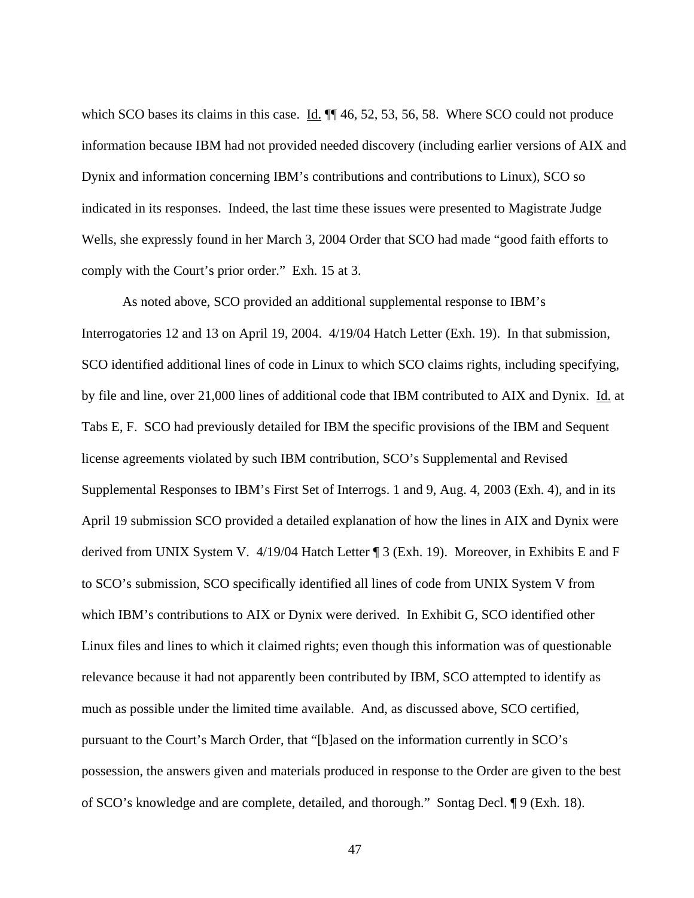which SCO bases its claims in this case. Id.  $\P$  46, 52, 53, 56, 58. Where SCO could not produce information because IBM had not provided needed discovery (including earlier versions of AIX and Dynix and information concerning IBM's contributions and contributions to Linux), SCO so indicated in its responses. Indeed, the last time these issues were presented to Magistrate Judge Wells, she expressly found in her March 3, 2004 Order that SCO had made "good faith efforts to comply with the Court's prior order." Exh. 15 at 3.

 As noted above, SCO provided an additional supplemental response to IBM's Interrogatories 12 and 13 on April 19, 2004. 4/19/04 Hatch Letter (Exh. 19). In that submission, SCO identified additional lines of code in Linux to which SCO claims rights, including specifying, by file and line, over 21,000 lines of additional code that IBM contributed to AIX and Dynix. Id. at Tabs E, F. SCO had previously detailed for IBM the specific provisions of the IBM and Sequent license agreements violated by such IBM contribution, SCO's Supplemental and Revised Supplemental Responses to IBM's First Set of Interrogs. 1 and 9, Aug. 4, 2003 (Exh. 4), and in its April 19 submission SCO provided a detailed explanation of how the lines in AIX and Dynix were derived from UNIX System V. 4/19/04 Hatch Letter ¶ 3 (Exh. 19). Moreover, in Exhibits E and F to SCO's submission, SCO specifically identified all lines of code from UNIX System V from which IBM's contributions to AIX or Dynix were derived. In Exhibit G, SCO identified other Linux files and lines to which it claimed rights; even though this information was of questionable relevance because it had not apparently been contributed by IBM, SCO attempted to identify as much as possible under the limited time available. And, as discussed above, SCO certified, pursuant to the Court's March Order, that "[b]ased on the information currently in SCO's possession, the answers given and materials produced in response to the Order are given to the best of SCO's knowledge and are complete, detailed, and thorough." Sontag Decl. ¶ 9 (Exh. 18).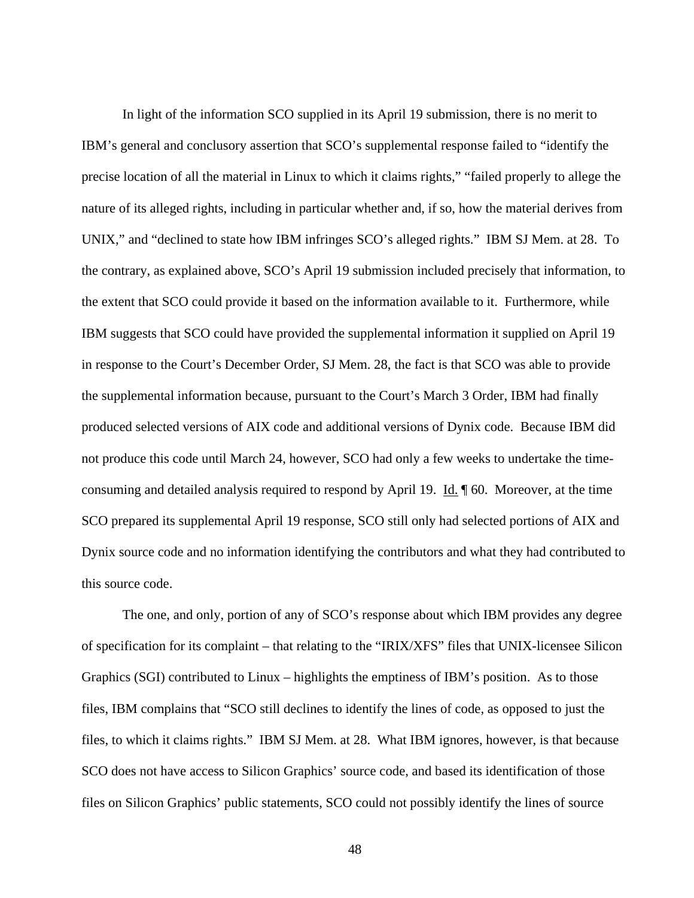In light of the information SCO supplied in its April 19 submission, there is no merit to IBM's general and conclusory assertion that SCO's supplemental response failed to "identify the precise location of all the material in Linux to which it claims rights," "failed properly to allege the nature of its alleged rights, including in particular whether and, if so, how the material derives from UNIX," and "declined to state how IBM infringes SCO's alleged rights." IBM SJ Mem. at 28. To the contrary, as explained above, SCO's April 19 submission included precisely that information, to the extent that SCO could provide it based on the information available to it. Furthermore, while IBM suggests that SCO could have provided the supplemental information it supplied on April 19 in response to the Court's December Order, SJ Mem. 28, the fact is that SCO was able to provide the supplemental information because, pursuant to the Court's March 3 Order, IBM had finally produced selected versions of AIX code and additional versions of Dynix code. Because IBM did not produce this code until March 24, however, SCO had only a few weeks to undertake the timeconsuming and detailed analysis required to respond by April 19. Id. ¶ 60. Moreover, at the time SCO prepared its supplemental April 19 response, SCO still only had selected portions of AIX and Dynix source code and no information identifying the contributors and what they had contributed to this source code.

 The one, and only, portion of any of SCO's response about which IBM provides any degree of specification for its complaint – that relating to the "IRIX/XFS" files that UNIX-licensee Silicon Graphics (SGI) contributed to Linux – highlights the emptiness of IBM's position. As to those files, IBM complains that "SCO still declines to identify the lines of code, as opposed to just the files, to which it claims rights." IBM SJ Mem. at 28. What IBM ignores, however, is that because SCO does not have access to Silicon Graphics' source code, and based its identification of those files on Silicon Graphics' public statements, SCO could not possibly identify the lines of source

<sup>48</sup>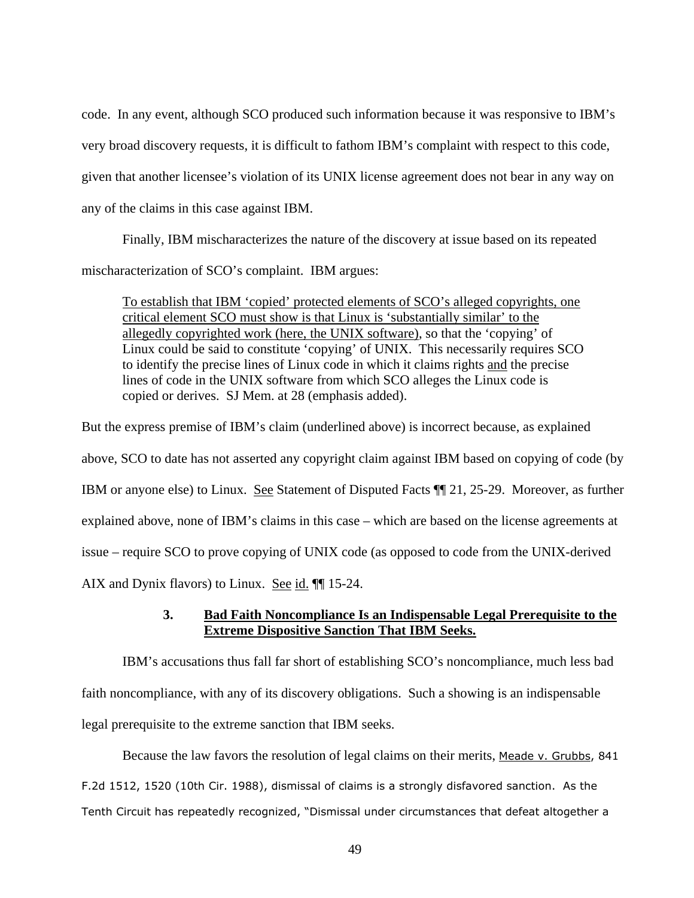code. In any event, although SCO produced such information because it was responsive to IBM's very broad discovery requests, it is difficult to fathom IBM's complaint with respect to this code, given that another licensee's violation of its UNIX license agreement does not bear in any way on any of the claims in this case against IBM.

Finally, IBM mischaracterizes the nature of the discovery at issue based on its repeated mischaracterization of SCO's complaint. IBM argues:

To establish that IBM 'copied' protected elements of SCO's alleged copyrights, one critical element SCO must show is that Linux is 'substantially similar' to the allegedly copyrighted work (here, the UNIX software), so that the 'copying' of Linux could be said to constitute 'copying' of UNIX. This necessarily requires SCO to identify the precise lines of Linux code in which it claims rights and the precise lines of code in the UNIX software from which SCO alleges the Linux code is copied or derives. SJ Mem. at 28 (emphasis added).

But the express premise of IBM's claim (underlined above) is incorrect because, as explained above, SCO to date has not asserted any copyright claim against IBM based on copying of code (by IBM or anyone else) to Linux. See Statement of Disputed Facts ¶¶ 21, 25-29. Moreover, as further explained above, none of IBM's claims in this case – which are based on the license agreements at issue – require SCO to prove copying of UNIX code (as opposed to code from the UNIX-derived AIX and Dynix flavors) to Linux. See id. ¶¶ 15-24.

# **3. Bad Faith Noncompliance Is an Indispensable Legal Prerequisite to the Extreme Dispositive Sanction That IBM Seeks.**

IBM's accusations thus fall far short of establishing SCO's noncompliance, much less bad faith noncompliance, with any of its discovery obligations. Such a showing is an indispensable legal prerequisite to the extreme sanction that IBM seeks.

Because the law favors the resolution of legal claims on their merits, Meade v. Grubbs, 841

F.2d 1512, 1520 (10th Cir. 1988), dismissal of claims is a strongly disfavored sanction. As the Tenth Circuit has repeatedly recognized, "Dismissal under circumstances that defeat altogether a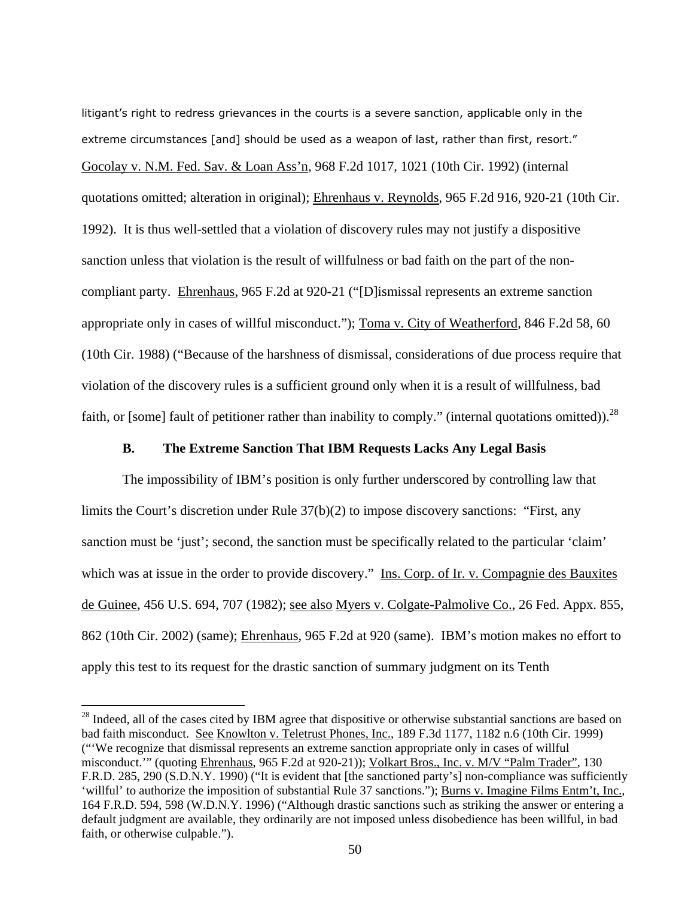litigant's right to redress grievances in the courts is a severe sanction, applicable only in the extreme circumstances [and] should be used as a weapon of last, rather than first, resort." Gocolay v. N.M. Fed. Sav. & Loan Ass'n, 968 F.2d 1017, 1021 (10th Cir. 1992) (internal quotations omitted; alteration in original); Ehrenhaus v. Reynolds, 965 F.2d 916, 920-21 (10th Cir. 1992). It is thus well-settled that a violation of discovery rules may not justify a dispositive sanction unless that violation is the result of willfulness or bad faith on the part of the noncompliant party. Ehrenhaus, 965 F.2d at 920-21 ("[D]ismissal represents an extreme sanction appropriate only in cases of willful misconduct."); Toma v. City of Weatherford, 846 F.2d 58, 60 (10th Cir. 1988) ("Because of the harshness of dismissal, considerations of due process require that violation of the discovery rules is a sufficient ground only when it is a result of willfulness, bad faith, or [some] fault of petitioner rather than inability to comply." (internal quotations omitted)).  $^{28}$ 

#### **B. The Extreme Sanction That IBM Requests Lacks Any Legal Basis**

The impossibility of IBM's position is only further underscored by controlling law that limits the Court's discretion under Rule 37(b)(2) to impose discovery sanctions: "First, any sanction must be 'just'; second, the sanction must be specifically related to the particular 'claim' which was at issue in the order to provide discovery." Ins. Corp. of Ir. v. Compagnie des Bauxites de Guinee, 456 U.S. 694, 707 (1982); see also Myers v. Colgate-Palmolive Co., 26 Fed. Appx. 855, 862 (10th Cir. 2002) (same); Ehrenhaus, 965 F.2d at 920 (same). IBM's motion makes no effort to apply this test to its request for the drastic sanction of summary judgment on its Tenth

<sup>&</sup>lt;sup>28</sup> Indeed, all of the cases cited by IBM agree that dispositive or otherwise substantial sanctions are based on bad faith misconduct. See Knowlton v. Teletrust Phones, Inc., 189 F.3d 1177, 1182 n.6 (10th Cir. 1999) ("'We recognize that dismissal represents an extreme sanction appropriate only in cases of willful misconduct.'" (quoting Ehrenhaus, 965 F.2d at 920-21)); Volkart Bros., Inc. v. M/V "Palm Trader", 130 F.R.D. 285, 290 (S.D.N.Y. 1990) ("It is evident that [the sanctioned party's] non-compliance was sufficiently 'willful' to authorize the imposition of substantial Rule 37 sanctions."); Burns v. Imagine Films Entm't, Inc., 164 F.R.D. 594, 598 (W.D.N.Y. 1996) ("Although drastic sanctions such as striking the answer or entering a default judgment are available, they ordinarily are not imposed unless disobedience has been willful, in bad faith, or otherwise culpable.").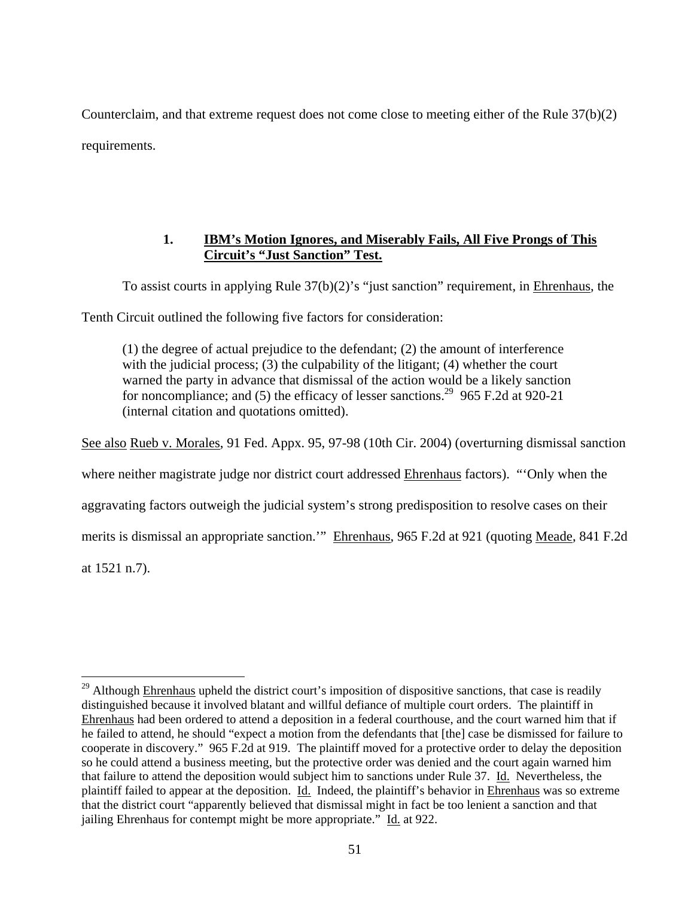Counterclaim, and that extreme request does not come close to meeting either of the Rule 37(b)(2) requirements.

# **1. IBM's Motion Ignores, and Miserably Fails, All Five Prongs of This Circuit's "Just Sanction" Test.**

To assist courts in applying Rule 37(b)(2)'s "just sanction" requirement, in Ehrenhaus, the

Tenth Circuit outlined the following five factors for consideration:

(1) the degree of actual prejudice to the defendant; (2) the amount of interference with the judicial process; (3) the culpability of the litigant; (4) whether the court warned the party in advance that dismissal of the action would be a likely sanction for noncompliance; and (5) the efficacy of lesser sanctions.<sup>29</sup> 965 F.2d at 920-21 (internal citation and quotations omitted).

See also Rueb v. Morales, 91 Fed. Appx. 95, 97-98 (10th Cir. 2004) (overturning dismissal sanction where neither magistrate judge nor district court addressed Ehrenhaus factors). "'Only when the aggravating factors outweigh the judicial system's strong predisposition to resolve cases on their merits is dismissal an appropriate sanction.'" Ehrenhaus, 965 F.2d at 921 (quoting Meade, 841 F.2d at 1521 n.7).

 $\overline{a}$ <sup>29</sup> Although Ehrenhaus upheld the district court's imposition of dispositive sanctions, that case is readily distinguished because it involved blatant and willful defiance of multiple court orders. The plaintiff in Ehrenhaus had been ordered to attend a deposition in a federal courthouse, and the court warned him that if he failed to attend, he should "expect a motion from the defendants that [the] case be dismissed for failure to cooperate in discovery." 965 F.2d at 919. The plaintiff moved for a protective order to delay the deposition so he could attend a business meeting, but the protective order was denied and the court again warned him that failure to attend the deposition would subject him to sanctions under Rule 37. Id. Nevertheless, the plaintiff failed to appear at the deposition. Id. Indeed, the plaintiff's behavior in Ehrenhaus was so extreme that the district court "apparently believed that dismissal might in fact be too lenient a sanction and that jailing Ehrenhaus for contempt might be more appropriate." Id. at 922.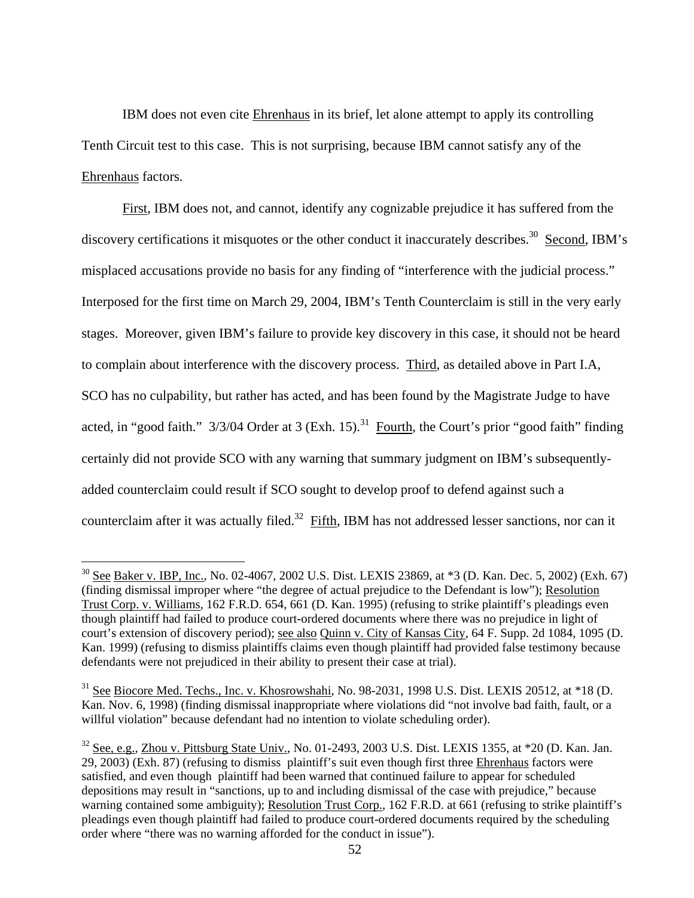IBM does not even cite Ehrenhaus in its brief, let alone attempt to apply its controlling Tenth Circuit test to this case. This is not surprising, because IBM cannot satisfy any of the Ehrenhaus factors.

First, IBM does not, and cannot, identify any cognizable prejudice it has suffered from the discovery certifications it misquotes or the other conduct it inaccurately describes.<sup>30</sup> Second, IBM's misplaced accusations provide no basis for any finding of "interference with the judicial process." Interposed for the first time on March 29, 2004, IBM's Tenth Counterclaim is still in the very early stages. Moreover, given IBM's failure to provide key discovery in this case, it should not be heard to complain about interference with the discovery process. Third, as detailed above in Part I.A, SCO has no culpability, but rather has acted, and has been found by the Magistrate Judge to have acted, in "good faith."  $3/3/04$  Order at 3 (Exh. 15).<sup>31</sup> Fourth, the Court's prior "good faith" finding certainly did not provide SCO with any warning that summary judgment on IBM's subsequentlyadded counterclaim could result if SCO sought to develop proof to defend against such a counterclaim after it was actually filed.<sup>32</sup> Fifth, IBM has not addressed lesser sanctions, nor can it

<sup>&</sup>lt;sup>30</sup> See Baker v. IBP, Inc., No. 02-4067, 2002 U.S. Dist. LEXIS 23869, at \*3 (D. Kan. Dec. 5, 2002) (Exh. 67) (finding dismissal improper where "the degree of actual prejudice to the Defendant is low"); Resolution Trust Corp. v. Williams, 162 F.R.D. 654, 661 (D. Kan. 1995) (refusing to strike plaintiff's pleadings even though plaintiff had failed to produce court-ordered documents where there was no prejudice in light of court's extension of discovery period); see also Quinn v. City of Kansas City, 64 F. Supp. 2d 1084, 1095 (D. Kan. 1999) (refusing to dismiss plaintiffs claims even though plaintiff had provided false testimony because defendants were not prejudiced in their ability to present their case at trial).

<sup>&</sup>lt;sup>31</sup> See Biocore Med. Techs., Inc. v. Khosrowshahi, No. 98-2031, 1998 U.S. Dist. LEXIS 20512, at \*18 (D. Kan. Nov. 6, 1998) (finding dismissal inappropriate where violations did "not involve bad faith, fault, or a willful violation" because defendant had no intention to violate scheduling order).

<sup>32</sup> See*,* e.g.*,* Zhou v. Pittsburg State Univ., No. 01-2493, 2003 U.S. Dist. LEXIS 1355, at \*20 (D. Kan. Jan. 29, 2003) (Exh. 87) (refusing to dismiss plaintiff's suit even though first three Ehrenhaus factors were satisfied, and even though plaintiff had been warned that continued failure to appear for scheduled depositions may result in "sanctions, up to and including dismissal of the case with prejudice," because warning contained some ambiguity); Resolution Trust Corp., 162 F.R.D. at 661 (refusing to strike plaintiff's pleadings even though plaintiff had failed to produce court-ordered documents required by the scheduling order where "there was no warning afforded for the conduct in issue").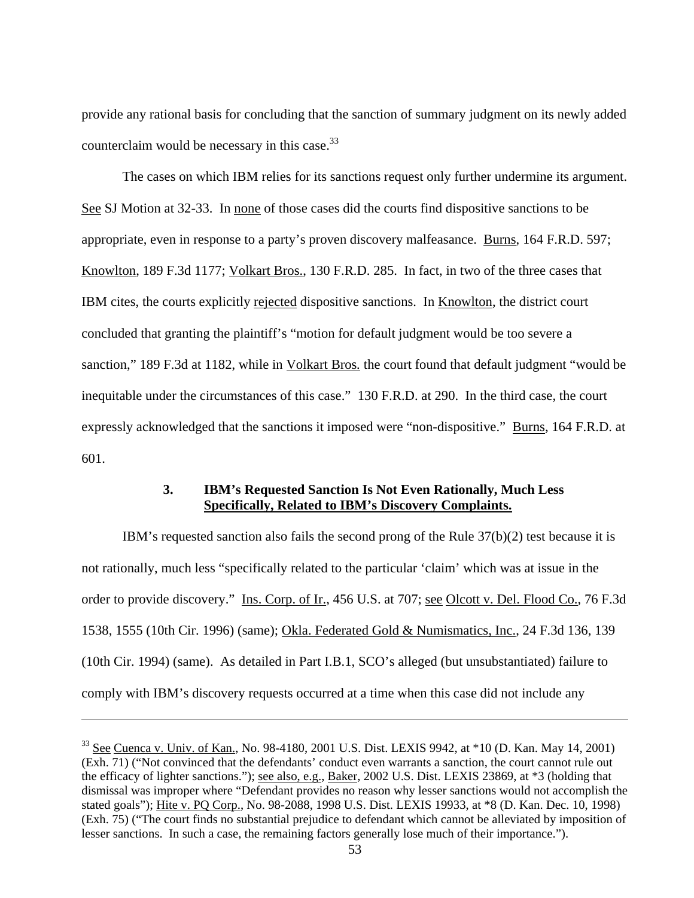provide any rational basis for concluding that the sanction of summary judgment on its newly added counterclaim would be necessary in this case.<sup>33</sup>

The cases on which IBM relies for its sanctions request only further undermine its argument. See SJ Motion at 32-33. In none of those cases did the courts find dispositive sanctions to be appropriate, even in response to a party's proven discovery malfeasance. Burns, 164 F.R.D. 597; Knowlton, 189 F.3d 1177; Volkart Bros., 130 F.R.D. 285. In fact, in two of the three cases that IBM cites, the courts explicitly rejected dispositive sanctions. In Knowlton, the district court concluded that granting the plaintiff's "motion for default judgment would be too severe a sanction," 189 F.3d at 1182, while in Volkart Bros*.* the court found that default judgment "would be inequitable under the circumstances of this case." 130 F.R.D. at 290. In the third case, the court expressly acknowledged that the sanctions it imposed were "non-dispositive." Burns, 164 F.R.D. at 601.

### **3. IBM's Requested Sanction Is Not Even Rationally, Much Less Specifically, Related to IBM's Discovery Complaints.**

IBM's requested sanction also fails the second prong of the Rule 37(b)(2) test because it is not rationally, much less "specifically related to the particular 'claim' which was at issue in the order to provide discovery." Ins. Corp. of Ir., 456 U.S. at 707; see Olcott v. Del. Flood Co., 76 F.3d 1538, 1555 (10th Cir. 1996) (same); Okla. Federated Gold & Numismatics, Inc., 24 F.3d 136, 139 (10th Cir. 1994) (same). As detailed in Part I.B.1, SCO's alleged (but unsubstantiated) failure to comply with IBM's discovery requests occurred at a time when this case did not include any

<u>.</u>

 $33$  See Cuenca v. Univ. of Kan., No. 98-4180, 2001 U.S. Dist. LEXIS 9942, at  $*10$  (D. Kan. May 14, 2001) (Exh. 71) ("Not convinced that the defendants' conduct even warrants a sanction, the court cannot rule out the efficacy of lighter sanctions."); see also, e.g., Baker, 2002 U.S. Dist. LEXIS 23869, at \*3 (holding that dismissal was improper where "Defendant provides no reason why lesser sanctions would not accomplish the stated goals"); Hite v. PQ Corp., No. 98-2088, 1998 U.S. Dist. LEXIS 19933, at \*8 (D. Kan. Dec. 10, 1998) (Exh. 75) ("The court finds no substantial prejudice to defendant which cannot be alleviated by imposition of lesser sanctions. In such a case, the remaining factors generally lose much of their importance.").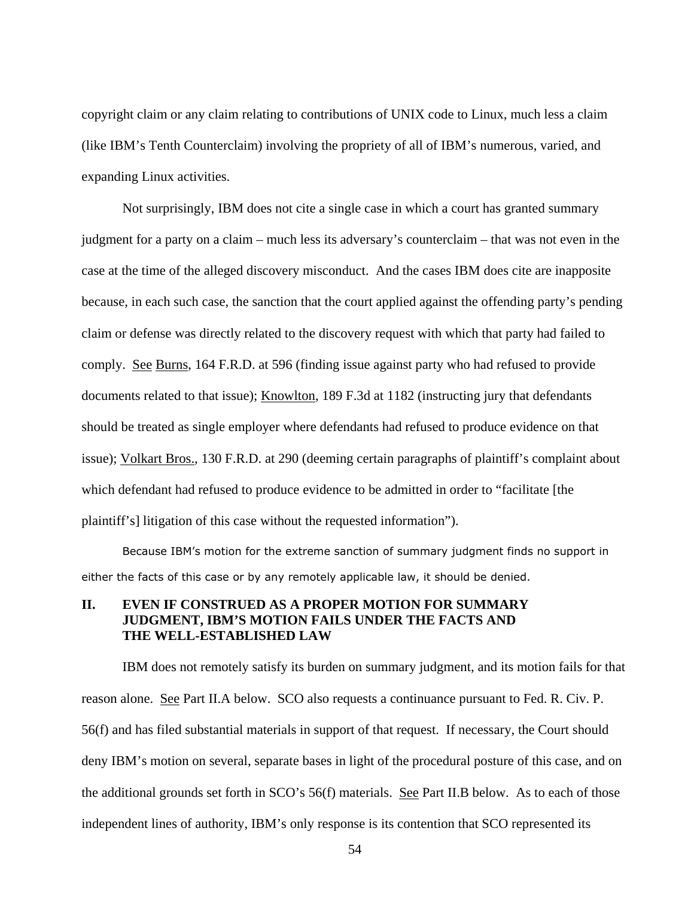copyright claim or any claim relating to contributions of UNIX code to Linux, much less a claim (like IBM's Tenth Counterclaim) involving the propriety of all of IBM's numerous, varied, and expanding Linux activities.

Not surprisingly, IBM does not cite a single case in which a court has granted summary judgment for a party on a claim – much less its adversary's counterclaim – that was not even in the case at the time of the alleged discovery misconduct. And the cases IBM does cite are inapposite because, in each such case, the sanction that the court applied against the offending party's pending claim or defense was directly related to the discovery request with which that party had failed to comply. See Burns, 164 F.R.D. at 596 (finding issue against party who had refused to provide documents related to that issue); Knowlton, 189 F.3d at 1182 (instructing jury that defendants should be treated as single employer where defendants had refused to produce evidence on that issue); Volkart Bros., 130 F.R.D. at 290 (deeming certain paragraphs of plaintiff's complaint about which defendant had refused to produce evidence to be admitted in order to "facilitate [the plaintiff's] litigation of this case without the requested information").

Because IBM's motion for the extreme sanction of summary judgment finds no support in either the facts of this case or by any remotely applicable law, it should be denied.

### **II. EVEN IF CONSTRUED AS A PROPER MOTION FOR SUMMARY JUDGMENT, IBM'S MOTION FAILS UNDER THE FACTS AND THE WELL-ESTABLISHED LAW**

IBM does not remotely satisfy its burden on summary judgment, and its motion fails for that reason alone. See Part II.A below. SCO also requests a continuance pursuant to Fed. R. Civ. P. 56(f) and has filed substantial materials in support of that request. If necessary, the Court should deny IBM's motion on several, separate bases in light of the procedural posture of this case, and on the additional grounds set forth in SCO's 56(f) materials. See Part II.B below. As to each of those independent lines of authority, IBM's only response is its contention that SCO represented its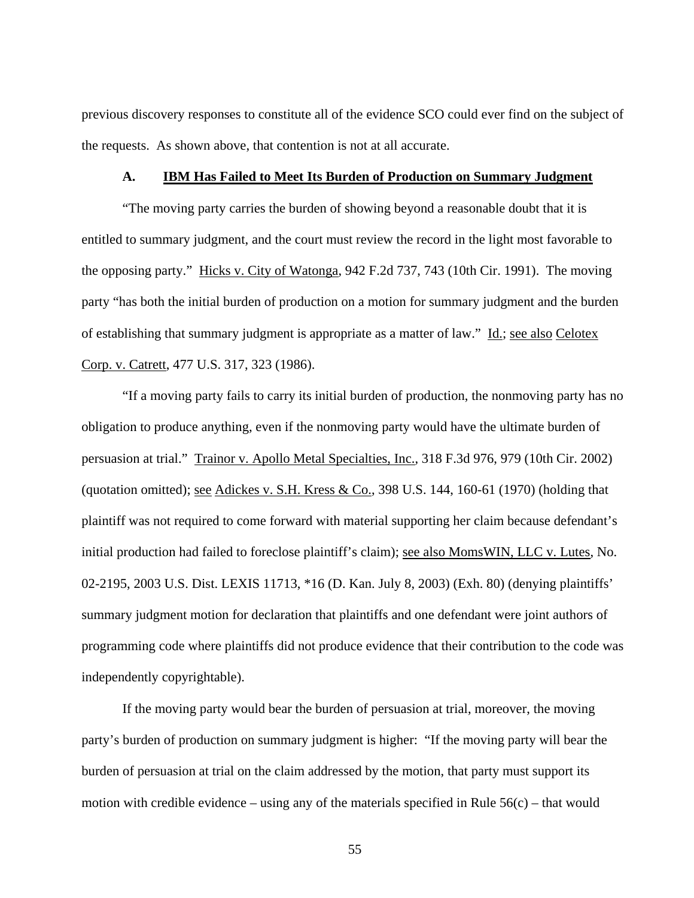previous discovery responses to constitute all of the evidence SCO could ever find on the subject of the requests. As shown above, that contention is not at all accurate.

#### **A. IBM Has Failed to Meet Its Burden of Production on Summary Judgment**

 "The moving party carries the burden of showing beyond a reasonable doubt that it is entitled to summary judgment, and the court must review the record in the light most favorable to the opposing party." Hicks v. City of Watonga, 942 F.2d 737, 743 (10th Cir. 1991). The moving party "has both the initial burden of production on a motion for summary judgment and the burden of establishing that summary judgment is appropriate as a matter of law." Id.; see also Celotex Corp. v. Catrett, 477 U.S. 317, 323 (1986).

"If a moving party fails to carry its initial burden of production, the nonmoving party has no obligation to produce anything, even if the nonmoving party would have the ultimate burden of persuasion at trial." Trainor v. Apollo Metal Specialties, Inc., 318 F.3d 976, 979 (10th Cir. 2002) (quotation omitted); see Adickes v. S.H. Kress & Co., 398 U.S. 144, 160-61 (1970) (holding that plaintiff was not required to come forward with material supporting her claim because defendant's initial production had failed to foreclose plaintiff's claim); see also MomsWIN, LLC v. Lutes, No. 02-2195, 2003 U.S. Dist. LEXIS 11713, \*16 (D. Kan. July 8, 2003) (Exh. 80) (denying plaintiffs' summary judgment motion for declaration that plaintiffs and one defendant were joint authors of programming code where plaintiffs did not produce evidence that their contribution to the code was independently copyrightable).

If the moving party would bear the burden of persuasion at trial, moreover, the moving party's burden of production on summary judgment is higher: "If the moving party will bear the burden of persuasion at trial on the claim addressed by the motion, that party must support its motion with credible evidence – using any of the materials specified in Rule  $56(c)$  – that would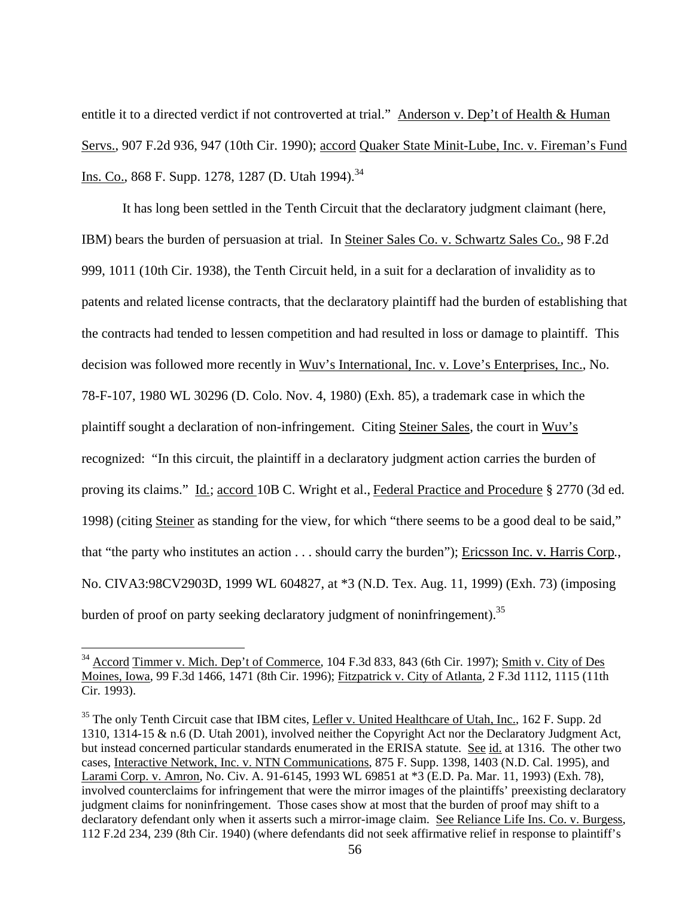entitle it to a directed verdict if not controverted at trial." Anderson v. Dep't of Health & Human Servs., 907 F.2d 936, 947 (10th Cir. 1990); accord Quaker State Minit-Lube, Inc. v. Fireman's Fund Ins. Co., 868 F. Supp. 1278, 1287 (D. Utah 1994).<sup>34</sup>

It has long been settled in the Tenth Circuit that the declaratory judgment claimant (here, IBM) bears the burden of persuasion at trial. In Steiner Sales Co. v. Schwartz Sales Co., 98 F.2d 999, 1011 (10th Cir. 1938), the Tenth Circuit held, in a suit for a declaration of invalidity as to patents and related license contracts, that the declaratory plaintiff had the burden of establishing that the contracts had tended to lessen competition and had resulted in loss or damage to plaintiff. This decision was followed more recently in Wuv's International, Inc. v. Love's Enterprises, Inc., No. 78-F-107, 1980 WL 30296 (D. Colo. Nov. 4, 1980) (Exh. 85), a trademark case in which the plaintiff sought a declaration of non-infringement. Citing Steiner Sales, the court in Wuv's recognized: "In this circuit, the plaintiff in a declaratory judgment action carries the burden of proving its claims." Id*.*; accord 10B C. Wright et al., Federal Practice and Procedure § 2770 (3d ed. 1998) (citing Steiner as standing for the view, for which "there seems to be a good deal to be said," that "the party who institutes an action . . . should carry the burden"); Ericsson Inc. v. Harris Corp*.*, No. CIVA3:98CV2903D, 1999 WL 604827, at \*3 (N.D. Tex. Aug. 11, 1999) (Exh. 73) (imposing burden of proof on party seeking declaratory judgment of noninfringement).<sup>35</sup>

<sup>&</sup>lt;sup>34</sup> Accord Timmer v. Mich. Dep't of Commerce, 104 F.3d 833, 843 (6th Cir. 1997); Smith v. City of Des Moines, Iowa, 99 F.3d 1466, 1471 (8th Cir. 1996); Fitzpatrick v. City of Atlanta, 2 F.3d 1112, 1115 (11th Cir. 1993).

<sup>&</sup>lt;sup>35</sup> The only Tenth Circuit case that IBM cites, *Lefler v. United Healthcare of Utah*, *Inc.*, 162 F. Supp. 2d 1310, 1314-15 & n.6 (D. Utah 2001), involved neither the Copyright Act nor the Declaratory Judgment Act, but instead concerned particular standards enumerated in the ERISA statute. See id. at 1316. The other two cases, Interactive Network, Inc. v. NTN Communications, 875 F. Supp. 1398, 1403 (N.D. Cal. 1995), and Larami Corp. v. Amron, No. Civ. A. 91-6145, 1993 WL 69851 at \*3 (E.D. Pa. Mar. 11, 1993) (Exh. 78), involved counterclaims for infringement that were the mirror images of the plaintiffs' preexisting declaratory judgment claims for noninfringement. Those cases show at most that the burden of proof may shift to a declaratory defendant only when it asserts such a mirror-image claim. See Reliance Life Ins. Co. v. Burgess, 112 F.2d 234, 239 (8th Cir. 1940) (where defendants did not seek affirmative relief in response to plaintiff's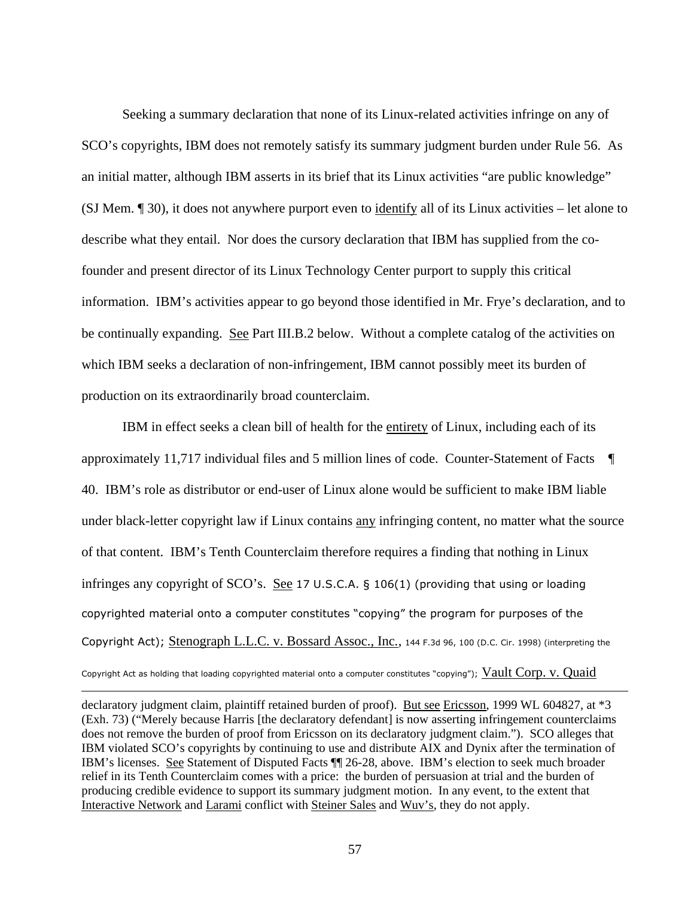Seeking a summary declaration that none of its Linux-related activities infringe on any of SCO's copyrights, IBM does not remotely satisfy its summary judgment burden under Rule 56. As an initial matter, although IBM asserts in its brief that its Linux activities "are public knowledge" (SJ Mem. ¶ 30), it does not anywhere purport even to identify all of its Linux activities – let alone to describe what they entail. Nor does the cursory declaration that IBM has supplied from the cofounder and present director of its Linux Technology Center purport to supply this critical information. IBM's activities appear to go beyond those identified in Mr. Frye's declaration, and to be continually expanding. See Part III.B.2 below. Without a complete catalog of the activities on which IBM seeks a declaration of non-infringement, IBM cannot possibly meet its burden of production on its extraordinarily broad counterclaim.

IBM in effect seeks a clean bill of health for the entirety of Linux, including each of its approximately 11,717 individual files and 5 million lines of code. Counter-Statement of Facts ¶ 40. IBM's role as distributor or end-user of Linux alone would be sufficient to make IBM liable under black-letter copyright law if Linux contains any infringing content, no matter what the source of that content. IBM's Tenth Counterclaim therefore requires a finding that nothing in Linux infringes any copyright of SCO's. See 17 U.S.C.A. § 106(1) (providing that using or loading copyrighted material onto a computer constitutes "copying" the program for purposes of the Copyright Act); Stenograph L.L.C. v. Bossard Assoc., Inc*.*, 144 F.3d 96, 100 (D.C. Cir. 1998) (interpreting the Copyright Act as holding that loading copyrighted material onto a computer constitutes "copying"); Vault Corp. v. Quaid

declaratory judgment claim, plaintiff retained burden of proof). But see Ericsson, 1999 WL 604827, at \*3 (Exh. 73) ("Merely because Harris [the declaratory defendant] is now asserting infringement counterclaims does not remove the burden of proof from Ericsson on its declaratory judgment claim."). SCO alleges that IBM violated SCO's copyrights by continuing to use and distribute AIX and Dynix after the termination of IBM's licenses. See Statement of Disputed Facts ¶¶ 26-28, above. IBM's election to seek much broader relief in its Tenth Counterclaim comes with a price: the burden of persuasion at trial and the burden of producing credible evidence to support its summary judgment motion. In any event, to the extent that Interactive Network and Larami conflict with Steiner Sales and Wuv's, they do not apply.

-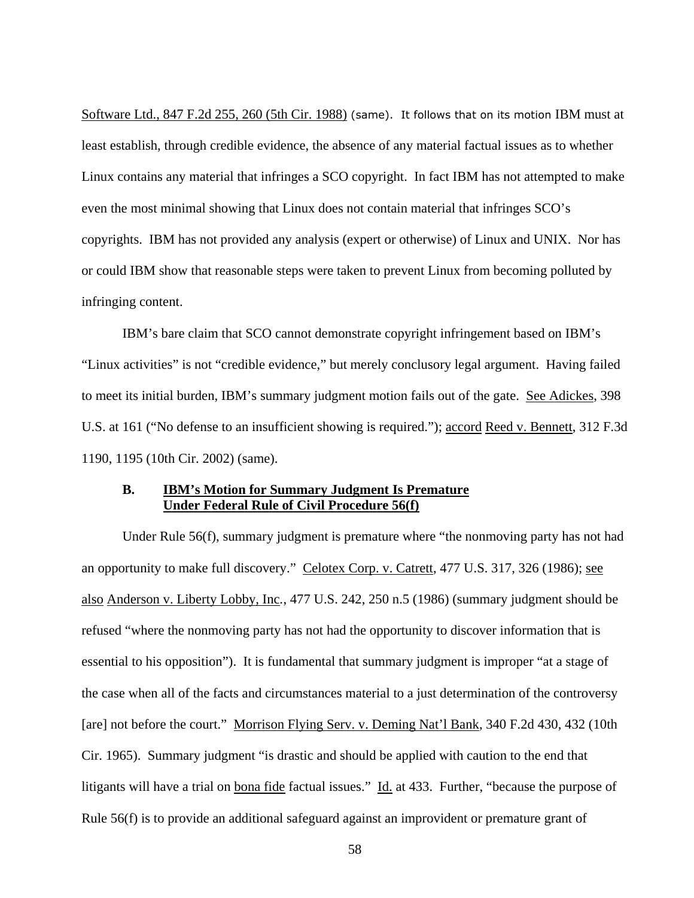Software Ltd., 847 F.2d 255, 260 (5th Cir. 1988) (same). It follows that on its motion IBM must at least establish, through credible evidence, the absence of any material factual issues as to whether Linux contains any material that infringes a SCO copyright. In fact IBM has not attempted to make even the most minimal showing that Linux does not contain material that infringes SCO's copyrights. IBM has not provided any analysis (expert or otherwise) of Linux and UNIX. Nor has or could IBM show that reasonable steps were taken to prevent Linux from becoming polluted by infringing content.

 IBM's bare claim that SCO cannot demonstrate copyright infringement based on IBM's "Linux activities" is not "credible evidence," but merely conclusory legal argument. Having failed to meet its initial burden, IBM's summary judgment motion fails out of the gate. See Adickes, 398 U.S. at 161 ("No defense to an insufficient showing is required."); accord Reed v. Bennett, 312 F.3d 1190, 1195 (10th Cir. 2002) (same).

### **B. IBM's Motion for Summary Judgment Is Premature Under Federal Rule of Civil Procedure 56(f)**

 Under Rule 56(f), summary judgment is premature where "the nonmoving party has not had an opportunity to make full discovery." Celotex Corp. v. Catrett, 477 U.S. 317, 326 (1986); see also Anderson v. Liberty Lobby, Inc*.*, 477 U.S. 242, 250 n.5 (1986) (summary judgment should be refused "where the nonmoving party has not had the opportunity to discover information that is essential to his opposition"). It is fundamental that summary judgment is improper "at a stage of the case when all of the facts and circumstances material to a just determination of the controversy [are] not before the court." Morrison Flying Serv. v. Deming Nat'l Bank, 340 F.2d 430, 432 (10th Cir. 1965). Summary judgment "is drastic and should be applied with caution to the end that litigants will have a trial on bona fide factual issues." Id. at 433. Further, "because the purpose of Rule 56(f) is to provide an additional safeguard against an improvident or premature grant of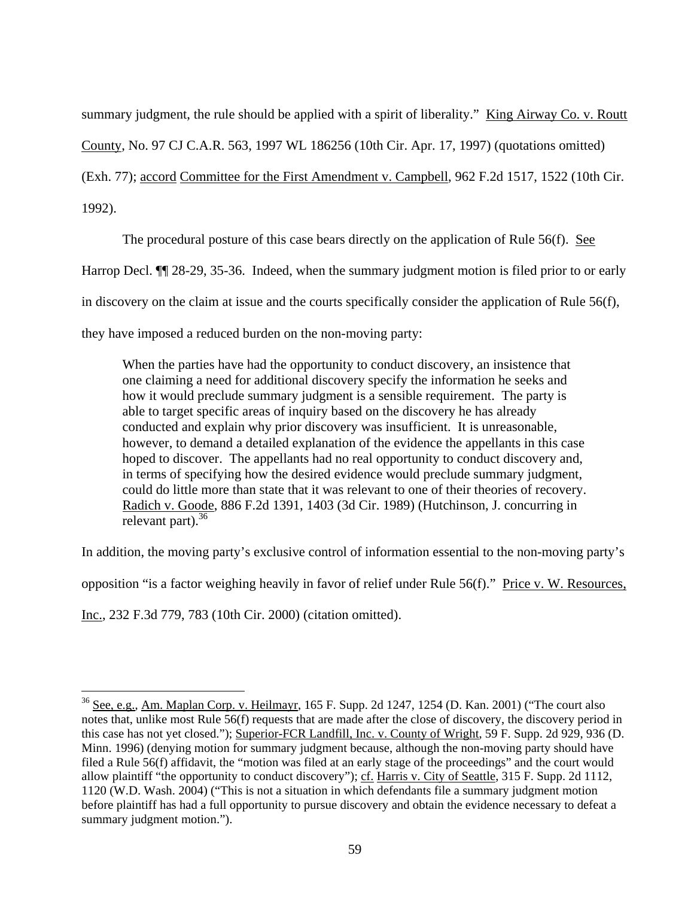summary judgment, the rule should be applied with a spirit of liberality." King Airway Co. v. Routt

County, No. 97 CJ C.A.R. 563, 1997 WL 186256 (10th Cir. Apr. 17, 1997) (quotations omitted)

(Exh. 77); accord Committee for the First Amendment v. Campbell, 962 F.2d 1517, 1522 (10th Cir.

1992).

 $\overline{a}$ 

The procedural posture of this case bears directly on the application of Rule 56(f). See

Harrop Decl. ¶¶ 28-29, 35-36. Indeed, when the summary judgment motion is filed prior to or early

in discovery on the claim at issue and the courts specifically consider the application of Rule 56(f),

they have imposed a reduced burden on the non-moving party:

When the parties have had the opportunity to conduct discovery, an insistence that one claiming a need for additional discovery specify the information he seeks and how it would preclude summary judgment is a sensible requirement. The party is able to target specific areas of inquiry based on the discovery he has already conducted and explain why prior discovery was insufficient. It is unreasonable, however, to demand a detailed explanation of the evidence the appellants in this case hoped to discover. The appellants had no real opportunity to conduct discovery and, in terms of specifying how the desired evidence would preclude summary judgment, could do little more than state that it was relevant to one of their theories of recovery. Radich v. Goode, 886 F.2d 1391, 1403 (3d Cir. 1989) (Hutchinson, J. concurring in relevant part). $36$ 

In addition, the moving party's exclusive control of information essential to the non-moving party's

opposition "is a factor weighing heavily in favor of relief under Rule 56(f)." Price v. W. Resources,

Inc., 232 F.3d 779, 783 (10th Cir. 2000) (citation omitted).

<sup>&</sup>lt;sup>36</sup> See, e.g., Am. Maplan Corp. v. Heilmayr, 165 F. Supp. 2d 1247, 1254 (D. Kan. 2001) ("The court also notes that, unlike most Rule 56(f) requests that are made after the close of discovery, the discovery period in this case has not yet closed."); Superior-FCR Landfill, Inc. v. County of Wright, 59 F. Supp. 2d 929, 936 (D. Minn. 1996) (denying motion for summary judgment because, although the non-moving party should have filed a Rule 56(f) affidavit, the "motion was filed at an early stage of the proceedings" and the court would allow plaintiff "the opportunity to conduct discovery"); cf. Harris v. City of Seattle, 315 F. Supp. 2d 1112, 1120 (W.D. Wash. 2004) ("This is not a situation in which defendants file a summary judgment motion before plaintiff has had a full opportunity to pursue discovery and obtain the evidence necessary to defeat a summary judgment motion.").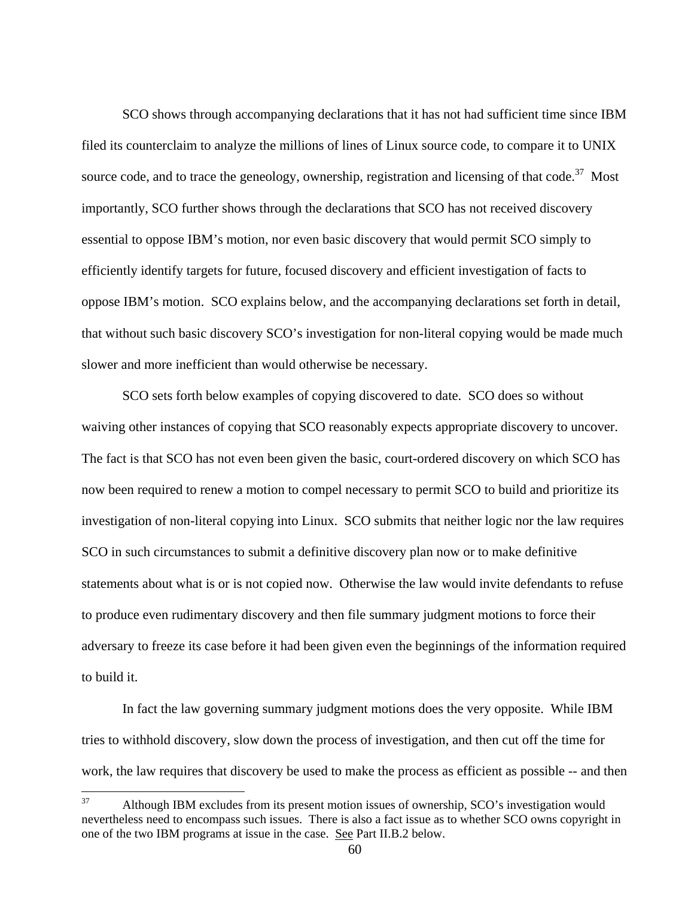SCO shows through accompanying declarations that it has not had sufficient time since IBM filed its counterclaim to analyze the millions of lines of Linux source code, to compare it to UNIX source code, and to trace the geneology, ownership, registration and licensing of that code.<sup>37</sup> Most importantly, SCO further shows through the declarations that SCO has not received discovery essential to oppose IBM's motion, nor even basic discovery that would permit SCO simply to efficiently identify targets for future, focused discovery and efficient investigation of facts to oppose IBM's motion. SCO explains below, and the accompanying declarations set forth in detail, that without such basic discovery SCO's investigation for non-literal copying would be made much slower and more inefficient than would otherwise be necessary.

 SCO sets forth below examples of copying discovered to date. SCO does so without waiving other instances of copying that SCO reasonably expects appropriate discovery to uncover. The fact is that SCO has not even been given the basic, court-ordered discovery on which SCO has now been required to renew a motion to compel necessary to permit SCO to build and prioritize its investigation of non-literal copying into Linux. SCO submits that neither logic nor the law requires SCO in such circumstances to submit a definitive discovery plan now or to make definitive statements about what is or is not copied now. Otherwise the law would invite defendants to refuse to produce even rudimentary discovery and then file summary judgment motions to force their adversary to freeze its case before it had been given even the beginnings of the information required to build it.

 In fact the law governing summary judgment motions does the very opposite. While IBM tries to withhold discovery, slow down the process of investigation, and then cut off the time for work, the law requires that discovery be used to make the process as efficient as possible -- and then

<sup>37</sup> <sup>37</sup> Although IBM excludes from its present motion issues of ownership, SCO's investigation would nevertheless need to encompass such issues. There is also a fact issue as to whether SCO owns copyright in one of the two IBM programs at issue in the case. See Part II.B.2 below.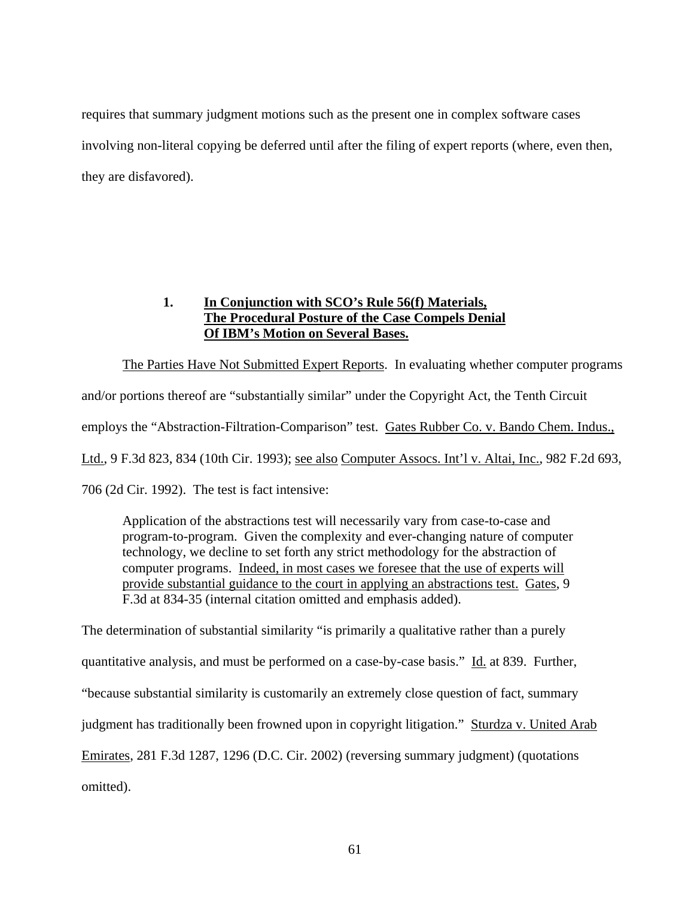requires that summary judgment motions such as the present one in complex software cases involving non-literal copying be deferred until after the filing of expert reports (where, even then, they are disfavored).

# **1. In Conjunction with SCO's Rule 56(f) Materials, The Procedural Posture of the Case Compels Denial Of IBM's Motion on Several Bases.**

 The Parties Have Not Submitted Expert Reports. In evaluating whether computer programs and/or portions thereof are "substantially similar" under the Copyright Act, the Tenth Circuit employs the "Abstraction-Filtration-Comparison" test. Gates Rubber Co. v. Bando Chem. Indus., Ltd., 9 F.3d 823, 834 (10th Cir. 1993); see also Computer Assocs. Int'l v. Altai, Inc., 982 F.2d 693, 706 (2d Cir. 1992). The test is fact intensive:

Application of the abstractions test will necessarily vary from case-to-case and program-to-program. Given the complexity and ever-changing nature of computer technology, we decline to set forth any strict methodology for the abstraction of computer programs. Indeed, in most cases we foresee that the use of experts will provide substantial guidance to the court in applying an abstractions test. Gates, 9 F.3d at 834-35 (internal citation omitted and emphasis added).

The determination of substantial similarity "is primarily a qualitative rather than a purely quantitative analysis, and must be performed on a case-by-case basis." Id. at 839. Further, "because substantial similarity is customarily an extremely close question of fact, summary judgment has traditionally been frowned upon in copyright litigation." Sturdza v. United Arab Emirates, 281 F.3d 1287, 1296 (D.C. Cir. 2002) (reversing summary judgment) (quotations omitted).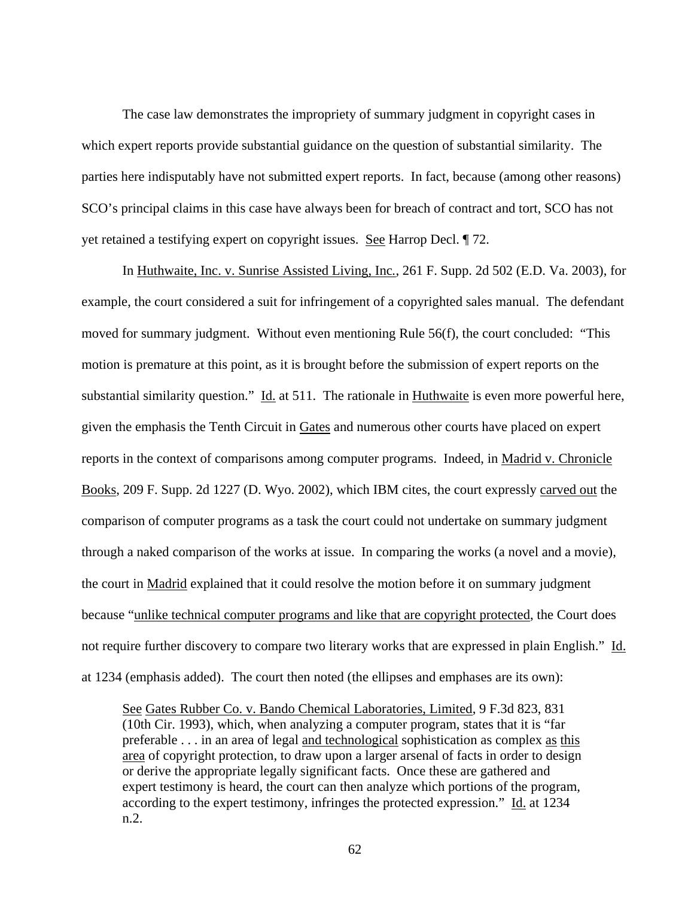The case law demonstrates the impropriety of summary judgment in copyright cases in which expert reports provide substantial guidance on the question of substantial similarity. The parties here indisputably have not submitted expert reports. In fact, because (among other reasons) SCO's principal claims in this case have always been for breach of contract and tort, SCO has not yet retained a testifying expert on copyright issues. See Harrop Decl. ¶ 72.

In Huthwaite, Inc. v. Sunrise Assisted Living, Inc*.*, 261 F. Supp. 2d 502 (E.D. Va. 2003), for example, the court considered a suit for infringement of a copyrighted sales manual. The defendant moved for summary judgment. Without even mentioning Rule 56(f), the court concluded: "This motion is premature at this point, as it is brought before the submission of expert reports on the substantial similarity question." Id. at 511. The rationale in Huthwaite is even more powerful here, given the emphasis the Tenth Circuit in Gates and numerous other courts have placed on expert reports in the context of comparisons among computer programs. Indeed, in Madrid v. Chronicle Books, 209 F. Supp. 2d 1227 (D. Wyo. 2002), which IBM cites, the court expressly carved out the comparison of computer programs as a task the court could not undertake on summary judgment through a naked comparison of the works at issue. In comparing the works (a novel and a movie), the court in Madrid explained that it could resolve the motion before it on summary judgment because "unlike technical computer programs and like that are copyright protected, the Court does not require further discovery to compare two literary works that are expressed in plain English." Id. at 1234 (emphasis added). The court then noted (the ellipses and emphases are its own):

See Gates Rubber Co. v. Bando Chemical Laboratories, Limited, 9 F.3d 823, 831 (10th Cir. 1993), which, when analyzing a computer program, states that it is "far preferable . . . in an area of legal and technological sophistication as complex as this area of copyright protection, to draw upon a larger arsenal of facts in order to design or derive the appropriate legally significant facts. Once these are gathered and expert testimony is heard, the court can then analyze which portions of the program, according to the expert testimony, infringes the protected expression." Id. at 1234 n.2.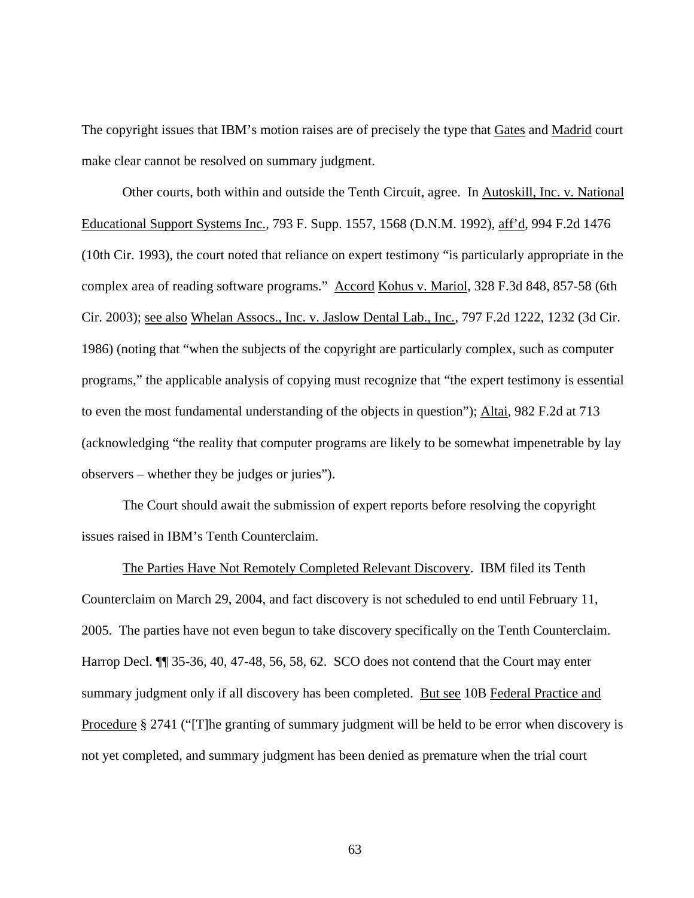The copyright issues that IBM's motion raises are of precisely the type that Gates and Madrid court make clear cannot be resolved on summary judgment.

Other courts, both within and outside the Tenth Circuit, agree. In Autoskill, Inc. v. National Educational Support Systems Inc., 793 F. Supp. 1557, 1568 (D.N.M. 1992), aff'd, 994 F.2d 1476 (10th Cir. 1993), the court noted that reliance on expert testimony "is particularly appropriate in the complex area of reading software programs." Accord Kohus v. Mariol, 328 F.3d 848, 857-58 (6th Cir. 2003); see also Whelan Assocs., Inc. v. Jaslow Dental Lab., Inc*.*, 797 F.2d 1222, 1232 (3d Cir. 1986) (noting that "when the subjects of the copyright are particularly complex, such as computer programs," the applicable analysis of copying must recognize that "the expert testimony is essential to even the most fundamental understanding of the objects in question"); Altai, 982 F.2d at 713 (acknowledging "the reality that computer programs are likely to be somewhat impenetrable by lay observers – whether they be judges or juries").

The Court should await the submission of expert reports before resolving the copyright issues raised in IBM's Tenth Counterclaim.

The Parties Have Not Remotely Completed Relevant Discovery. IBM filed its Tenth Counterclaim on March 29, 2004, and fact discovery is not scheduled to end until February 11, 2005. The parties have not even begun to take discovery specifically on the Tenth Counterclaim. Harrop Decl. **[1]** 35-36, 40, 47-48, 56, 58, 62. SCO does not contend that the Court may enter summary judgment only if all discovery has been completed. But see 10B Federal Practice and Procedure § 2741 ("[T]he granting of summary judgment will be held to be error when discovery is not yet completed, and summary judgment has been denied as premature when the trial court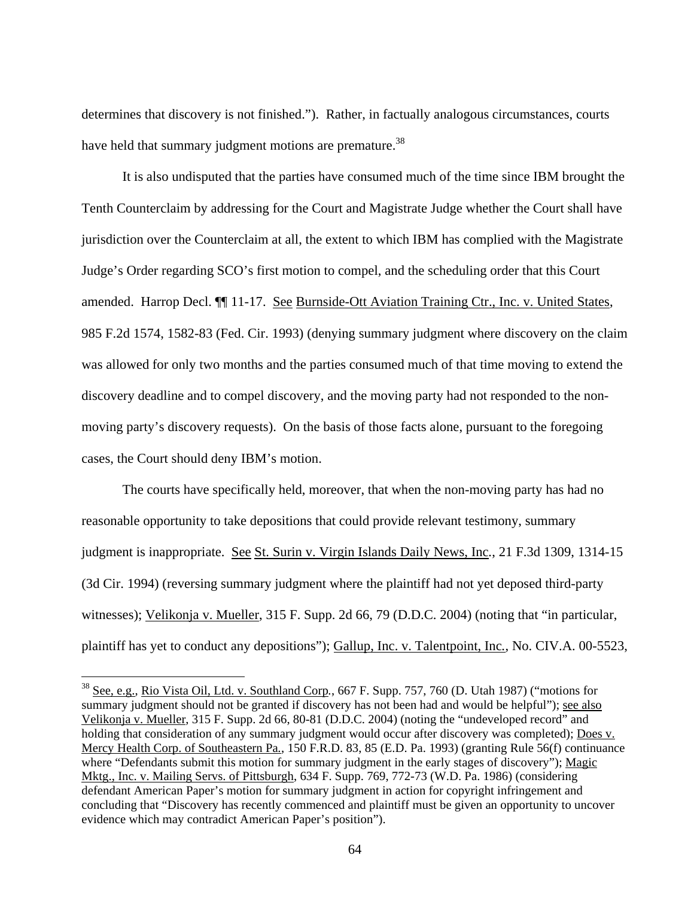determines that discovery is not finished."). Rather, in factually analogous circumstances, courts have held that summary judgment motions are premature.<sup>38</sup>

 It is also undisputed that the parties have consumed much of the time since IBM brought the Tenth Counterclaim by addressing for the Court and Magistrate Judge whether the Court shall have jurisdiction over the Counterclaim at all, the extent to which IBM has complied with the Magistrate Judge's Order regarding SCO's first motion to compel, and the scheduling order that this Court amended. Harrop Decl. ¶¶ 11-17. See Burnside-Ott Aviation Training Ctr., Inc. v. United States, 985 F.2d 1574, 1582-83 (Fed. Cir. 1993) (denying summary judgment where discovery on the claim was allowed for only two months and the parties consumed much of that time moving to extend the discovery deadline and to compel discovery, and the moving party had not responded to the nonmoving party's discovery requests). On the basis of those facts alone, pursuant to the foregoing cases, the Court should deny IBM's motion.

 The courts have specifically held, moreover, that when the non-moving party has had no reasonable opportunity to take depositions that could provide relevant testimony, summary judgment is inappropriate. See St. Surin v. Virgin Islands Daily News, Inc*.*, 21 F.3d 1309, 1314-15 (3d Cir. 1994) (reversing summary judgment where the plaintiff had not yet deposed third-party witnesses); Velikonja v. Mueller, 315 F. Supp. 2d 66, 79 (D.D.C. 2004) (noting that "in particular, plaintiff has yet to conduct any depositions"); Gallup, Inc. v. Talentpoint, Inc*.*, No. CIV.A. 00-5523,

<sup>38</sup> See, e.g., Rio Vista Oil, Ltd. v. Southland Corp*.*, 667 F. Supp. 757, 760 (D. Utah 1987) ("motions for summary judgment should not be granted if discovery has not been had and would be helpful"); see also Velikonja v. Mueller, 315 F. Supp. 2d 66, 80-81 (D.D.C. 2004) (noting the "undeveloped record" and holding that consideration of any summary judgment would occur after discovery was completed); Does v. Mercy Health Corp. of Southeastern Pa*.*, 150 F.R.D. 83, 85 (E.D. Pa. 1993) (granting Rule 56(f) continuance where "Defendants submit this motion for summary judgment in the early stages of discovery"); Magic Mktg., Inc. v. Mailing Servs. of Pittsburgh, 634 F. Supp. 769, 772-73 (W.D. Pa. 1986) (considering defendant American Paper's motion for summary judgment in action for copyright infringement and concluding that "Discovery has recently commenced and plaintiff must be given an opportunity to uncover evidence which may contradict American Paper's position").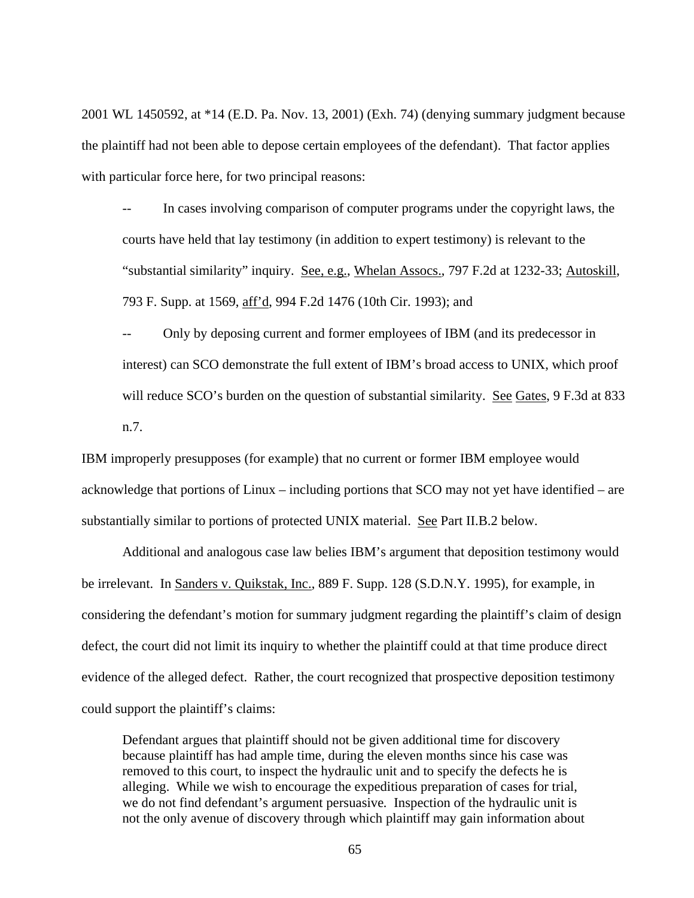2001 WL 1450592, at \*14 (E.D. Pa. Nov. 13, 2001) (Exh. 74) (denying summary judgment because the plaintiff had not been able to depose certain employees of the defendant). That factor applies with particular force here, for two principal reasons:

-- In cases involving comparison of computer programs under the copyright laws, the courts have held that lay testimony (in addition to expert testimony) is relevant to the "substantial similarity" inquiry. See, e.g., Whelan Assocs., 797 F.2d at 1232-33; Autoskill, 793 F. Supp. at 1569, aff'd, 994 F.2d 1476 (10th Cir. 1993); and

Only by deposing current and former employees of IBM (and its predecessor in interest) can SCO demonstrate the full extent of IBM's broad access to UNIX, which proof will reduce SCO's burden on the question of substantial similarity. See Gates, 9 F.3d at 833 n.7.

IBM improperly presupposes (for example) that no current or former IBM employee would acknowledge that portions of Linux – including portions that SCO may not yet have identified – are substantially similar to portions of protected UNIX material. See Part II.B.2 below.

Additional and analogous case law belies IBM's argument that deposition testimony would be irrelevant. In Sanders v. Quikstak, Inc., 889 F. Supp. 128 (S.D.N.Y. 1995), for example, in considering the defendant's motion for summary judgment regarding the plaintiff's claim of design defect, the court did not limit its inquiry to whether the plaintiff could at that time produce direct evidence of the alleged defect. Rather, the court recognized that prospective deposition testimony could support the plaintiff's claims:

Defendant argues that plaintiff should not be given additional time for discovery because plaintiff has had ample time, during the eleven months since his case was removed to this court, to inspect the hydraulic unit and to specify the defects he is alleging. While we wish to encourage the expeditious preparation of cases for trial, we do not find defendant's argument persuasive*.* Inspection of the hydraulic unit is not the only avenue of discovery through which plaintiff may gain information about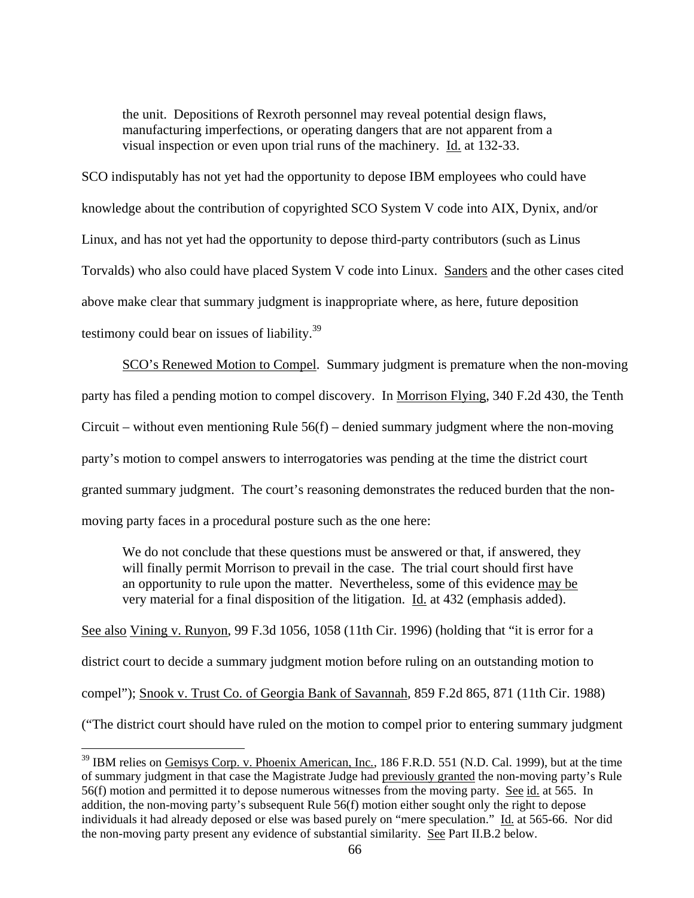the unit. Depositions of Rexroth personnel may reveal potential design flaws, manufacturing imperfections, or operating dangers that are not apparent from a visual inspection or even upon trial runs of the machinery. Id. at 132-33.

SCO indisputably has not yet had the opportunity to depose IBM employees who could have knowledge about the contribution of copyrighted SCO System V code into AIX, Dynix, and/or Linux, and has not yet had the opportunity to depose third-party contributors (such as Linus Torvalds) who also could have placed System V code into Linux. Sanders and the other cases cited above make clear that summary judgment is inappropriate where, as here, future deposition testimony could bear on issues of liability.<sup>39</sup>

SCO's Renewed Motion to Compel. Summary judgment is premature when the non-moving party has filed a pending motion to compel discovery. In Morrison Flying, 340 F.2d 430, the Tenth Circuit – without even mentioning Rule  $56(f)$  – denied summary judgment where the non-moving party's motion to compel answers to interrogatories was pending at the time the district court granted summary judgment. The court's reasoning demonstrates the reduced burden that the nonmoving party faces in a procedural posture such as the one here:

We do not conclude that these questions must be answered or that, if answered, they will finally permit Morrison to prevail in the case. The trial court should first have an opportunity to rule upon the matter. Nevertheless, some of this evidence may be very material for a final disposition of the litigation. Id. at 432 (emphasis added).

See also Vining v. Runyon, 99 F.3d 1056, 1058 (11th Cir. 1996) (holding that "it is error for a district court to decide a summary judgment motion before ruling on an outstanding motion to compel"); Snook v. Trust Co. of Georgia Bank of Savannah, 859 F.2d 865, 871 (11th Cir. 1988) ("The district court should have ruled on the motion to compel prior to entering summary judgment

<sup>&</sup>lt;sup>39</sup> IBM relies on <u>Gemisys Corp. v. Phoenix American, Inc.</u>, 186 F.R.D. 551 (N.D. Cal. 1999), but at the time of summary judgment in that case the Magistrate Judge had previously granted the non-moving party's Rule 56(f) motion and permitted it to depose numerous witnesses from the moving party. See id. at 565. In addition, the non-moving party's subsequent Rule 56(f) motion either sought only the right to depose individuals it had already deposed or else was based purely on "mere speculation." Id. at 565-66. Nor did the non-moving party present any evidence of substantial similarity. See Part II.B.2 below.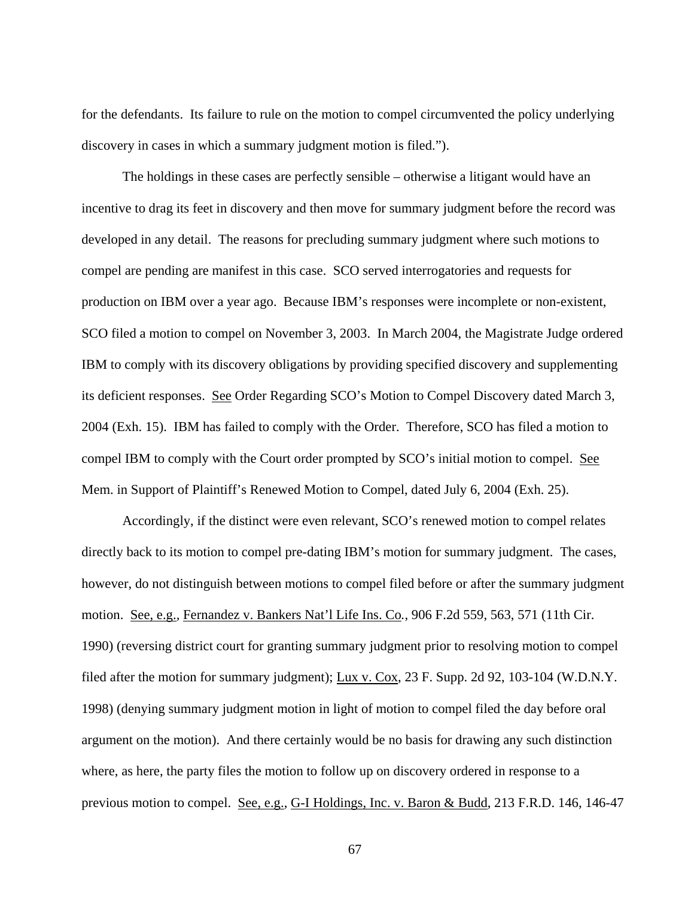for the defendants. Its failure to rule on the motion to compel circumvented the policy underlying discovery in cases in which a summary judgment motion is filed.").

 The holdings in these cases are perfectly sensible – otherwise a litigant would have an incentive to drag its feet in discovery and then move for summary judgment before the record was developed in any detail. The reasons for precluding summary judgment where such motions to compel are pending are manifest in this case. SCO served interrogatories and requests for production on IBM over a year ago. Because IBM's responses were incomplete or non-existent, SCO filed a motion to compel on November 3, 2003. In March 2004, the Magistrate Judge ordered IBM to comply with its discovery obligations by providing specified discovery and supplementing its deficient responses. See Order Regarding SCO's Motion to Compel Discovery dated March 3, 2004 (Exh. 15). IBM has failed to comply with the Order. Therefore, SCO has filed a motion to compel IBM to comply with the Court order prompted by SCO's initial motion to compel. See Mem. in Support of Plaintiff's Renewed Motion to Compel, dated July 6, 2004 (Exh. 25).

 Accordingly, if the distinct were even relevant, SCO's renewed motion to compel relates directly back to its motion to compel pre-dating IBM's motion for summary judgment. The cases, however, do not distinguish between motions to compel filed before or after the summary judgment motion. See, e.g.*,* Fernandez v. Bankers Nat'l Life Ins. Co*.*, 906 F.2d 559, 563, 571 (11th Cir. 1990) (reversing district court for granting summary judgment prior to resolving motion to compel filed after the motion for summary judgment); Lux v. Cox, 23 F. Supp. 2d 92, 103-104 (W.D.N.Y. 1998) (denying summary judgment motion in light of motion to compel filed the day before oral argument on the motion). And there certainly would be no basis for drawing any such distinction where, as here, the party files the motion to follow up on discovery ordered in response to a previous motion to compel. See, e.g., G-I Holdings, Inc. v. Baron & Budd, 213 F.R.D. 146, 146-47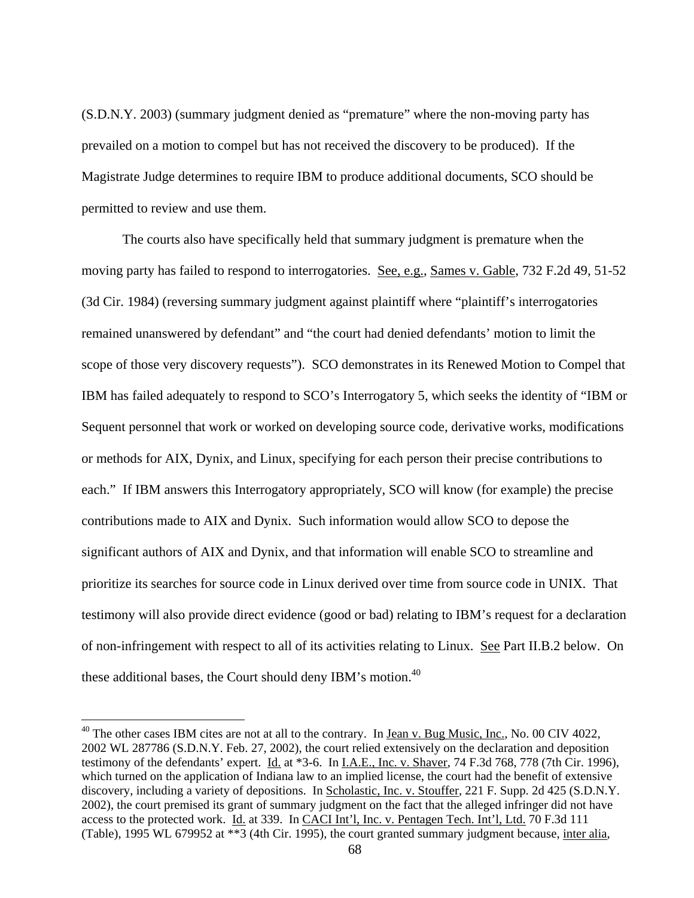(S.D.N.Y. 2003) (summary judgment denied as "premature" where the non-moving party has prevailed on a motion to compel but has not received the discovery to be produced). If the Magistrate Judge determines to require IBM to produce additional documents, SCO should be permitted to review and use them.

 The courts also have specifically held that summary judgment is premature when the moving party has failed to respond to interrogatories. See, e.g., Sames v. Gable, 732 F.2d 49, 51-52 (3d Cir. 1984) (reversing summary judgment against plaintiff where "plaintiff's interrogatories remained unanswered by defendant" and "the court had denied defendants' motion to limit the scope of those very discovery requests"). SCO demonstrates in its Renewed Motion to Compel that IBM has failed adequately to respond to SCO's Interrogatory 5, which seeks the identity of "IBM or Sequent personnel that work or worked on developing source code, derivative works, modifications or methods for AIX, Dynix, and Linux, specifying for each person their precise contributions to each." If IBM answers this Interrogatory appropriately, SCO will know (for example) the precise contributions made to AIX and Dynix. Such information would allow SCO to depose the significant authors of AIX and Dynix, and that information will enable SCO to streamline and prioritize its searches for source code in Linux derived over time from source code in UNIX. That testimony will also provide direct evidence (good or bad) relating to IBM's request for a declaration of non-infringement with respect to all of its activities relating to Linux. See Part II.B.2 below. On these additional bases, the Court should deny IBM's motion.<sup>40</sup>

 $^{40}$  The other cases IBM cites are not at all to the contrary. In Jean v. Bug Music, Inc., No. 00 CIV 4022, 2002 WL 287786 (S.D.N.Y. Feb. 27, 2002), the court relied extensively on the declaration and deposition testimony of the defendants' expert. Id. at \*3-6. In I.A.E., Inc. v. Shaver, 74 F.3d 768, 778 (7th Cir. 1996), which turned on the application of Indiana law to an implied license, the court had the benefit of extensive discovery, including a variety of depositions. In Scholastic, Inc. v. Stouffer, 221 F. Supp. 2d 425 (S.D.N.Y. 2002), the court premised its grant of summary judgment on the fact that the alleged infringer did not have access to the protected work. Id. at 339. In CACI Int'l, Inc. v. Pentagen Tech. Int'l, Ltd. 70 F.3d 111 (Table), 1995 WL 679952 at \*\*3 (4th Cir. 1995), the court granted summary judgment because, inter alia,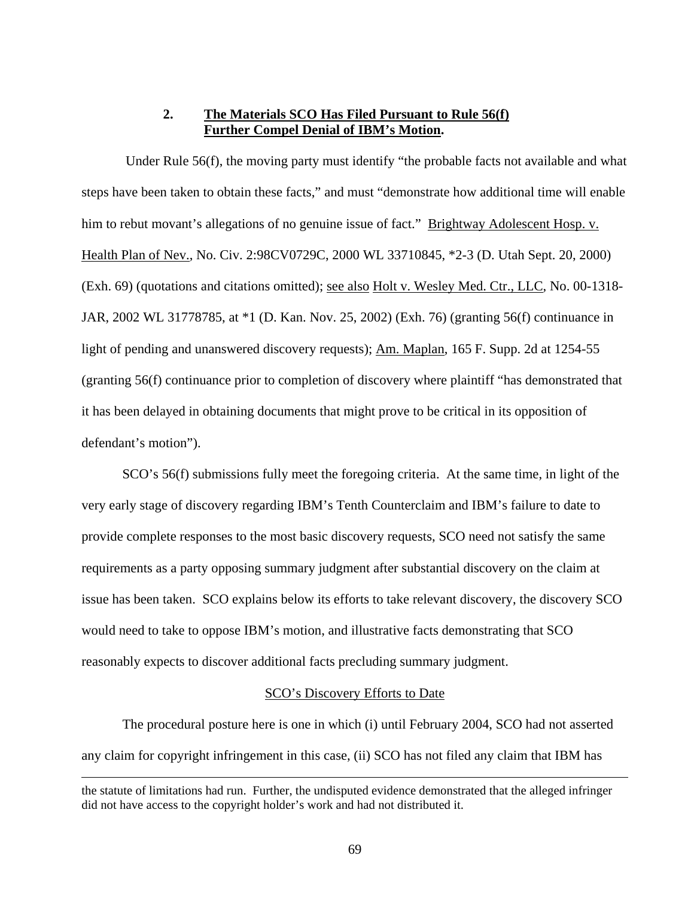### **2. The Materials SCO Has Filed Pursuant to Rule 56(f) Further Compel Denial of IBM's Motion.**

 Under Rule 56(f), the moving party must identify "the probable facts not available and what steps have been taken to obtain these facts," and must "demonstrate how additional time will enable him to rebut movant's allegations of no genuine issue of fact." Brightway Adolescent Hosp. v. Health Plan of Nev., No. Civ. 2:98CV0729C, 2000 WL 33710845, \*2-3 (D. Utah Sept. 20, 2000) (Exh. 69) (quotations and citations omitted); <u>see also Holt v. Wesley Med. Ctr., LLC</u>, No. 00-1318-JAR, 2002 WL 31778785, at \*1 (D. Kan. Nov. 25, 2002) (Exh. 76) (granting 56(f) continuance in light of pending and unanswered discovery requests); Am. Maplan, 165 F. Supp. 2d at 1254-55 (granting 56(f) continuance prior to completion of discovery where plaintiff "has demonstrated that it has been delayed in obtaining documents that might prove to be critical in its opposition of defendant's motion").

 SCO's 56(f) submissions fully meet the foregoing criteria. At the same time, in light of the very early stage of discovery regarding IBM's Tenth Counterclaim and IBM's failure to date to provide complete responses to the most basic discovery requests, SCO need not satisfy the same requirements as a party opposing summary judgment after substantial discovery on the claim at issue has been taken. SCO explains below its efforts to take relevant discovery, the discovery SCO would need to take to oppose IBM's motion, and illustrative facts demonstrating that SCO reasonably expects to discover additional facts precluding summary judgment.

#### SCO's Discovery Efforts to Date

 The procedural posture here is one in which (i) until February 2004, SCO had not asserted any claim for copyright infringement in this case, (ii) SCO has not filed any claim that IBM has

the statute of limitations had run. Further, the undisputed evidence demonstrated that the alleged infringer did not have access to the copyright holder's work and had not distributed it.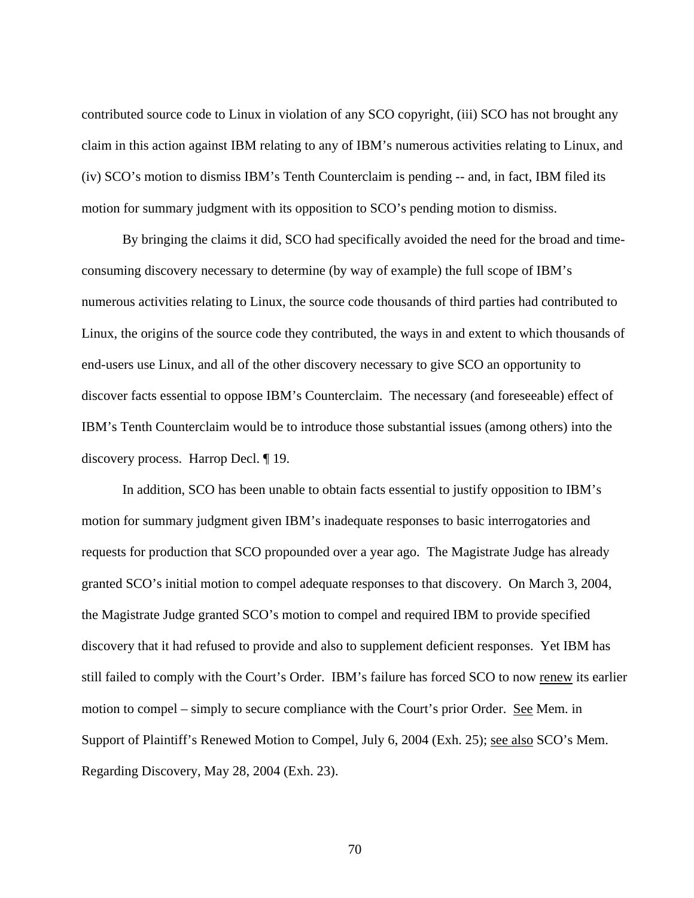contributed source code to Linux in violation of any SCO copyright, (iii) SCO has not brought any claim in this action against IBM relating to any of IBM's numerous activities relating to Linux, and (iv) SCO's motion to dismiss IBM's Tenth Counterclaim is pending -- and, in fact, IBM filed its motion for summary judgment with its opposition to SCO's pending motion to dismiss.

 By bringing the claims it did, SCO had specifically avoided the need for the broad and timeconsuming discovery necessary to determine (by way of example) the full scope of IBM's numerous activities relating to Linux, the source code thousands of third parties had contributed to Linux, the origins of the source code they contributed, the ways in and extent to which thousands of end-users use Linux, and all of the other discovery necessary to give SCO an opportunity to discover facts essential to oppose IBM's Counterclaim. The necessary (and foreseeable) effect of IBM's Tenth Counterclaim would be to introduce those substantial issues (among others) into the discovery process. Harrop Decl. ¶ 19.

 In addition, SCO has been unable to obtain facts essential to justify opposition to IBM's motion for summary judgment given IBM's inadequate responses to basic interrogatories and requests for production that SCO propounded over a year ago. The Magistrate Judge has already granted SCO's initial motion to compel adequate responses to that discovery. On March 3, 2004, the Magistrate Judge granted SCO's motion to compel and required IBM to provide specified discovery that it had refused to provide and also to supplement deficient responses. Yet IBM has still failed to comply with the Court's Order. IBM's failure has forced SCO to now renew its earlier motion to compel – simply to secure compliance with the Court's prior Order. See Mem. in Support of Plaintiff's Renewed Motion to Compel, July 6, 2004 (Exh. 25); see also SCO's Mem. Regarding Discovery, May 28, 2004 (Exh. 23).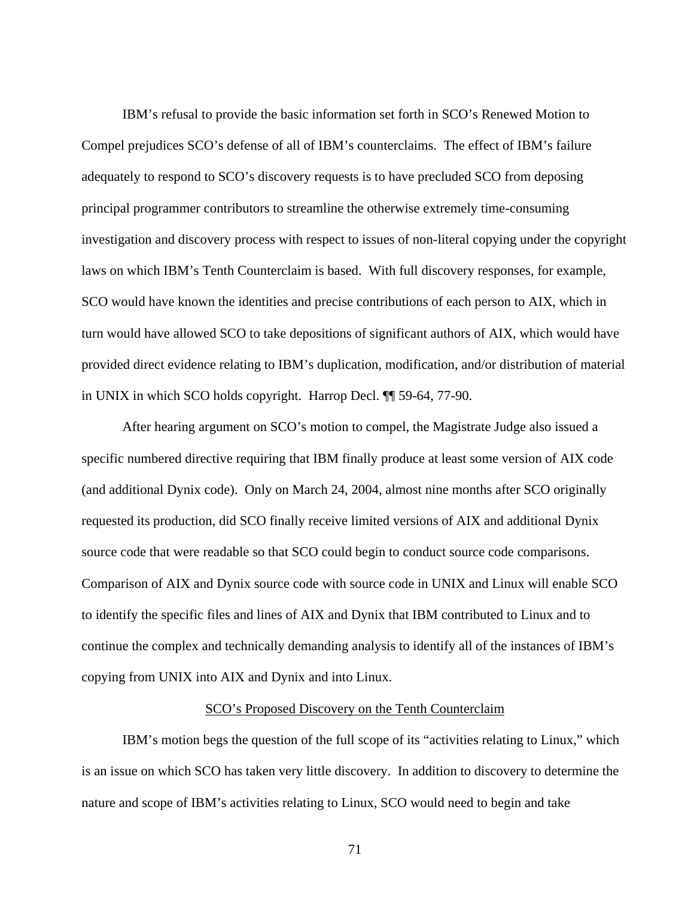IBM's refusal to provide the basic information set forth in SCO's Renewed Motion to Compel prejudices SCO's defense of all of IBM's counterclaims. The effect of IBM's failure adequately to respond to SCO's discovery requests is to have precluded SCO from deposing principal programmer contributors to streamline the otherwise extremely time-consuming investigation and discovery process with respect to issues of non-literal copying under the copyright laws on which IBM's Tenth Counterclaim is based. With full discovery responses, for example, SCO would have known the identities and precise contributions of each person to AIX, which in turn would have allowed SCO to take depositions of significant authors of AIX, which would have provided direct evidence relating to IBM's duplication, modification, and/or distribution of material in UNIX in which SCO holds copyright. Harrop Decl. ¶¶ 59-64, 77-90.

 After hearing argument on SCO's motion to compel, the Magistrate Judge also issued a specific numbered directive requiring that IBM finally produce at least some version of AIX code (and additional Dynix code). Only on March 24, 2004, almost nine months after SCO originally requested its production, did SCO finally receive limited versions of AIX and additional Dynix source code that were readable so that SCO could begin to conduct source code comparisons. Comparison of AIX and Dynix source code with source code in UNIX and Linux will enable SCO to identify the specific files and lines of AIX and Dynix that IBM contributed to Linux and to continue the complex and technically demanding analysis to identify all of the instances of IBM's copying from UNIX into AIX and Dynix and into Linux.

#### SCO's Proposed Discovery on the Tenth Counterclaim

 IBM's motion begs the question of the full scope of its "activities relating to Linux," which is an issue on which SCO has taken very little discovery. In addition to discovery to determine the nature and scope of IBM's activities relating to Linux, SCO would need to begin and take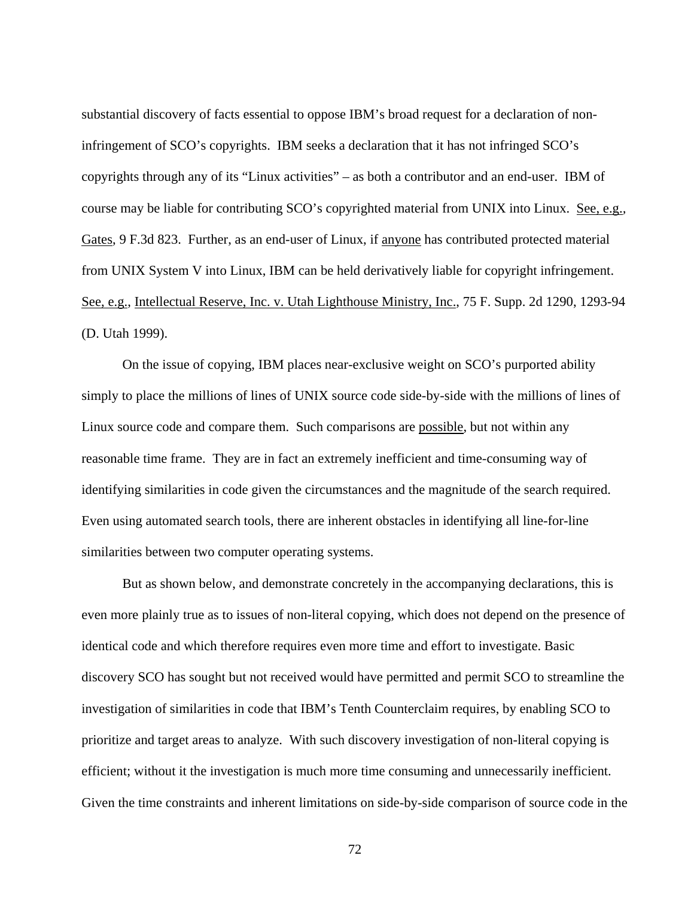substantial discovery of facts essential to oppose IBM's broad request for a declaration of noninfringement of SCO's copyrights. IBM seeks a declaration that it has not infringed SCO's copyrights through any of its "Linux activities" – as both a contributor and an end-user. IBM of course may be liable for contributing SCO's copyrighted material from UNIX into Linux. See, e.g.*,*  Gates, 9 F.3d 823. Further, as an end-user of Linux, if anyone has contributed protected material from UNIX System V into Linux, IBM can be held derivatively liable for copyright infringement. See, e.g., Intellectual Reserve, Inc. v. Utah Lighthouse Ministry, Inc., 75 F. Supp. 2d 1290, 1293-94 (D. Utah 1999).

 On the issue of copying, IBM places near-exclusive weight on SCO's purported ability simply to place the millions of lines of UNIX source code side-by-side with the millions of lines of Linux source code and compare them. Such comparisons are possible, but not within any reasonable time frame. They are in fact an extremely inefficient and time-consuming way of identifying similarities in code given the circumstances and the magnitude of the search required. Even using automated search tools, there are inherent obstacles in identifying all line-for-line similarities between two computer operating systems.

 But as shown below, and demonstrate concretely in the accompanying declarations, this is even more plainly true as to issues of non-literal copying, which does not depend on the presence of identical code and which therefore requires even more time and effort to investigate. Basic discovery SCO has sought but not received would have permitted and permit SCO to streamline the investigation of similarities in code that IBM's Tenth Counterclaim requires, by enabling SCO to prioritize and target areas to analyze. With such discovery investigation of non-literal copying is efficient; without it the investigation is much more time consuming and unnecessarily inefficient. Given the time constraints and inherent limitations on side-by-side comparison of source code in the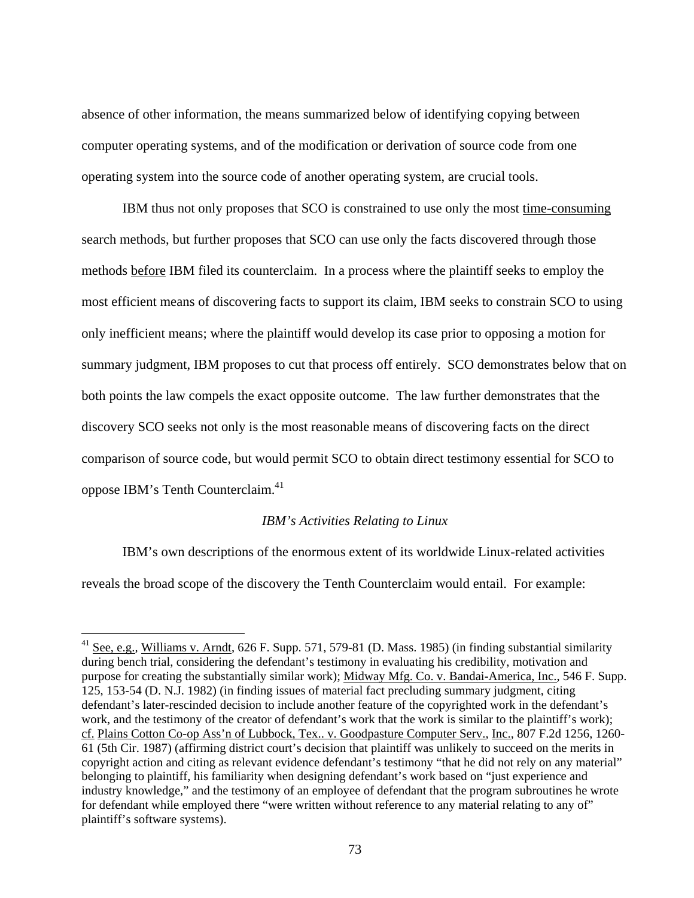absence of other information, the means summarized below of identifying copying between computer operating systems, and of the modification or derivation of source code from one operating system into the source code of another operating system, are crucial tools.

 IBM thus not only proposes that SCO is constrained to use only the most time-consuming search methods, but further proposes that SCO can use only the facts discovered through those methods before IBM filed its counterclaim. In a process where the plaintiff seeks to employ the most efficient means of discovering facts to support its claim, IBM seeks to constrain SCO to using only inefficient means; where the plaintiff would develop its case prior to opposing a motion for summary judgment, IBM proposes to cut that process off entirely. SCO demonstrates below that on both points the law compels the exact opposite outcome. The law further demonstrates that the discovery SCO seeks not only is the most reasonable means of discovering facts on the direct comparison of source code, but would permit SCO to obtain direct testimony essential for SCO to oppose IBM's Tenth Counterclaim.<sup>41</sup>

### *IBM's Activities Relating to Linux*

 IBM's own descriptions of the enormous extent of its worldwide Linux-related activities reveals the broad scope of the discovery the Tenth Counterclaim would entail. For example:

 $\overline{a}$ 

<sup>&</sup>lt;sup>41</sup> See, e.g., Williams v. Arndt, 626 F. Supp. 571, 579-81 (D. Mass. 1985) (in finding substantial similarity during bench trial, considering the defendant's testimony in evaluating his credibility, motivation and purpose for creating the substantially similar work); Midway Mfg. Co. v. Bandai-America, Inc., 546 F. Supp. 125, 153-54 (D. N.J. 1982) (in finding issues of material fact precluding summary judgment, citing defendant's later-rescinded decision to include another feature of the copyrighted work in the defendant's work, and the testimony of the creator of defendant's work that the work is similar to the plaintiff's work); cf. Plains Cotton Co-op Ass'n of Lubbock, Tex.. v. Goodpasture Computer Serv., Inc., 807 F.2d 1256, 1260- 61 (5th Cir. 1987) (affirming district court's decision that plaintiff was unlikely to succeed on the merits in copyright action and citing as relevant evidence defendant's testimony "that he did not rely on any material" belonging to plaintiff, his familiarity when designing defendant's work based on "just experience and industry knowledge," and the testimony of an employee of defendant that the program subroutines he wrote for defendant while employed there "were written without reference to any material relating to any of" plaintiff's software systems).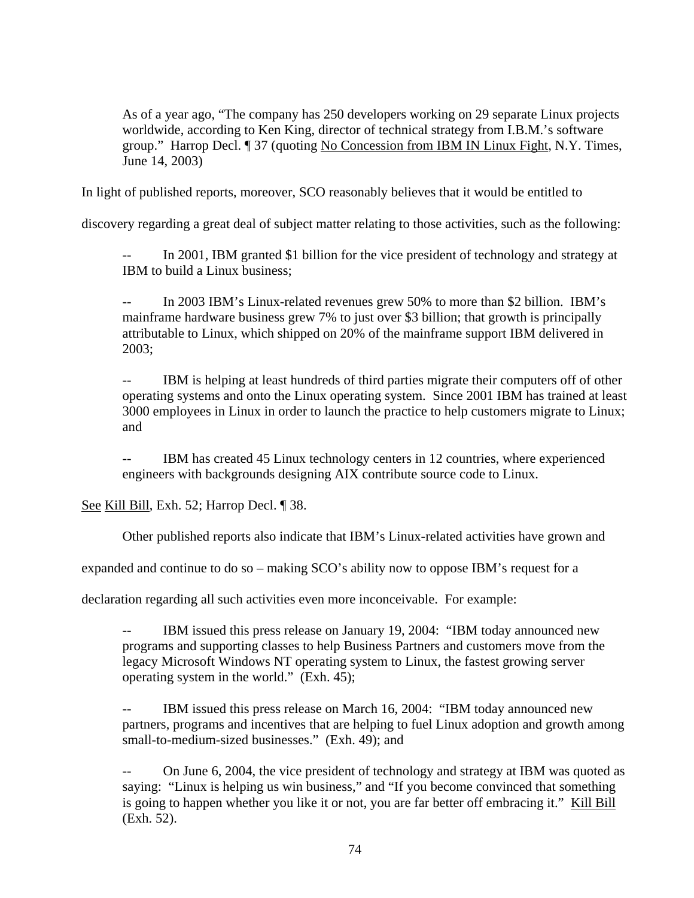As of a year ago, "The company has 250 developers working on 29 separate Linux projects worldwide, according to Ken King, director of technical strategy from I.B.M.'s software group." Harrop Decl. ¶ 37 (quoting No Concession from IBM IN Linux Fight, N.Y. Times, June 14, 2003)

In light of published reports, moreover, SCO reasonably believes that it would be entitled to

discovery regarding a great deal of subject matter relating to those activities, such as the following:

-- In 2001, IBM granted \$1 billion for the vice president of technology and strategy at IBM to build a Linux business;

-- In 2003 IBM's Linux-related revenues grew 50% to more than \$2 billion. IBM's mainframe hardware business grew 7% to just over \$3 billion; that growth is principally attributable to Linux, which shipped on 20% of the mainframe support IBM delivered in 2003;

-- IBM is helping at least hundreds of third parties migrate their computers off of other operating systems and onto the Linux operating system. Since 2001 IBM has trained at least 3000 employees in Linux in order to launch the practice to help customers migrate to Linux; and

-- IBM has created 45 Linux technology centers in 12 countries, where experienced engineers with backgrounds designing AIX contribute source code to Linux.

See Kill Bill, Exh. 52; Harrop Decl. ¶ 38.

Other published reports also indicate that IBM's Linux-related activities have grown and

expanded and continue to do so – making SCO's ability now to oppose IBM's request for a

declaration regarding all such activities even more inconceivable. For example:

-- IBM issued this press release on January 19, 2004: "IBM today announced new programs and supporting classes to help Business Partners and customers move from the legacy Microsoft Windows NT operating system to Linux, the fastest growing server operating system in the world." (Exh. 45);

-- IBM issued this press release on March 16, 2004: "IBM today announced new partners, programs and incentives that are helping to fuel Linux adoption and growth among small-to-medium-sized businesses." (Exh. 49); and

-- On June 6, 2004, the vice president of technology and strategy at IBM was quoted as saying: "Linux is helping us win business," and "If you become convinced that something is going to happen whether you like it or not, you are far better off embracing it." Kill Bill (Exh. 52).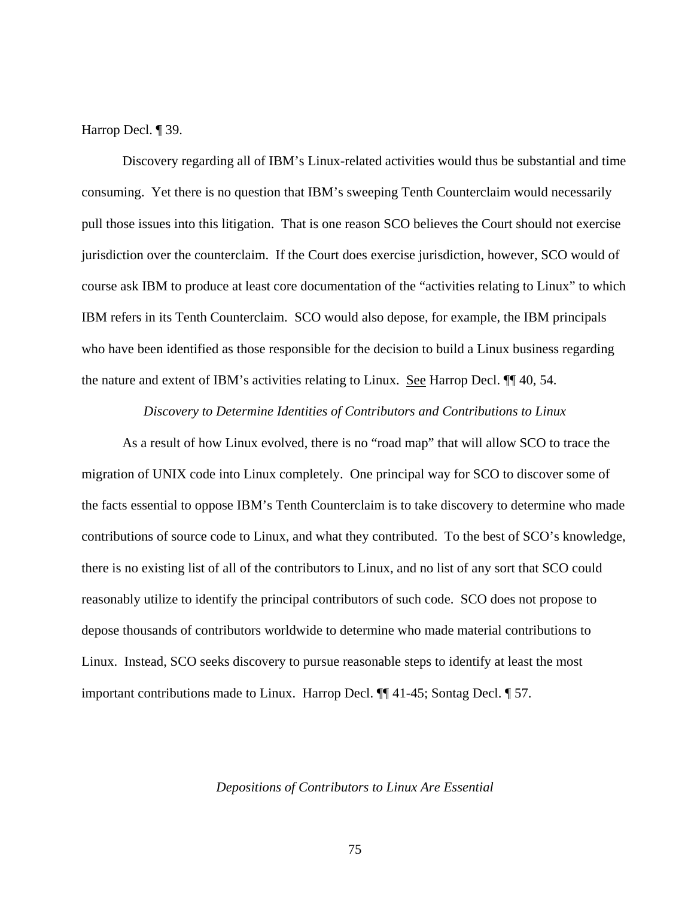Harrop Decl. ¶ 39.

 Discovery regarding all of IBM's Linux-related activities would thus be substantial and time consuming. Yet there is no question that IBM's sweeping Tenth Counterclaim would necessarily pull those issues into this litigation. That is one reason SCO believes the Court should not exercise jurisdiction over the counterclaim. If the Court does exercise jurisdiction, however, SCO would of course ask IBM to produce at least core documentation of the "activities relating to Linux" to which IBM refers in its Tenth Counterclaim. SCO would also depose, for example, the IBM principals who have been identified as those responsible for the decision to build a Linux business regarding the nature and extent of IBM's activities relating to Linux. See Harrop Decl. ¶¶ 40, 54.

*Discovery to Determine Identities of Contributors and Contributions to Linux* 

 As a result of how Linux evolved, there is no "road map" that will allow SCO to trace the migration of UNIX code into Linux completely. One principal way for SCO to discover some of the facts essential to oppose IBM's Tenth Counterclaim is to take discovery to determine who made contributions of source code to Linux, and what they contributed. To the best of SCO's knowledge, there is no existing list of all of the contributors to Linux, and no list of any sort that SCO could reasonably utilize to identify the principal contributors of such code. SCO does not propose to depose thousands of contributors worldwide to determine who made material contributions to Linux. Instead, SCO seeks discovery to pursue reasonable steps to identify at least the most important contributions made to Linux. Harrop Decl. ¶¶ 41-45; Sontag Decl. ¶ 57.

*Depositions of Contributors to Linux Are Essential*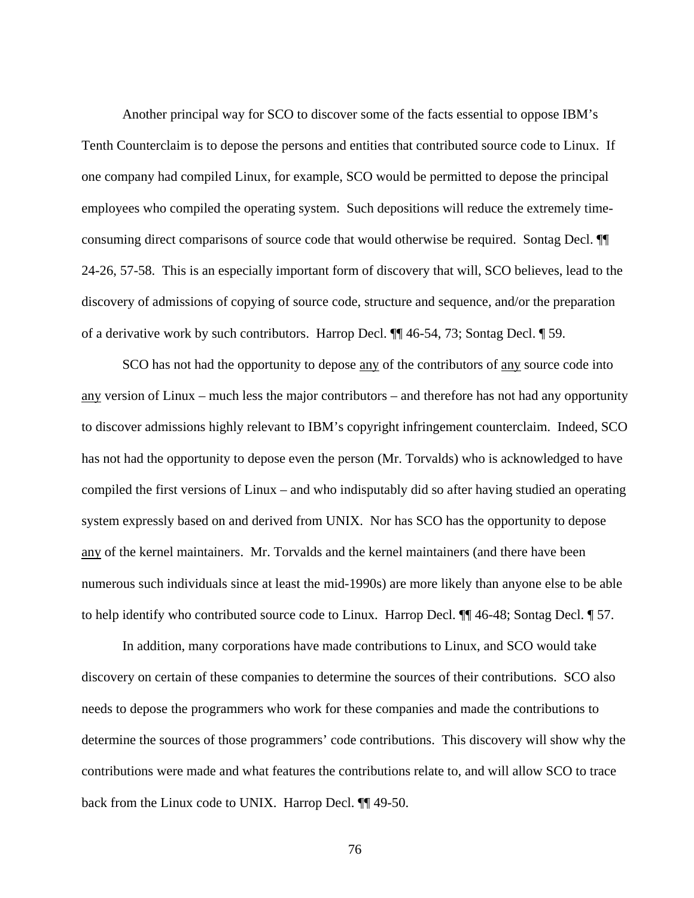Another principal way for SCO to discover some of the facts essential to oppose IBM's Tenth Counterclaim is to depose the persons and entities that contributed source code to Linux. If one company had compiled Linux, for example, SCO would be permitted to depose the principal employees who compiled the operating system. Such depositions will reduce the extremely timeconsuming direct comparisons of source code that would otherwise be required. Sontag Decl. ¶¶ 24-26, 57-58. This is an especially important form of discovery that will, SCO believes, lead to the discovery of admissions of copying of source code, structure and sequence, and/or the preparation of a derivative work by such contributors. Harrop Decl. ¶¶ 46-54, 73; Sontag Decl. ¶ 59.

SCO has not had the opportunity to depose <u>any</u> of the contributors of <u>any</u> source code into any version of Linux – much less the major contributors – and therefore has not had any opportunity to discover admissions highly relevant to IBM's copyright infringement counterclaim. Indeed, SCO has not had the opportunity to depose even the person (Mr. Torvalds) who is acknowledged to have compiled the first versions of Linux – and who indisputably did so after having studied an operating system expressly based on and derived from UNIX. Nor has SCO has the opportunity to depose any of the kernel maintainers. Mr. Torvalds and the kernel maintainers (and there have been numerous such individuals since at least the mid-1990s) are more likely than anyone else to be able to help identify who contributed source code to Linux. Harrop Decl. ¶¶ 46-48; Sontag Decl. ¶ 57.

 In addition, many corporations have made contributions to Linux, and SCO would take discovery on certain of these companies to determine the sources of their contributions. SCO also needs to depose the programmers who work for these companies and made the contributions to determine the sources of those programmers' code contributions. This discovery will show why the contributions were made and what features the contributions relate to, and will allow SCO to trace back from the Linux code to UNIX. Harrop Decl. ¶¶ 49-50.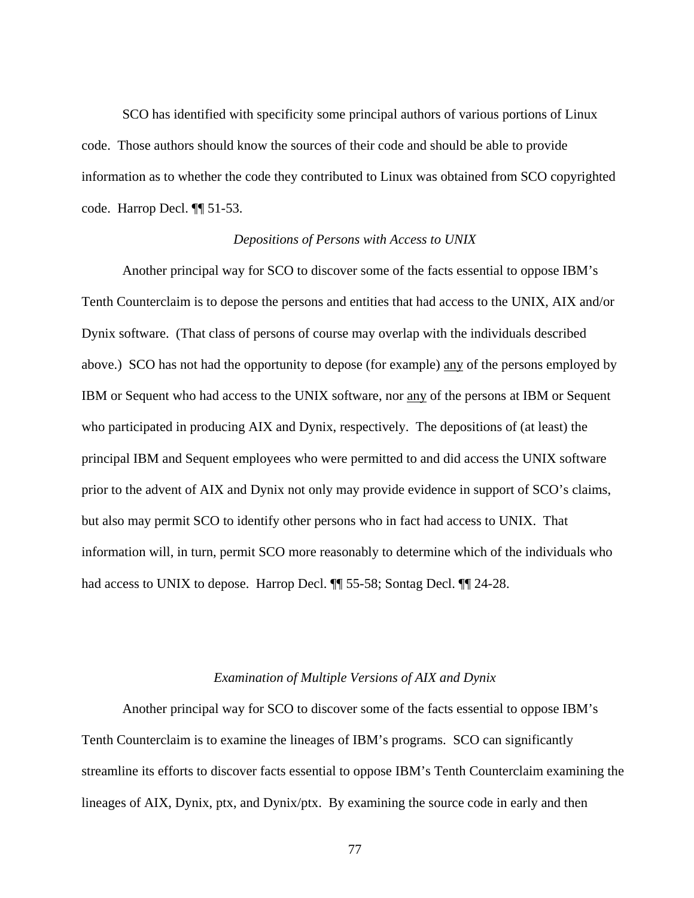SCO has identified with specificity some principal authors of various portions of Linux code. Those authors should know the sources of their code and should be able to provide information as to whether the code they contributed to Linux was obtained from SCO copyrighted code. Harrop Decl. ¶¶ 51-53.

### *Depositions of Persons with Access to UNIX*

 Another principal way for SCO to discover some of the facts essential to oppose IBM's Tenth Counterclaim is to depose the persons and entities that had access to the UNIX, AIX and/or Dynix software. (That class of persons of course may overlap with the individuals described above.) SCO has not had the opportunity to depose (for example) any of the persons employed by IBM or Sequent who had access to the UNIX software, nor any of the persons at IBM or Sequent who participated in producing AIX and Dynix, respectively. The depositions of (at least) the principal IBM and Sequent employees who were permitted to and did access the UNIX software prior to the advent of AIX and Dynix not only may provide evidence in support of SCO's claims, but also may permit SCO to identify other persons who in fact had access to UNIX. That information will, in turn, permit SCO more reasonably to determine which of the individuals who had access to UNIX to depose. Harrop Decl.  $\P$  55-58; Sontag Decl.  $\P$  24-28.

### *Examination of Multiple Versions of AIX and Dynix*

 Another principal way for SCO to discover some of the facts essential to oppose IBM's Tenth Counterclaim is to examine the lineages of IBM's programs. SCO can significantly streamline its efforts to discover facts essential to oppose IBM's Tenth Counterclaim examining the lineages of AIX, Dynix, ptx, and Dynix/ptx. By examining the source code in early and then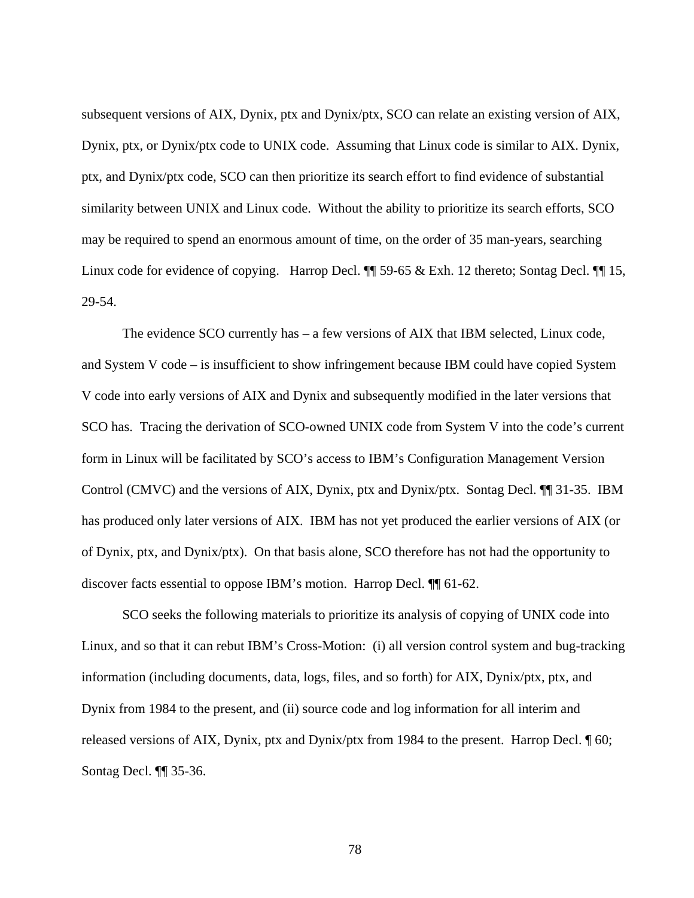subsequent versions of AIX, Dynix, ptx and Dynix/ptx, SCO can relate an existing version of AIX, Dynix, ptx, or Dynix/ptx code to UNIX code. Assuming that Linux code is similar to AIX. Dynix, ptx, and Dynix/ptx code, SCO can then prioritize its search effort to find evidence of substantial similarity between UNIX and Linux code. Without the ability to prioritize its search efforts, SCO may be required to spend an enormous amount of time, on the order of 35 man-years, searching Linux code for evidence of copying. Harrop Decl.  $\P$  59-65 & Exh. 12 thereto; Sontag Decl.  $\P$  15, 29-54.

 The evidence SCO currently has – a few versions of AIX that IBM selected, Linux code, and System V code – is insufficient to show infringement because IBM could have copied System V code into early versions of AIX and Dynix and subsequently modified in the later versions that SCO has. Tracing the derivation of SCO-owned UNIX code from System V into the code's current form in Linux will be facilitated by SCO's access to IBM's Configuration Management Version Control (CMVC) and the versions of AIX, Dynix, ptx and Dynix/ptx. Sontag Decl. ¶¶ 31-35. IBM has produced only later versions of AIX. IBM has not yet produced the earlier versions of AIX (or of Dynix, ptx, and Dynix/ptx). On that basis alone, SCO therefore has not had the opportunity to discover facts essential to oppose IBM's motion. Harrop Decl. ¶¶ 61-62.

 SCO seeks the following materials to prioritize its analysis of copying of UNIX code into Linux, and so that it can rebut IBM's Cross-Motion: (i) all version control system and bug-tracking information (including documents, data, logs, files, and so forth) for AIX, Dynix/ptx, ptx, and Dynix from 1984 to the present, and (ii) source code and log information for all interim and released versions of AIX, Dynix, ptx and Dynix/ptx from 1984 to the present. Harrop Decl. ¶ 60; Sontag Decl. ¶¶ 35-36.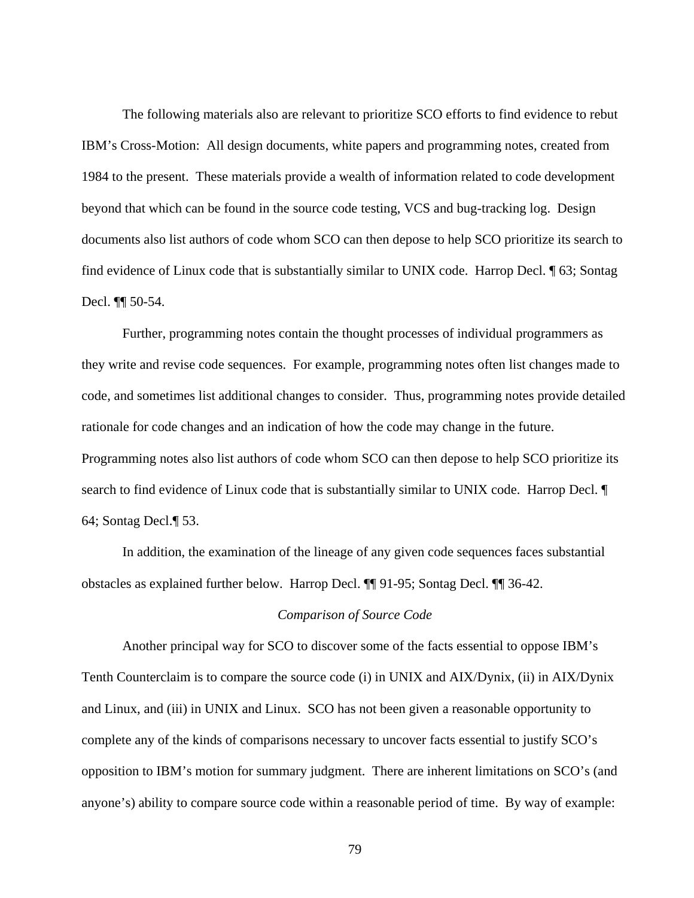The following materials also are relevant to prioritize SCO efforts to find evidence to rebut IBM's Cross-Motion: All design documents, white papers and programming notes, created from 1984 to the present. These materials provide a wealth of information related to code development beyond that which can be found in the source code testing, VCS and bug-tracking log. Design documents also list authors of code whom SCO can then depose to help SCO prioritize its search to find evidence of Linux code that is substantially similar to UNIX code. Harrop Decl. ¶ 63; Sontag Decl. ¶¶ 50-54.

 Further, programming notes contain the thought processes of individual programmers as they write and revise code sequences. For example, programming notes often list changes made to code, and sometimes list additional changes to consider. Thus, programming notes provide detailed rationale for code changes and an indication of how the code may change in the future. Programming notes also list authors of code whom SCO can then depose to help SCO prioritize its search to find evidence of Linux code that is substantially similar to UNIX code. Harrop Decl. ¶ 64; Sontag Decl.¶ 53.

 In addition, the examination of the lineage of any given code sequences faces substantial obstacles as explained further below. Harrop Decl. ¶¶ 91-95; Sontag Decl. ¶¶ 36-42.

## *Comparison of Source Code*

 Another principal way for SCO to discover some of the facts essential to oppose IBM's Tenth Counterclaim is to compare the source code (i) in UNIX and AIX/Dynix, (ii) in AIX/Dynix and Linux, and (iii) in UNIX and Linux. SCO has not been given a reasonable opportunity to complete any of the kinds of comparisons necessary to uncover facts essential to justify SCO's opposition to IBM's motion for summary judgment. There are inherent limitations on SCO's (and anyone's) ability to compare source code within a reasonable period of time. By way of example: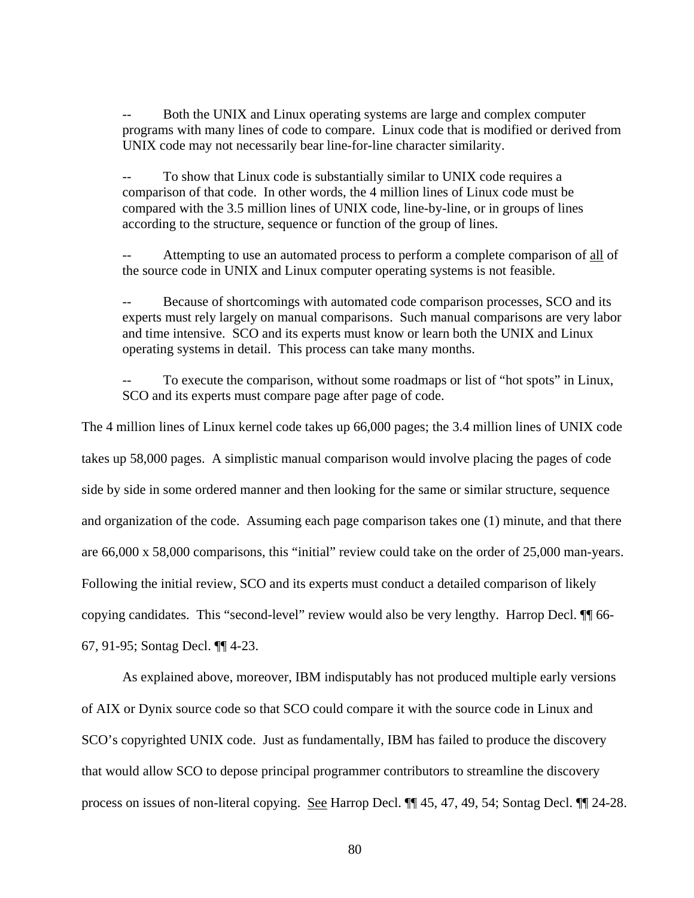Both the UNIX and Linux operating systems are large and complex computer programs with many lines of code to compare. Linux code that is modified or derived from UNIX code may not necessarily bear line-for-line character similarity.

-- To show that Linux code is substantially similar to UNIX code requires a comparison of that code. In other words, the 4 million lines of Linux code must be compared with the 3.5 million lines of UNIX code, line-by-line, or in groups of lines according to the structure, sequence or function of the group of lines.

Attempting to use an automated process to perform a complete comparison of all of the source code in UNIX and Linux computer operating systems is not feasible.

Because of shortcomings with automated code comparison processes, SCO and its experts must rely largely on manual comparisons. Such manual comparisons are very labor and time intensive. SCO and its experts must know or learn both the UNIX and Linux operating systems in detail. This process can take many months.

To execute the comparison, without some roadmaps or list of "hot spots" in Linux, SCO and its experts must compare page after page of code.

The 4 million lines of Linux kernel code takes up 66,000 pages; the 3.4 million lines of UNIX code takes up 58,000 pages. A simplistic manual comparison would involve placing the pages of code side by side in some ordered manner and then looking for the same or similar structure, sequence and organization of the code. Assuming each page comparison takes one (1) minute, and that there are 66,000 x 58,000 comparisons, this "initial" review could take on the order of 25,000 man-years. Following the initial review, SCO and its experts must conduct a detailed comparison of likely copying candidates. This "second-level" review would also be very lengthy. Harrop Decl. ¶¶ 66- 67, 91-95; Sontag Decl. ¶¶ 4-23.

As explained above, moreover, IBM indisputably has not produced multiple early versions of AIX or Dynix source code so that SCO could compare it with the source code in Linux and SCO's copyrighted UNIX code. Just as fundamentally, IBM has failed to produce the discovery that would allow SCO to depose principal programmer contributors to streamline the discovery process on issues of non-literal copying. See Harrop Decl. ¶¶ 45, 47, 49, 54; Sontag Decl. ¶¶ 24-28.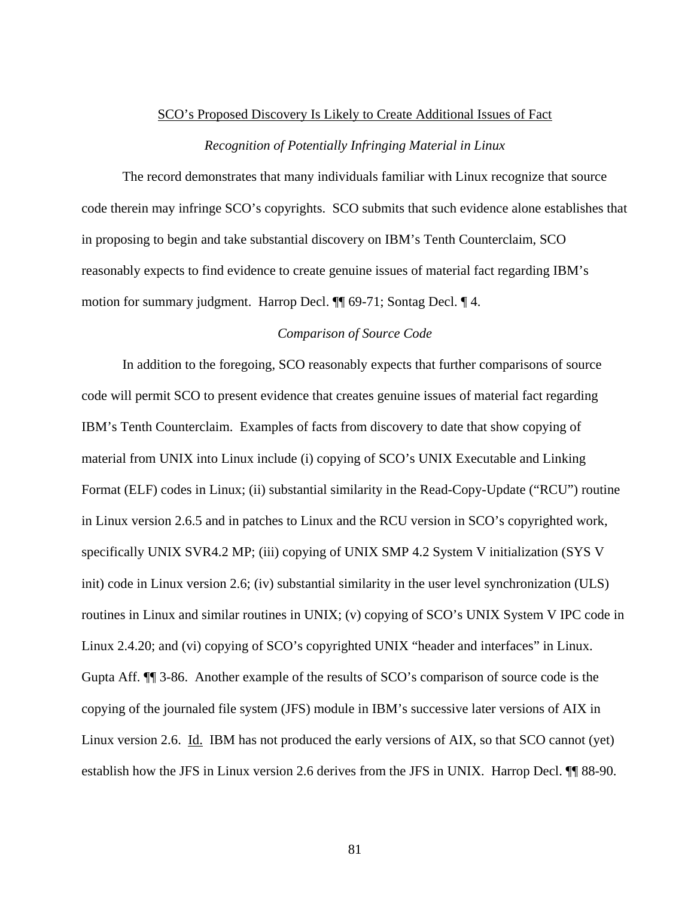# SCO's Proposed Discovery Is Likely to Create Additional Issues of Fact *Recognition of Potentially Infringing Material in Linux*

 The record demonstrates that many individuals familiar with Linux recognize that source code therein may infringe SCO's copyrights. SCO submits that such evidence alone establishes that in proposing to begin and take substantial discovery on IBM's Tenth Counterclaim, SCO reasonably expects to find evidence to create genuine issues of material fact regarding IBM's motion for summary judgment. Harrop Decl. ¶¶ 69-71; Sontag Decl. ¶ 4.

# *Comparison of Source Code*

 In addition to the foregoing, SCO reasonably expects that further comparisons of source code will permit SCO to present evidence that creates genuine issues of material fact regarding IBM's Tenth Counterclaim. Examples of facts from discovery to date that show copying of material from UNIX into Linux include (i) copying of SCO's UNIX Executable and Linking Format (ELF) codes in Linux; (ii) substantial similarity in the Read-Copy-Update ("RCU") routine in Linux version 2.6.5 and in patches to Linux and the RCU version in SCO's copyrighted work, specifically UNIX SVR4.2 MP; (iii) copying of UNIX SMP 4.2 System V initialization (SYS V init) code in Linux version 2.6; (iv) substantial similarity in the user level synchronization (ULS) routines in Linux and similar routines in UNIX; (v) copying of SCO's UNIX System V IPC code in Linux 2.4.20; and (vi) copying of SCO's copyrighted UNIX "header and interfaces" in Linux. Gupta Aff. ¶¶ 3-86. Another example of the results of SCO's comparison of source code is the copying of the journaled file system (JFS) module in IBM's successive later versions of AIX in Linux version 2.6. Id. IBM has not produced the early versions of AIX, so that SCO cannot (yet) establish how the JFS in Linux version 2.6 derives from the JFS in UNIX. Harrop Decl. ¶¶ 88-90.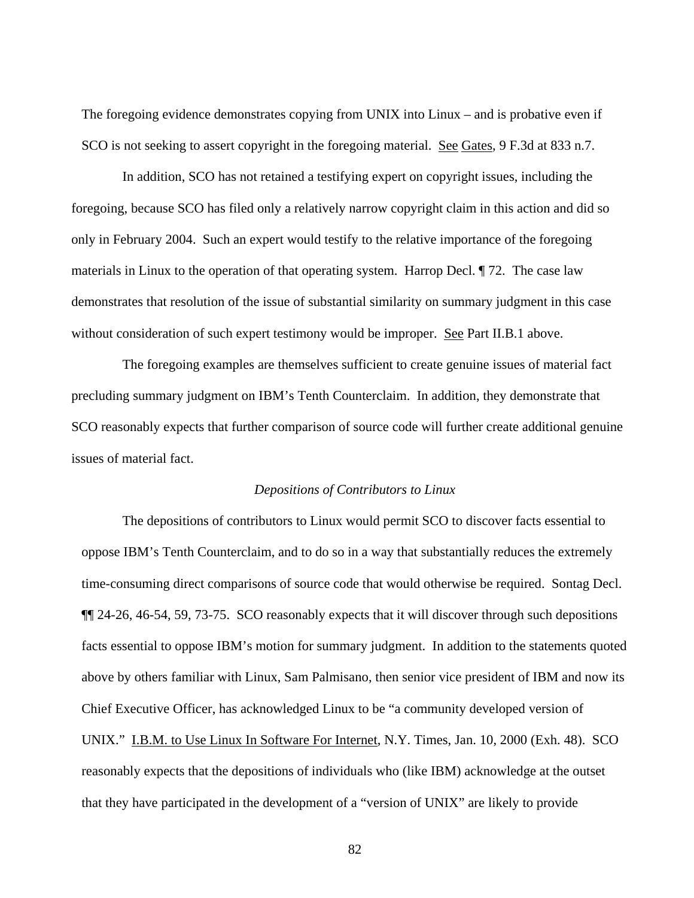The foregoing evidence demonstrates copying from UNIX into Linux – and is probative even if SCO is not seeking to assert copyright in the foregoing material. See Gates, 9 F.3d at 833 n.7.

 In addition, SCO has not retained a testifying expert on copyright issues, including the foregoing, because SCO has filed only a relatively narrow copyright claim in this action and did so only in February 2004. Such an expert would testify to the relative importance of the foregoing materials in Linux to the operation of that operating system. Harrop Decl. ¶ 72. The case law demonstrates that resolution of the issue of substantial similarity on summary judgment in this case without consideration of such expert testimony would be improper. See Part II.B.1 above.

 The foregoing examples are themselves sufficient to create genuine issues of material fact precluding summary judgment on IBM's Tenth Counterclaim. In addition, they demonstrate that SCO reasonably expects that further comparison of source code will further create additional genuine issues of material fact.

### *Depositions of Contributors to Linux*

 The depositions of contributors to Linux would permit SCO to discover facts essential to oppose IBM's Tenth Counterclaim, and to do so in a way that substantially reduces the extremely time-consuming direct comparisons of source code that would otherwise be required. Sontag Decl. ¶¶ 24-26, 46-54, 59, 73-75. SCO reasonably expects that it will discover through such depositions facts essential to oppose IBM's motion for summary judgment. In addition to the statements quoted above by others familiar with Linux, Sam Palmisano, then senior vice president of IBM and now its Chief Executive Officer, has acknowledged Linux to be "a community developed version of UNIX." I.B.M. to Use Linux In Software For Internet, N.Y. Times, Jan. 10, 2000 (Exh. 48). SCO reasonably expects that the depositions of individuals who (like IBM) acknowledge at the outset that they have participated in the development of a "version of UNIX" are likely to provide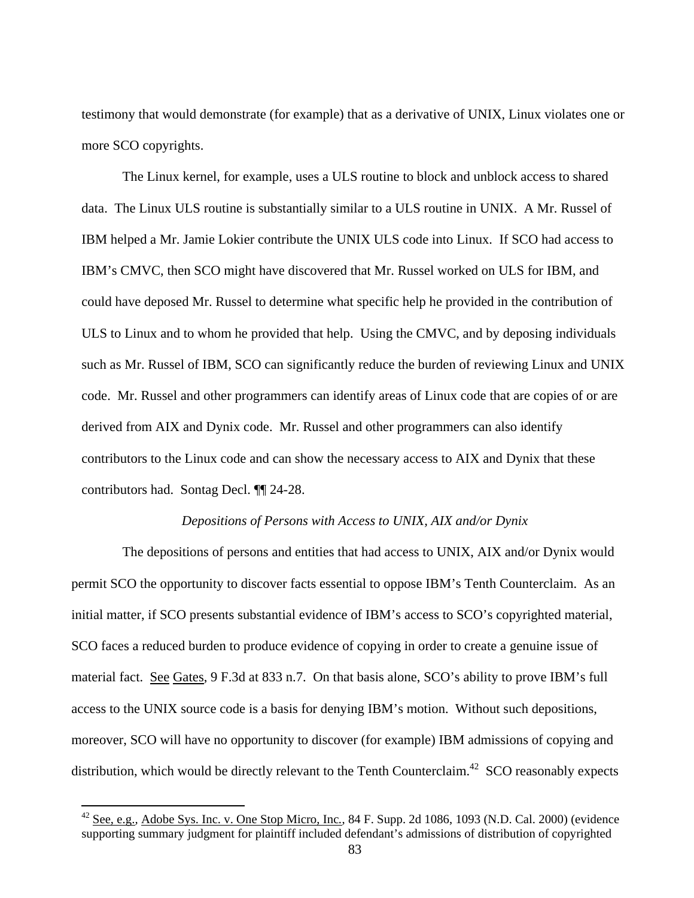testimony that would demonstrate (for example) that as a derivative of UNIX, Linux violates one or more SCO copyrights.

 The Linux kernel, for example, uses a ULS routine to block and unblock access to shared data. The Linux ULS routine is substantially similar to a ULS routine in UNIX. A Mr. Russel of IBM helped a Mr. Jamie Lokier contribute the UNIX ULS code into Linux. If SCO had access to IBM's CMVC, then SCO might have discovered that Mr. Russel worked on ULS for IBM, and could have deposed Mr. Russel to determine what specific help he provided in the contribution of ULS to Linux and to whom he provided that help. Using the CMVC, and by deposing individuals such as Mr. Russel of IBM, SCO can significantly reduce the burden of reviewing Linux and UNIX code. Mr. Russel and other programmers can identify areas of Linux code that are copies of or are derived from AIX and Dynix code. Mr. Russel and other programmers can also identify contributors to the Linux code and can show the necessary access to AIX and Dynix that these contributors had. Sontag Decl. ¶¶ 24-28.

### *Depositions of Persons with Access to UNIX, AIX and/or Dynix*

 The depositions of persons and entities that had access to UNIX, AIX and/or Dynix would permit SCO the opportunity to discover facts essential to oppose IBM's Tenth Counterclaim. As an initial matter, if SCO presents substantial evidence of IBM's access to SCO's copyrighted material, SCO faces a reduced burden to produce evidence of copying in order to create a genuine issue of material fact. See Gates, 9 F.3d at 833 n.7. On that basis alone, SCO's ability to prove IBM's full access to the UNIX source code is a basis for denying IBM's motion. Without such depositions, moreover, SCO will have no opportunity to discover (for example) IBM admissions of copying and distribution, which would be directly relevant to the Tenth Counterclaim.<sup>42</sup> SCO reasonably expects

 $\overline{a}$ 

<sup>42</sup> See, e.g.*,* Adobe Sys. Inc. v. One Stop Micro, Inc*.*, 84 F. Supp. 2d 1086, 1093 (N.D. Cal. 2000) (evidence supporting summary judgment for plaintiff included defendant's admissions of distribution of copyrighted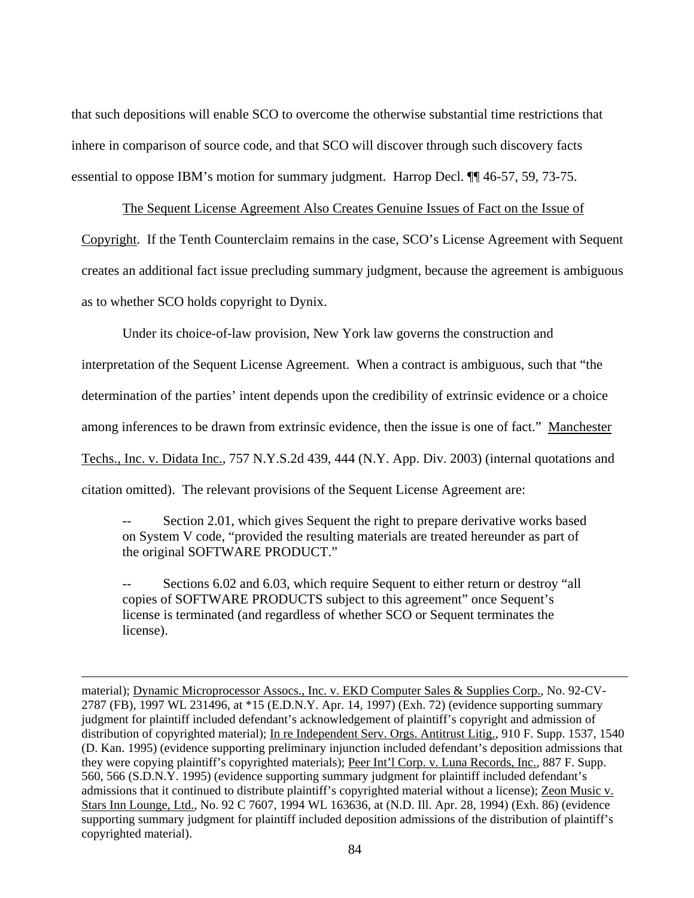that such depositions will enable SCO to overcome the otherwise substantial time restrictions that inhere in comparison of source code, and that SCO will discover through such discovery facts essential to oppose IBM's motion for summary judgment. Harrop Decl. ¶¶ 46-57, 59, 73-75.

The Sequent License Agreement Also Creates Genuine Issues of Fact on the Issue of Copyright. If the Tenth Counterclaim remains in the case, SCO's License Agreement with Sequent creates an additional fact issue precluding summary judgment, because the agreement is ambiguous as to whether SCO holds copyright to Dynix.

Under its choice-of-law provision, New York law governs the construction and

interpretation of the Sequent License Agreement. When a contract is ambiguous, such that "the

determination of the parties' intent depends upon the credibility of extrinsic evidence or a choice

among inferences to be drawn from extrinsic evidence, then the issue is one of fact." Manchester

Techs., Inc. v. Didata Inc., 757 N.Y.S.2d 439, 444 (N.Y. App. Div. 2003) (internal quotations and

citation omitted). The relevant provisions of the Sequent License Agreement are:

<u>.</u>

Section 2.01, which gives Sequent the right to prepare derivative works based on System V code, "provided the resulting materials are treated hereunder as part of the original SOFTWARE PRODUCT."

-- Sections 6.02 and 6.03, which require Sequent to either return or destroy "all copies of SOFTWARE PRODUCTS subject to this agreement" once Sequent's license is terminated (and regardless of whether SCO or Sequent terminates the license).

material); Dynamic Microprocessor Assocs., Inc. v. EKD Computer Sales & Supplies Corp., No. 92-CV-2787 (FB), 1997 WL 231496, at \*15 (E.D.N.Y. Apr. 14, 1997) (Exh. 72) (evidence supporting summary judgment for plaintiff included defendant's acknowledgement of plaintiff's copyright and admission of distribution of copyrighted material); In re Independent Serv. Orgs. Antitrust Litig., 910 F. Supp. 1537, 1540 (D. Kan. 1995) (evidence supporting preliminary injunction included defendant's deposition admissions that they were copying plaintiff's copyrighted materials); Peer Int'l Corp. v. Luna Records, Inc., 887 F. Supp. 560, 566 (S.D.N.Y. 1995) (evidence supporting summary judgment for plaintiff included defendant's admissions that it continued to distribute plaintiff's copyrighted material without a license); Zeon Music v. Stars Inn Lounge, Ltd., No. 92 C 7607, 1994 WL 163636, at (N.D. Ill. Apr. 28, 1994) (Exh. 86) (evidence supporting summary judgment for plaintiff included deposition admissions of the distribution of plaintiff's copyrighted material).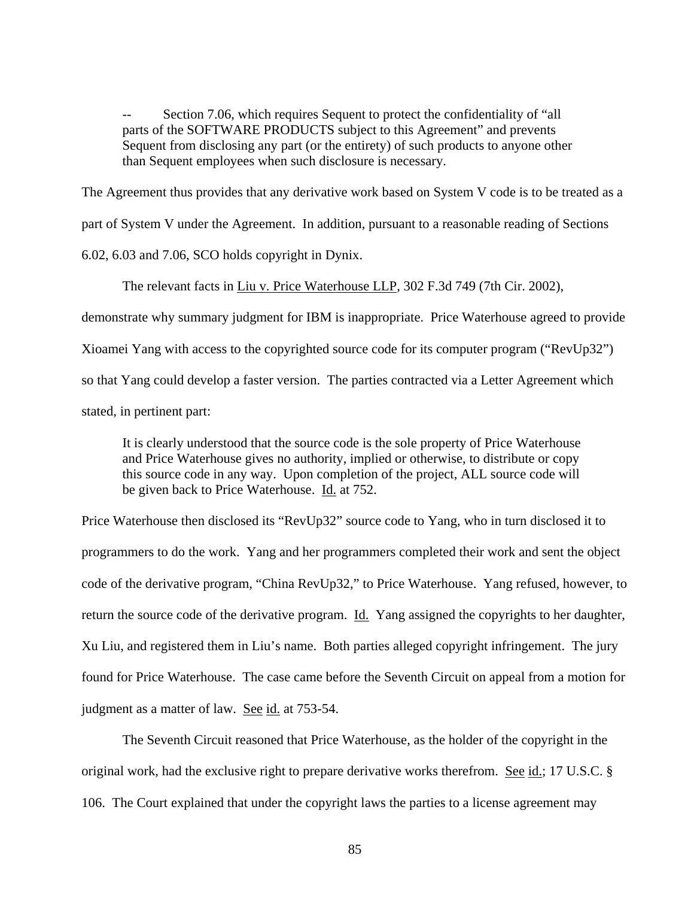-- Section 7.06, which requires Sequent to protect the confidentiality of "all parts of the SOFTWARE PRODUCTS subject to this Agreement" and prevents Sequent from disclosing any part (or the entirety) of such products to anyone other than Sequent employees when such disclosure is necessary.

The Agreement thus provides that any derivative work based on System V code is to be treated as a part of System V under the Agreement. In addition, pursuant to a reasonable reading of Sections 6.02, 6.03 and 7.06, SCO holds copyright in Dynix.

The relevant facts in Liu v. Price Waterhouse LLP, 302 F.3d 749 (7th Cir. 2002), demonstrate why summary judgment for IBM is inappropriate. Price Waterhouse agreed to provide Xioamei Yang with access to the copyrighted source code for its computer program ("RevUp32") so that Yang could develop a faster version. The parties contracted via a Letter Agreement which stated, in pertinent part:

It is clearly understood that the source code is the sole property of Price Waterhouse and Price Waterhouse gives no authority, implied or otherwise, to distribute or copy this source code in any way. Upon completion of the project, ALL source code will be given back to Price Waterhouse. Id. at 752.

Price Waterhouse then disclosed its "RevUp32" source code to Yang, who in turn disclosed it to programmers to do the work. Yang and her programmers completed their work and sent the object code of the derivative program, "China RevUp32," to Price Waterhouse. Yang refused, however, to return the source code of the derivative program. Id. Yang assigned the copyrights to her daughter, Xu Liu, and registered them in Liu's name. Both parties alleged copyright infringement. The jury found for Price Waterhouse. The case came before the Seventh Circuit on appeal from a motion for judgment as a matter of law. See id. at 753-54.

 The Seventh Circuit reasoned that Price Waterhouse, as the holder of the copyright in the original work, had the exclusive right to prepare derivative works therefrom. See id.; 17 U.S.C. § 106. The Court explained that under the copyright laws the parties to a license agreement may